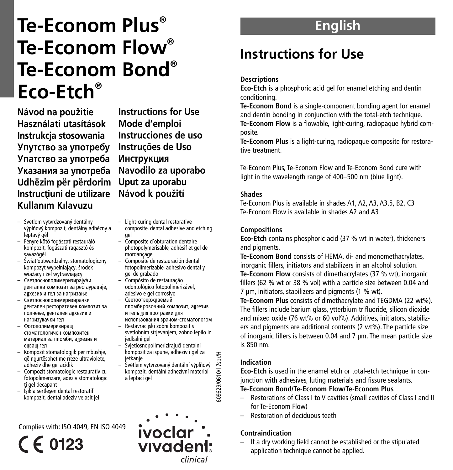# **Te-Econom Plus ® Te-Econom Flow® Te-Econom Bond® Eco-Etch®**

**Návod** na použitie **Használati utasítások Instrukcja stosowania Упутство за употребу Упатство за употреба** Указания за употреба **Udhëzim për përdorim Instrucfliuni de utilizare Kullan›m K›lavuzu**

**Instructions for Use Mode d'emploi Instrucciones de uso Instruções de Uso Инструкция Navodilo za uporabo Uput za uporabu Návod** k použití

- Svetlom vytvrdzovan˘ dentálny výplňový kompozit, dentálny adhézny a leptavý gél
- Fényre kötŒ fogászati restauráló kompozit, fogászati ragasztó és savazógél
- Âwiat∏outwardzalny, stomatologiczny kompozyt wypełniający, środek wiążący i żel wytrawiający
- Светпоснополимеризирајући лентални композит за рестаурације,  $\dddot{\text{a}}$ лхезив и геп за нагризање
- Светлоснополимеризирачки дентален ресторативен композит за полнење, лентален алхезив и нагоизувачки гел
- Фотополимеризираш Стоматологичен композитен материал за пломби, алхезив и eusaiu ren
- Kompozit stomatologjik për mbushje, që ngurtësohet me rreze ultraviolete, adheziv dhe gel acidik
- Compozit stomatologic restaurativ cu fotopolimerizare, adeziv stomatologic ti gel decapant
- Isikla sertlesen dental restoratif kompozit, dental adeziv ve asit jel

## Complies with: ISO 4049, EN ISO 4049



- Light-curing dental restorative composite, dental adhesive and etching
- gel – Composite d'obturation dentaire photopolymérisable, adhésif et gel de mordançage
- Composite de restauración dental fotopolimerizable, adhesivo dental y gel de grabado
- Compósito de restauração odontológico fotopolimerizável, adesivo e gel corrosivo
- Светоотвержлаемый ппомбировочный композит, алгезив и гель для протравки для
- использования врачом-стоматологом – Restavracijski zobni kompozit s
- svetlobnim strievaniem, zobno lepilo in jedkalni gel – Svjetlosnopolimerizirajuçi dentalni
- kompozit za ispune, adheziv i gel za jetkanje – Světlem vytvrzovaný dentální výplňový
- kompozit, dentální adhezívní materiál a leptací gel

ivoclar

vivadent

**English**

# **Instructions for Use**

## **Descriptions**

**Eco-Etch** is a phosphoric acid gel for enamel etching and dentin conditioning.

**Te-Econom Bond** is a single-component bonding agent for enamel and dentin bonding in conjunction with the total-etch technique. **Te-Econom Flow** is a flowable, light-curing, radiopaque hybrid composite.

**Te-Econom Plus** is a light-curing, radiopaque composite for restorative treatment.

Te-Econom Plus, Te-Econom Flow and Te-Econom Bond cure with light in the wavelength range of 400–500 nm (blue light).

#### **Shades**

Te-Econom Plus is available in shades A1, A2, A3, A3.5, B2, C3 Te-Econom Flow is available in shades A2 and A3

#### **Compositions**

**Eco-Etch** contains phosphoric acid (37 % wt in water), thickeners and pigments.

**Te-Econom Bond** consists of HEMA, di- and monomethacrylates, inorganic fillers, initiators and stabilizers in an alcohol solution.

**Te-Econom Flow** consists of dimethacrylates (37 % wt), inorganic fillers (62 % wt or 38 % vol) with a particle size between 0.04 and 7 µm, initiators, stabilizers and pigments (1 % wt).

**Te-Econom Plus** consists of dimethacrylate and TEGDMA (22 wt%). The fillers include barium glass, ytterbium trifluoride, silicon dioxide and mixed oxide (76 wt% or 60 vol%). Additives, initiators, stabilizers and pigments are additional contents (2 wt%). The particle size of inorganic fillers is between 0.04 and 7 µm. The mean particle size is 850 nm.

## **Indication**

**Eco-Etch** is used in the enamel etch or total-etch technique in conjunction with adhesives, luting materials and fissure sealants.

## **Te-Econom Bond/Te-Econom Flow/Te-Econom Plus**

- Restorations of Class I to V cavities (small cavities of Class I and II for Te-Econom Flow)
- Restoration of deciduous teeth

## **Contraindication**

– If a dry working field cannot be established or the stipulated application technique cannot be applied.

clinical

609629/0610/17spr/H 609629/0610/17spr/H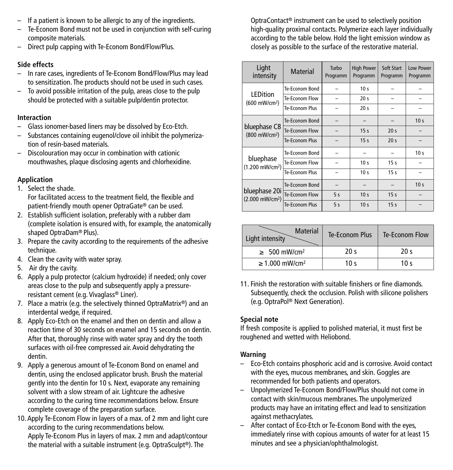- If a patient is known to be allergic to any of the ingredients.
- Te-Econom Bond must not be used in conjunction with self-curing composite materials.
- Direct pulp capping with Te-Econom Bond/Flow/Plus.

## **Side effects**

- In rare cases, ingredients of Te-Econom Bond/Flow/Plus may lead to sensitization. The products should not be used in such cases.
- To avoid possible irritation of the pulp, areas close to the pulp should be protected with a suitable pulp/dentin protector.

## **Interaction**

- Glass ionomer-based liners may be dissolved by Eco-Etch.
- Substances containing eugenol/clove oil inhibit the polymerization of resin-based materials.
- Discolouration may occur in combination with cationic mouthwashes, plaque disclosing agents and chlorhexidine.

## **Application**

- 1. Select the shade. For facilitated access to the treatment field, the flexible and patient-friendly mouth opener OptraGate® can be used.
- 2. Establish sufficient isolation, preferably with a rubber dam (complete isolation is ensured with, for example, the anatomically shaped OptraDam® Plus).
- 3. Prepare the cavity according to the requirements of the adhesive technique.
- 4. Clean the cavity with water spray.
- 5. Air dry the cavity.
- 6. Apply a pulp protector (calcium hydroxide) if needed; only cover areas close to the pulp and subsequently apply a pressureresistant cement (e.g. Vivaglass® Liner).
- 7. Place a matrix (e.g. the selectively thinned OptraMatrix®) and an interdental wedge, if required.
- 8. Apply Eco-Etch on the enamel and then on dentin and allow a reaction time of 30 seconds on enamel and 15 seconds on dentin. After that, thoroughly rinse with water spray and dry the tooth surfaces with oil-free compressed air. Avoid dehydrating the dentin.
- 9. Apply a generous amount of Te-Econom Bond on enamel and dentin, using the enclosed applicator brush. Brush the material gently into the dentin for 10 s. Next, evaporate any remaining solvent with a slow stream of air. Lightcure the adhesive according to the curing time recommendations below. Ensure complete coverage of the preparation surface.
- 10. Apply Te-Econom Flow in layers of a max. of 2 mm and light cure according to the curing recommendations below. Apply Te-Econom Plus in layers of max. 2 mm and adapt/contour the material with a suitable instrument (e.g. OptraSculpt®). The

OptraContact® instrument can be used to selectively position high-quality proximal contacts. Polymerize each layer individually according to the table below. Hold the light emission window as closely as possible to the surface of the restorative material.

| Light<br>intensity                           | <b>Material</b> | Turbo<br>Programm | <b>High Power</b><br>Programm | Soft Start<br>Programm | <b>Low Power</b><br>Programm |
|----------------------------------------------|-----------------|-------------------|-------------------------------|------------------------|------------------------------|
|                                              | Te-Econom Bond  |                   | 10 <sub>s</sub>               |                        |                              |
| <b>LEDition</b><br>(600 mW/cm <sup>2</sup> ) | Te-Econom Flow  |                   | 20 <sub>s</sub>               |                        |                              |
|                                              | Te-Fronom Plus  |                   | 20 <sub>s</sub>               |                        |                              |
| bluephase C8<br>(800 mW/cm <sup>2</sup> )    | Te-Econom Bond  |                   |                               |                        | 10 <sub>s</sub>              |
|                                              | Te-Econom Flow  |                   | 15 <sub>s</sub>               | 20 <sub>s</sub>        |                              |
|                                              | Te-Fronom Plus  |                   | 15 <sub>s</sub>               | 20 <sub>s</sub>        |                              |
|                                              | Te-Fconom Bond  |                   |                               |                        | 10 <sub>s</sub>              |
| bluephase<br>(1.200 mW/cm <sup>2</sup> )     | Te-Econom Flow  |                   | 10 <sub>s</sub>               | 15 <sub>s</sub>        |                              |
|                                              | Te-Fronom Plus  |                   | 10 <sub>s</sub>               | 15 <sub>s</sub>        |                              |
| bluephase 20i<br>(2.000 mW/cm <sup>2</sup> ) | Te-Econom Bond  |                   |                               |                        | 10 <sub>s</sub>              |
|                                              | Te-Econom Flow  | 5s                | 10 <sub>s</sub>               | 15 <sub>s</sub>        |                              |
|                                              | Te-Econom Plus  | 5s                | 10 <sub>s</sub>               | 15 <sub>s</sub>        |                              |

| <b>Material</b><br>Light intensity | Te-Econom Plus  | Te-Econom Flow  |
|------------------------------------|-----------------|-----------------|
| $\geq 500$ mW/cm <sup>2</sup>      | 20 <sub>s</sub> | 20 <sub>s</sub> |
| $\geq 1.000$ mW/cm <sup>2</sup>    | 10 <sub>s</sub> | 10 $\sim$       |

11. Finish the restoration with suitable finishers or fine diamonds. Subsequently, check the occlusion. Polish with silicone polishers (e.g. OptraPol ® Next Generation).

## **Special note**

If fresh composite is applied to polished material, it must first be roughened and wetted with Heliobond.

## **Warning**

- Eco-Etch contains phosphoric acid and is corrosive. Avoid contact with the eyes, mucous membranes, and skin. Goggles are recommended for both patients and operators.
- Unpolymerized Te-Econom Bond/Flow/Plus should not come in contact with skin/mucous membranes. The unpolymerized products may have an irritating effect and lead to sensitization against methacrylates.
- After contact of Eco-Etch or Te-Econom Bond with the eyes, immediately rinse with copious amounts of water for at least 15 minutes and see a physician/ophthalmologist.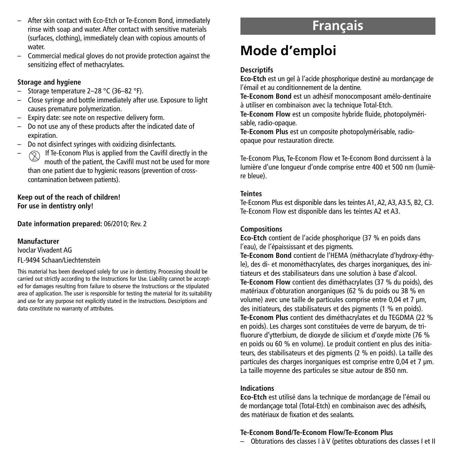- After skin contact with Eco-Etch or Te-Econom Bond, immediately rinse with soap and water. After contact with sensitive materials (surfaces, clothing), immediately clean with copious amounts of water.
- Commercial medical gloves do not provide protection against the sensitizing effect of methacrylates.

#### **Storage and hygiene**

- Storage temperature 2–28 °C (36–82 °F).
- Close syringe and bottle immediately after use. Exposure to light causes premature polymerization.
- Expiry date: see note on respective delivery form.
- Do not use any of these products after the indicated date of expiration.
- Do not disinfect syringes with oxidizing disinfectants.
- If Te-Econom Plus is applied from the Cavifil directly in the mouth of the patient, the Cavifil must not be used for more than one patient due to hygienic reasons (prevention of crosscontamination between patients).

**Keep out of the reach of children! For use in dentistry only!**

**Date information prepared:** 06/2010; Rev. 2

#### **Manufacturer**

Ivoclar Vivadent AG

## FL-9494 Schaan/Liechtenstein

This material has been developed solely for use in dentistry. Processing should be carried out strictly according to the Instructions for Use. Liability cannot be accepted for damages resulting from failure to observe the Instructions or the stipulated area of application. The user is responsible for testing the material for its suitability and use for any purpose not explicitly stated in the Instructions. Descriptions and data constitute no warranty of attributes.

## **Français**

# **Mode d'emploi**

## **Descriptifs**

**Eco-Etch** est un gel à l'acide phosphorique destiné au mordançage de l'émail et au conditionnement de la dentine.

**Te-Econom Bond** est un adhésif monocomposant amélo-dentinaire à utiliser en combinaison avec la technique Total-Etch.

**Te-Econom Flow** est un composite hybride fluide, photopolymérisable, radio-opaque.

**Te-Econom Plus** est un composite photopolymérisable, radioopaque pour restauration directe.

Te-Econom Plus, Te-Econom Flow et Te-Econom Bond durcissent à la lumière d'une longueur d'onde comprise entre 400 et 500 nm (lumière bleue).

#### **Teintes**

Te-Econom Plus est disponible dans les teintes A1,A2,A3,A3.5, B2, C3. Te-Econom Flow est disponible dans les teintes A2 et A3.

## **Compositions**

**Eco-Etch** contient de l'acide phosphorique (37 % en poids dans l'eau), de l'épaississant et des pigments.

**Te-Econom Bond** contient de l'HEMA (méthacrylate d'hydroxy-éthyle), des di- et monométhacrylates, des charges inorganiques, des initiateurs et des stabilisateurs dans une solution à base d'alcool. **Te-Econom Flow** contient des diméthacrylates (37 % du poids), des matériaux d'obturation anorganiques (62 % du poids ou 38 % en volume) avec une taille de particules comprise entre 0.04 et 7 um. des initiateurs, des stabilisateurs et des pigments (1 % en poids). **Te-Econom Plus** contient des diméthacrylates et du TEGDMA (22 % en poids). Les charges sont constituées de verre de baryum, de trifluorure d'ytterbium, de dioxyde de silicium et d'oxyde mixte (76 % en poids ou 60 % en volume). Le produit contient en plus des initiateurs, des stabilisateurs et des pigments (2 % en poids). La taille des particules des charges inorganiques est comprise entre 0,04 et 7 µm. La taille moyenne des particules se situe autour de 850 nm.

## **Indications**

**Eco-Etch** est utilisé dans la technique de mordançage de l'émail ou de mordançage total (Total-Etch) en combinaison avec des adhésifs, des matériaux de fixation et des sealants.

#### **Te-Econom Bond/Te-Econom Flow/Te-Econom Plus**

– Obturations des classes I à V (petites obturations des classes I et II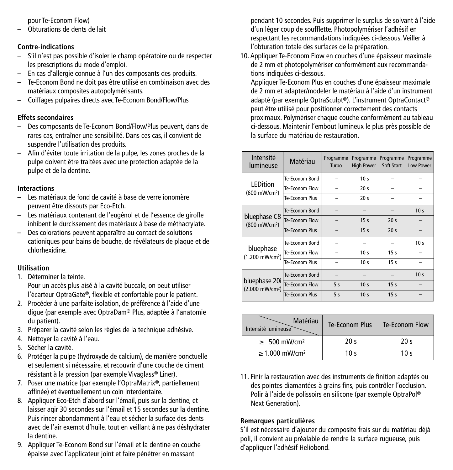pour Te-Econom Flow)

– Obturations de dents de lait

## **Contre-indications**

- S'il n'est pas possible d'isoler le champ opératoire ou de respecter les prescriptions du mode d'emploi.
- En cas d'allergie connue à l'un des composants des produits.
- Te-Econom Bond ne doit pas être utilisé en combinaison avec des matériaux composites autopolymérisants.
- Coiffages pulpaires directs avec Te-Econom Bond/Flow/Plus

## **Effets secondaires**

- Des composants de Te-Econom Bond/Flow/Plus peuvent, dans de rares cas, entraîner une sensibilité. Dans ces cas, il convient de suspendre l'utilisation des produits.
- Afin d'éviter toute irritation de la pulpe, les zones proches de la pulpe doivent être traitées avec une protection adaptée de la pulpe et de la dentine.

## **Interactions**

- Les matériaux de fond de cavité à base de verre ionomère peuvent être dissouts par Eco-Etch.
- Les matériaux contenant de l'eugénol et de l'essence de girofle inhibent le durcissement des matériaux à base de méthacrylate.
- Des colorations peuvent apparaître au contact de solutions cationiques pour bains de bouche, de révélateurs de plaque et de chlorhexidine.

## **Utilisation**

- 1. Déterminer la teinte. Pour un accès plus aisé à la cavité buccale, on peut utiliser l'écarteur OptraGate®, flexible et confortable pour le patient.
- 2. Procéder à une parfaite isolation, de préférence à l'aide d'une digue (par exemple avec OptraDam® Plus, adaptée à l'anatomie du patient).
- 3. Préparer la cavité selon les règles de la technique adhésive.
- 4. Nettoyer la cavité à l'eau.
- 5. Sécher la cavité.
- 6. Protéger la pulpe (hydroxyde de calcium), de manière ponctuelle et seulement si nécessaire, et recouvrir d'une couche de ciment résistant à la pression (par exemple Vivaglass® Liner).
- 7. Poser une matrice (par exemple l'OptraMatrix®, partiellement affinée) et éventuellement un coin interdentaire.
- 8. Appliquer Eco-Etch d'abord sur l'émail, puis sur la dentine, et laisser agir 30 secondes sur l'émail et 15 secondes sur la dentine. Puis rincer abondamment à l'eau et sécher la surface des dents avec de l'air exempt d'huile, tout en veillant à ne pas déshydrater la dentine.
- 9. Appliquer Te-Econom Bond sur l'émail et la dentine en couche épaisse avec l'applicateur joint et faire pénétrer en massant

pendant 10 secondes. Puis supprimer le surplus de solvant à l'aide d'un léger coup de soufflette. Photopolymériser l'adhésif en respectant les recommandations indiquées ci-dessous. Veiller à l'obturation totale des surfaces de la préparation.

10. Appliquer Te-Econom Flow en couches d'une épaisseur maximale de 2 mm et photopolymériser conformément aux recommandations indiquées ci-dessous.

Appliquer Te-Econom Plus en couches d'une épaisseur maximale de 2 mm et adapter/modeler le matériau à l'aide d'un instrument adapté (par exemple OptraSculpt®). L'instrument OptraContact® peut être utilisé pour positionner correctement des contacts proximaux. Polymériser chaque couche conformément au tableau ci-dessous. Maintenir l'embout lumineux le plus près possible de la surface du matériau de restauration.

| Intensité<br>lumineuse                       | Matériau       | Programme<br>Turbo | Programme<br><b>High Power</b> | Programme<br>Soft Start | Programme<br>Low Power |
|----------------------------------------------|----------------|--------------------|--------------------------------|-------------------------|------------------------|
| LEDition                                     | Te-Econom Bond |                    | 10 <sub>s</sub>                |                         |                        |
| (600 mW/cm <sup>2</sup> )                    | Te-Econom Flow |                    | 20 <sub>s</sub>                |                         |                        |
|                                              | Te-Fronom Plus |                    | 20 <sub>s</sub>                |                         |                        |
| bluephase C8<br>(800 mW/cm <sup>2</sup> )    | Te-Econom Bond |                    |                                |                         | 10 <sub>s</sub>        |
|                                              | Te-Econom Flow |                    | 15 <sub>s</sub>                | 20 <sub>s</sub>         |                        |
|                                              | Te-Econom Plus |                    | 15 <sub>s</sub>                | 20 <sub>s</sub>         |                        |
|                                              | Te-Fronom Bond |                    |                                |                         | 10 <sub>s</sub>        |
| bluephase<br>(1.200 mW/cm <sup>2</sup> )     | Te-Econom Flow |                    | 10 <sub>s</sub>                | 15 <sub>s</sub>         |                        |
|                                              | Te-Fronom Plus |                    | 10 <sub>s</sub>                | 15 <sub>s</sub>         |                        |
| bluephase 20i<br>(2.000 mW/cm <sup>2</sup> ) | Te-Econom Bond |                    |                                |                         | 10 <sub>s</sub>        |
|                                              | Te-Econom Flow | 5s                 | 10 <sub>s</sub>                | 15 <sub>s</sub>         |                        |
|                                              | Te-Econom Plus | 5s                 | 10 <sub>s</sub>                | 15 <sub>s</sub>         |                        |

| Matériau<br>Intensité lumineuse | Te-Econom Plus  | Te-Econom Flow  |
|---------------------------------|-----------------|-----------------|
| $\geq 500$ mW/cm <sup>2</sup>   | 20 <sub>s</sub> | 20 <sub>s</sub> |
| $\geq 1.000$ mW/cm <sup>2</sup> | 10 <sub>s</sub> | 10 $\sim$       |

11. Finir la restauration avec des instruments de finition adaptés ou des pointes diamantées à grains fins, puis contrôler l'occlusion. Polir à l'aide de polissoirs en silicone (par exemple OptraPol ® Next Generation).

## **Remarques particulières**

S'il est nécessaire d'ajouter du composite frais sur du matériau déjà poli, il convient au préalable de rendre la surface rugueuse, puis d'appliquer l'adhésif Heliobond.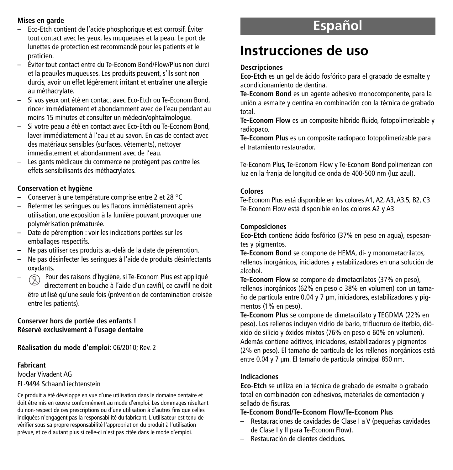#### **Mises en garde**

- Eco-Etch contient de l'acide phosphorique et est corrosif. Éviter tout contact avec les yeux, les muqueuses et la peau. Le port de lunettes de protection est recommandé pour les patients et le praticien.
- Éviter tout contact entre du Te-Econom Bond/Flow/Plus non durci et la peau/les muqueuses. Les produits peuvent, s'ils sont non durcis, avoir un effet légèrement irritant et entraîner une allergie au méthacrylate.
- Si vos yeux ont été en contact avec Eco-Etch ou Te-Econom Bond, rincer immédiatement et abondamment avec de l'eau pendant au moins 15 minutes et consulter un médecin/ophtalmologue.
- Si votre peau a été en contact avec Eco-Etch ou Te-Econom Bond, laver immédiatement à l'eau et au savon. En cas de contact avec des matériaux sensibles (surfaces, vêtements), nettoyer immédiatement et abondamment avec de l'eau.
- Les gants médicaux du commerce ne protègent pas contre les effets sensibilisants des méthacrylates.

#### **Conservation et hygiène**

- Conserver à une température comprise entre 2 et 28 °C
- Refermer les seringues ou les flacons immédiatement après utilisation, une exposition à la lumière pouvant provoquer une polymérisation prématurée.
- Date de péremption : voir les indications portées sur les emballages respectifs.
- Ne pas utiliser ces produits au-delà de la date de péremption.
- Ne pas désinfecter les seringues à l'aide de produits désinfectants oxydants.
- $\circledR$  Pour des raisons d'hygiène, si Te-Econom Plus est appliqué directement en bouche à l'aide d'un cavifil, ce cavifil ne doit être utilisé qu'une seule fois (prévention de contamination croisée entre les patients).

#### **Conserver hors de portée des enfants ! Réservé exclusivement à l'usage dentaire**

**Réalisation du mode d'emploi:** 06/2010; Rev. 2

#### **Fabricant**

Ivoclar Vivadent AG FL-9494 Schaan/Liechtenstein

Ce produit a été développé en vue d'une utilisation dans le domaine dentaire et doit être mis en œuvre conformément au mode d'emploi. Les dommages résultant du non-respect de ces prescriptions ou d'une utilisation à d'autres fins que celles indiquées n'engagent pas la responsabilité du fabricant. L'utilisateur est tenu de vérifier sous sa propre responsabilité l'appropriation du produit à l'utilisation prévue, et ce d'autant plus si celle-ci n'est pas citée dans le mode d'emploi.

# **Español**

# **Instrucciones de uso**

#### **Descripciones**

**Eco-Etch** es un gel de ácido fosfórico para el grabado de esmalte y acondicionamiento de dentina.

**Te-Econom Bond** es un agente adhesivo monocomponente, para la unión a esmalte y dentina en combinación con la técnica de grabado total.

**Te-Econom Flow** es un composite híbrido fluido, fotopolimerizable y radiopaco.

**Te-Econom Plus** es un composite radiopaco fotopolimerizable para el tratamiento restaurador.

Te-Econom Plus, Te-Econom Flow y Te-Econom Bond polimerizan con luz en la franja de longitud de onda de 400-500 nm (luz azul).

#### **Colores**

Te-Econom Plus está disponible en los colores A1,A2,A3,A3.5, B2, C3 Te-Econom Flow está disponible en los colores A2 y A3

#### **Composiciones**

**Eco-Etch** contiene ácido fosfórico (37% en peso en agua), espesantes y pigmentos.

**Te-Econom Bond** se compone de HEMA, di- y monometacrilatos, rellenos inorgánicos, iniciadores y estabilizadores en una solución de alcohol.

**Te-Econom Flow** se compone de dimetacrilatos (37% en peso), rellenos inorgánicos (62% en peso o 38% en volumen) con un tamaño de partícula entre 0.04 y 7 µm, iniciadores, estabilizadores y pigmentos (1% en peso).

**Te-Econom Plus** se compone de dimetacrilato y TEGDMA (22% en peso). Los rellenos incluyen vidrio de bario, trifluoruro de iterbio, dióxido de silicio y óxidos mixtos (76% en peso o 60% en volumen). Además contiene aditivos, iniciadores, estabilizadores y pigmentos (2% en peso). El tamaño de partícula de los rellenos inorgánicos está entre 0.04 y 7 µm. El tamaño de partícula principal 850 nm.

## **Indicaciones**

**Eco-Etch** se utiliza en la técnica de grabado de esmalte o grabado total en combinación con adhesivos, materiales de cementación y sellado de fisuras.

#### **Te-Econom Bond/Te-Econom Flow/Te-Econom Plus**

- Restauraciones de cavidades de Clase I a V (pequeñas cavidades de Clase I y II para Te-Econom Flow).
- Restauración de dientes deciduos.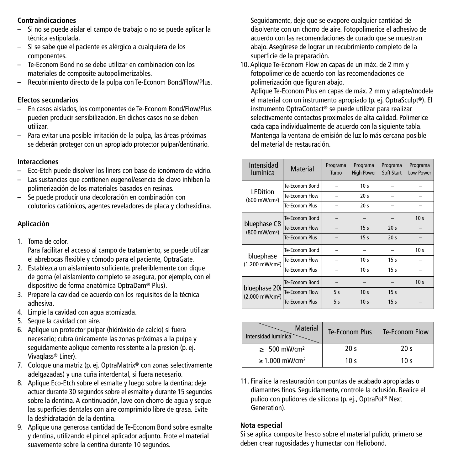## **Contraindicaciones**

- Si no se puede aislar el campo de trabajo o no se puede aplicar la técnica estipulada.
- Si se sabe que el paciente es alérgico a cualquiera de los componentes.
- Te-Econom Bond no se debe utilizar en combinación con los materiales de composite autopolimerizables.
- Recubrimiento directo de la pulpa con Te-Econom Bond/Flow/Plus.

#### **Efectos secundarios**

- En casos aislados, los componentes de Te-Econom Bond/Flow/Plus pueden producir sensibilización. En dichos casos no se deben utilizar.
- Para evitar una posible irritación de la pulpa, las áreas próximas se deberán proteger con un apropiado protector pulpar/dentinario.

#### **Interacciones**

- Eco-Etch puede disolver los liners con base de ionómero de vidrio.
- Las sustancias que contienen eugenol/esencia de clavo inhiben la polimerización de los materiales basados en resinas.
- Se puede producir una decoloración en combinación con colutorios catiónicos, agentes reveladores de placa y clorhexidina.

#### **Aplicación**

1. Toma de color.

Para facilitar el acceso al campo de tratamiento, se puede utilizar el abrebocas flexible y cómodo para el paciente, OptraGate.

- 2. Establezca un aislamiento suficiente, preferiblemente con dique de goma (el aislamiento completo se asegura, por ejemplo, con el dispositivo de forma anatómica OptraDam® Plus).
- 3. Prepare la cavidad de acuerdo con los requisitos de la técnica adhesiva.
- 4. Limpie la cavidad con agua atomizada.
- 5. Seque la cavidad con aire.
- 6. Aplique un protector pulpar (hidróxido de calcio) si fuera necesario; cubra únicamente las zonas próximas a la pulpa y seguidamente aplique cemento resistente a la presión (p. ej. Vivaglass® Liner).
- 7. Coloque una matriz (p. ej. OptraMatrix® con zonas selectivamente adelgazadas) y una cuña interdental, si fuera necesario.
- 8. Aplique Eco-Etch sobre el esmalte y luego sobre la dentina; deje actuar durante 30 segundos sobre el esmalte y durante 15 segundos sobre la dentina. A continuación, lave con chorro de agua y seque las superficies dentales con aire comprimido libre de grasa. Evite la deshidratación de la dentina.
- 9. Aplique una generosa cantidad de Te-Econom Bond sobre esmalte y dentina, utilizando el pincel aplicador adjunto. Frote el material suavemente sobre la dentina durante 10 segundos.

Seguidamente, deje que se evapore cualquier cantidad de disolvente con un chorro de aire. Fotopolimerice el adhesivo de acuerdo con las recomendaciones de curado que se muestran abajo. Asegúrese de lograr un recubrimiento completo de la superficie de la preparación.

10. Aplique Te-Econom Flow en capas de un máx. de 2 mm y fotopolimerice de acuerdo con las recomendaciones de polimerización que figuran abajo.

Aplique Te-Econom Plus en capas de máx. 2 mm y adapte/modele el material con un instrumento apropiado (p. ej. OptraSculpt®). El instrumento OptraContact® se puede utilizar para realizar selectivamente contactos proximales de alta calidad. Polimerice cada capa individualmente de acuerdo con la siguiente tabla. Mantenga la ventana de emisión de luz lo más cercana posible del material de restauración.

| Intensidad<br>lumínica                       | Material              | Programa<br>Turbo | Programa<br><b>High Power</b> | Programa<br>Soft Start | Programa<br>Low Power |
|----------------------------------------------|-----------------------|-------------------|-------------------------------|------------------------|-----------------------|
| <b>LEDition</b>                              | Te-Econom Bond        |                   | 10 <sub>s</sub>               |                        |                       |
| (600 mW/cm <sup>2</sup> )                    | Te-Econom Flow        |                   | 20 <sub>s</sub>               |                        |                       |
|                                              | Te-Fronom Plus        |                   | 20 <sub>s</sub>               |                        |                       |
|                                              | Te-Econom Bond        |                   |                               |                        | 10 <sub>s</sub>       |
| bluephase C8<br>(800 mW/cm <sup>2</sup> )    | Te-Econom Flow        |                   | 15 <sub>s</sub>               | 20 <sub>s</sub>        |                       |
|                                              | <b>Te-Fronom Plus</b> |                   | 15 <sub>s</sub>               | 20 <sub>s</sub>        |                       |
|                                              | Te-Fronom Bond        |                   |                               |                        | 10 <sub>s</sub>       |
| bluephase<br>(1.200 mW/cm <sup>2</sup> )     | Te-Econom Flow        |                   | 10 <sub>s</sub>               | 15 <sub>s</sub>        |                       |
|                                              | Te-Fronom Plus        |                   | 10 <sub>s</sub>               | 15 <sub>s</sub>        |                       |
| bluephase 20i<br>(2.000 mW/cm <sup>2</sup> ) | Te-Econom Bond        |                   |                               |                        | 10 <sub>s</sub>       |
|                                              | Te-Econom Flow        | 5s                | 10 <sub>s</sub>               | 15 <sub>s</sub>        |                       |
|                                              | <b>Te-Econom Plus</b> | 5s                | 10 <sub>s</sub>               | 15 <sub>s</sub>        |                       |

| <b>Material</b><br>Intensidad lumínica | Te-Econom Plus  | Te-Econom Flow  |
|----------------------------------------|-----------------|-----------------|
| $\geq 500$ mW/cm <sup>2</sup>          | 20 <sub>s</sub> | 20 <sub>s</sub> |
| $\geq 1.000$ mW/cm <sup>2</sup>        | 10 $\sim$       | 10 م            |

11. Finalice la restauración con puntas de acabado apropiadas o diamantes finos. Seguidamente, controle la oclusión. Realice el pulido con pulidores de silicona (p. ej., OptraPol ® Next Generation).

#### **Nota especial**

Si se aplica composite fresco sobre el material pulido, primero se deben crear rugosidades y humectar con Heliobond.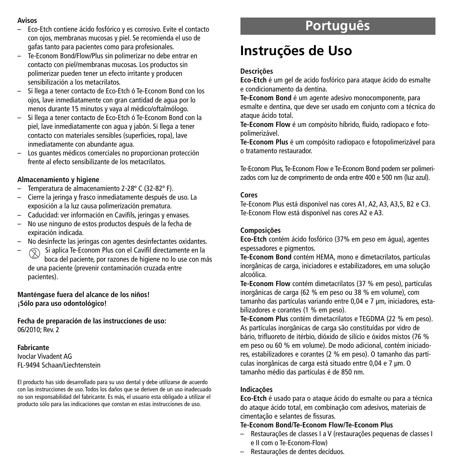#### **Avisos**

- Eco-Etch contiene ácido fosfórico y es corrosivo. Evite el contacto con ojos, membranas mucosas y piel. Se recomienda el uso de gafas tanto para pacientes como para profesionales.
- Te-Econom Bond/Flow/Plus sin polimerizar no debe entrar en contacto con piel/membranas mucosas. Los productos sin polimerizar pueden tener un efecto irritante y producen sensibilización a los metacrilatos.
- Si llega a tener contacto de Eco-Etch ó Te-Econom Bond con los ojos, lave inmediatamente con gran cantidad de agua por lo menos durante 15 minutos y vaya al médico/oftalmólogo.
- Si llega a tener contacto de Eco-Etch ó Te-Econom Bond con la piel, lave inmediatamente con agua y jabón. Si llega a tener contacto con materiales sensibles (superficies, ropa), lave inmediatamente con abundante agua.
- Los guantes médicos comerciales no proporcionan protección frente al efecto sensibilizante de los metacrilatos.

## **Almacenamiento y higiene**

- Temperatura de almacenamiento 2-28º C (32-82º F).
- Cierre la jeringa y frasco inmediatamente después de uso. La exposición a la luz causa polimerización prematura.
- Caducidad: ver información en Cavifils, jeringas y envases.
- No use ninguno de estos productos después de la fecha de expiración indicada.
- No desinfecte las jeringas con agentes desinfectantes oxidantes.
- $\sqrt{2}$  Si aplica Te-Econom Plus con el Cavifil directamente en la boca del paciente, por razones de higiene no lo use con más de una paciente (prevenir contaminación cruzada entre pacientes).

**Manténgase fuera del alcance de los niños! ¡Sólo para uso odontológico!**

**Fecha de preparación de las instrucciones de uso:** 06/2010; Rev. 2

**Fabricante** Ivoclar Vivadent AG FL-9494 Schaan/Liechtenstein

El producto has sido desarrollado para su uso dental y debe utilizarse de acuerdo con las instrucciones de uso. Todos los daños que se deriven de un uso inadecuado no son responsabilidad del fabricante. Es más, el usuario esta obligado a utilizar el producto sólo para las indicaciones que constan en estas instrucciones de uso.

# **Português**

# **Instruções de Uso**

## **Descrições**

**Eco-Etch** é um gel de acido fosfórico para ataque ácido do esmalte e condicionamento da dentina.

**Te-Econom Bond** é um agente adesivo monocomponente, para esmalte e dentina, que deve ser usado em conjunto com a técnica do ataque ácido total.

**Te-Econom Flow** é um compósito híbrido, fluido, radiopaco e fotopolimerizável.

**Te-Econom Plus** é um compósito radiopaco e fotopolimerizável para o tratamento restaurador.

Te-Econom Plus, Te-Econom Flow e Te-Econom Bond podem ser polimerizados com luz de comprimento de onda entre 400 e 500 nm (luz azul).

## **Cores**

Te-Econom Plus está disponível nas cores A1, A2, A3, A3,5, B2 e C3. Te-Econom Flow está disponível nas cores A2 e A3.

## **Composições**

**Eco-Etch** contém ácido fosfórico (37% em peso em água), agentes espessadores e pigmentos.

**Te-Econom Bond** contém HEMA, mono e dimetacrilatos, partículas inorgânicas de carga, iniciadores e estabilizadores, em uma solução alcoólica.

**Te-Econom Flow** contém dimetacrilatos (37 % em peso), partículas inorgânicas de carga (62 % em peso ou 38 % em volume), com tamanho das partículas variando entre 0,04 e 7 µm, iniciadores, estabilizadores e corantes (1 % em peso).

**Te-Econom Plus** contém dimetacrilatos e TEGDMA (22 % em peso). As partículas inorgânicas de carga são constituídas por vidro de bário, trifluoreto de itérbio, dióxido de silício e óxidos mistos (76 % em peso ou 60 % em volume). De modo adicional, contém iniciadores, estabilizadores e corantes (2 % em peso). O tamanho das partículas inorgânicas de carga está situado entre 0,04 e 7 µm. O tamanho médio das partículas é de 850 nm.

## **Indicações**

**Eco-Etch** é usado para o ataque ácido do esmalte ou para a técnica do ataque ácido total, em combinação com adesivos, materiais de cimentação e selantes de fissuras.

## **Te-Econom Bond/Te-Econom Flow/Te-Econom Plus**

- Restaurações de classes I a V (restaurações pequenas de classes I e II com o Te-Econom-Flow)
- Restaurações de dentes decíduos.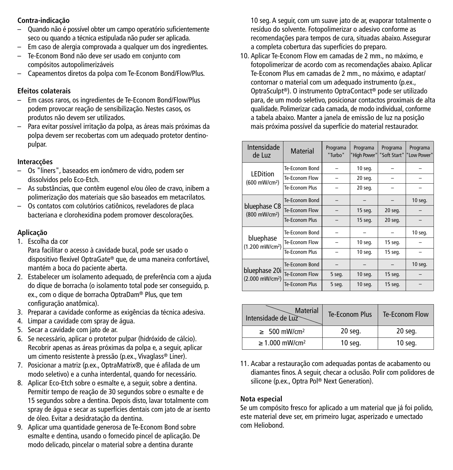## **Contra-indicação**

- Quando não é possível obter um campo operatório suficientemente seco ou quando a técnica estipulada não puder ser aplicada.
- Em caso de alergia comprovada a qualquer um dos ingredientes.
- Te-Econom Bond não deve ser usado em conjunto com compósitos autopolimerizáveis
- Capeamentos diretos da polpa com Te-Econom Bond/Flow/Plus.

## **Efeitos colaterais**

- Em casos raros, os ingredientes de Te-Econom Bond/Flow/Plus podem provocar reação de sensibilização. Nestes casos, os produtos não devem ser utilizados.
- Para evitar possível irritação da polpa, as áreas mais próximas da polpa devem ser recobertas com um adequado protetor dentinopulpar.

## **Interacções**

- Os "liners", baseados em ionômero de vidro, podem ser dissolvidos pelo Eco-Etch.
- As substâncias, que contêm eugenol e/ou óleo de cravo, inibem a polimerização dos materiais que são baseados em metacrilatos.
- Os contatos com colutórios catiônicos, reveladores de placa bacteriana e clorohexidina podem promover descolorações.

## **Aplicação**

1. Escolha da cor

Para facilitar o acesso à cavidade bucal, pode ser usado o dispositivo flexível OptraGate® que, de uma maneira confortável, mantém a boca do paciente aberta.

- 2. Estabelecer um isolamento adequado, de preferência com a ajuda do dique de borracha (o isolamento total pode ser conseguido, p. ex., com o dique de borracha OptraDam® Plus, que tem configuração anatômica).
- 3. Preparar a cavidade conforme as exigências da técnica adesiva.
- 4. Limpar a cavidade com spray de água.
- 5. Secar a cavidade com jato de ar.
- 6. Se necessário, aplicar o protetor pulpar (hidróxido de cálcio). Recobrir apenas as áreas próximas da polpa e, a seguir, aplicar um cimento resistente à pressão (p.ex., Vivaglass® Liner).
- 7. Posicionar a matriz (p.ex., OptraMatrix®, que é afilada de um modo seletivo) e a cunha interdental, quando for necessário.
- 8. Aplicar Eco-Etch sobre o esmalte e, a seguir, sobre a dentina. Permitir tempo de reação de 30 segundos sobre o esmalte e de 15 segundos sobre a dentina. Depois disto, lavar totalmente com spray de água e secar as superfícies dentais com jato de ar isento de óleo. Evitar a desidratação da dentina.
- 9. Aplicar uma quantidade generosa de Te-Econom Bond sobre esmalte e dentina, usando o fornecido pincel de aplicação. De modo delicado, pincelar o material sobre a dentina durante

10 seg. A seguir, com um suave jato de ar, evaporar totalmente o resíduo do solvente. Fotopolimerizar o adesivo conforme as recomendações para tempos de cura, situadas abaixo. Assegurar a completa cobertura das superfícies do preparo.

10. Aplicar Te-Econom Flow em camadas de 2 mm., no máximo, e fotopolimerizar de acordo com as recomendações abaixo. Aplicar Te-Econom Plus em camadas de 2 mm., no máximo, e adaptar/ contornar o material com um adequado instrumento (p.ex., OptraSculpt®). O instrumento OptraContact® pode ser utilizado para, de um modo seletivo, posicionar contactos proximais de alta qualidade. Polimerizar cada camada, de modo individual,conforme a tabela abaixo. Manter a janela de emissão de luz na posição mais próxima possível da superfície do material restaurador.

| Intensidade<br>de Luz                        | Material       | Programa<br>"Turbo" | Programa<br>High Power" | Programa<br>"Soft Start" | Programa<br>"Low Power" |
|----------------------------------------------|----------------|---------------------|-------------------------|--------------------------|-------------------------|
|                                              | Te-Econom Bond |                     | 10 seq.                 |                          |                         |
| LEDition<br>(600 mW/cm <sup>2</sup> )        | Te-Econom Flow |                     | 20 seg.                 |                          |                         |
|                                              | Te-Econom Plus |                     | 20 seq.                 |                          |                         |
|                                              | Te-Econom Bond |                     |                         |                          | 10 seq.                 |
| bluephase C8<br>(800 mW/cm <sup>2</sup> )    | Te-Econom Flow |                     | 15 seq.                 | 20 seq.                  |                         |
|                                              | Te-Fronom Plus |                     | 15 seq.                 | 20 seq.                  |                         |
|                                              | Te-Econom Bond |                     |                         |                          | 10 seq.                 |
| bluephase<br>(1.200 mW/cm <sup>2</sup> )     | Te-Econom Flow |                     | 10 seq.                 | 15 seq.                  |                         |
|                                              | Te-Fronom Plus |                     | 10 seq.                 | 15 seq.                  |                         |
| bluephase 20i<br>(2.000 mW/cm <sup>2</sup> ) | Te-Fronom Bond |                     |                         |                          | 10 seq.                 |
|                                              | Te-Econom Flow | 5 seg.              | 10 seq.                 | 15 seq.                  |                         |
|                                              | Te-Econom Plus | 5 seq.              | 10 seq.                 | 15 seq.                  |                         |

| <b>Material</b><br>Intensidade de Luz | Te-Econom Plus | Te-Econom Flow |
|---------------------------------------|----------------|----------------|
| $\geq 500$ mW/cm <sup>2</sup>         | 20 seg.        | 20 seq.        |
| $\geq 1.000$ mW/cm <sup>2</sup>       | 10 seg.        | 10 seg.        |

11. Acabar a restauração com adequadas pontas de acabamento ou diamantes finos. A seguir, checar a oclusão. Polir com polidores de silicone (p.ex., Optra Pol ® Next Generation).

## **Nota especial**

Se um compósito fresco for aplicado a um material que já foi polido, este material deve ser, em primeiro lugar, asperizado e umectado com Heliobond.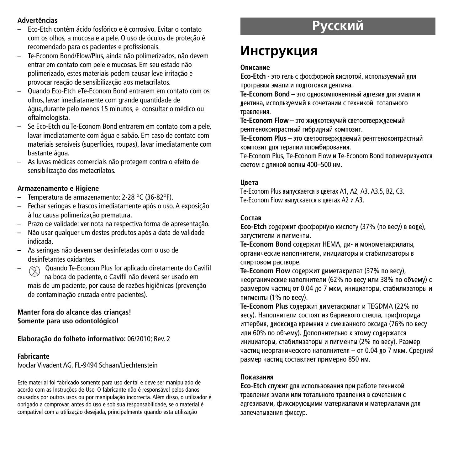## **Advertências**

- Eco-Etch contém ácido fosfórico e é corrosivo. Evitar o contato com os olhos, a mucosa e a pele. O uso de óculos de proteção é recomendado para os pacientes e profissionais.
- Te-Econom Bond/Flow/Plus, ainda não polimerizados, não devem entrar em contato com pele e mucosas. Em seu estado não polimerizado, estes materiais podem causar leve irritação e provocar reação de sensibilização aos metacrilatos.
- Quando Eco-Etch eTe-Econom Bond entrarem em contato com os olhos, lavar imediatamente com grande quantidade de água,durante pelo menos 15 minutos, e consultar o médico ou oftalmologista.
- Se Eco-Etch ou Te-Econom Bond entrarem em contato com a pele, lavar imediatamente com água e sabão. Em caso de contato com materiais sensíveis (superfícies, roupas), lavar imediatamente com bastante água.
- As luvas médicas comerciais não protegem contra o efeito de sensibilização dos metacrilatos.

#### **Armazenamento e Higiene**

- Temperatura de armazenamento: 2-28 °C (36-82°F).
- Fechar seringas e frascos imediatamente após o uso. A exposição à luz causa polimerização prematura.
- Prazo de validade: ver nota na respectiva forma de apresentação.
- Não usar qualquer um destes produtos após a data de validade indicada.
- As seringas não devem ser desinfetadas com o uso de desinfetantes oxidantes.
- $\Diamond$  Quando Te-Econom Plus for aplicado diretamente do Cavifil na boca do paciente, o Cavifil não deverá ser usado em mais de um paciente, por causa de razões higiênicas (prevenção de contaminação cruzada entre pacientes).

## **Manter fora do alcance das crianças! Somente para uso odontológico!**

**Elaboração do folheto informativo:** 06/2010; Rev. 2

#### **Fabricante**

Ivoclar Vivadent AG, FL-9494 Schaan/Liechtenstein

Este material foi fabricado somente para uso dental e deve ser manipulado de acordo com as Instruções de Uso. O fabricante não é responsável pelos danos causados por outros usos ou por manipulação incorrecta. Além disso, o utilizador é obrigado a comprovar, antes do uso e sob sua responsabilidade, se o material é compatível com a utilização desejada, principalmente quando esta utilização

# <u>Русский</u>

## **Инструкция**

#### **Описание**

**Eco-Etch** - это гель с фосфорной кислотой, используемый лля протравки эмали и подготовки дентина.

**Te-Econom Bond** – это однокомпонентный адгезив для эмали и лентина, используемый в сочетании с техникой тотального травления.

**Te-Econom Flow** – это жилкотекучий светоотвержлаемый ПАНТЕРНОКОНТ ПАСТНЫЙ ГИ**брилный композит** 

**Te-Econom Plus** – это светоотверждаемый рентгеноконтрастный композит лля терапии пломбирования.

Te-Econom Plus, Te-Econom Flow и Te-Econom Bond полимеризуются Светом с ллиной волны 400-500 нм.

#### **U**Beta

Te-Econom Plus выпускается в цветах A1, A2, A3, A3.5, B2, C3. Te-Econom Flow выпускается в цветах A2 и A3.

#### $C$ <sub>O</sub> $CTAR$

**Eco-Etch** содержит фосфорную кислоту (37% (по весу) в воде), загустители и пигменты.

**Te-Econom Bond** содержит НЕМА, ди- и монометакрилаты, органические наполнители, инициаторы и стабилизаторы в спиртовом растворе.

**Te-Econom Flow** содержит диметакрилат (37% по весу), неорганические наполнители (62% по весу или 38% по объему) с размером частиц от 0.04 до 7 мкм, инициаторы, стабилизаторы и пигменты (1% по весу).

**Te-Econom Plus** солержит лиметакрилат и TEGDMA (22% по весу). Наполнители состоят из бариевого стекла, трифторида иттербия, лиоксила кремния и смешанного оксила (76% по весу или 60% по объему). Дополнительно к этому содержатся инициаторы, стабилизаторы и пигменты (2% по весу). Размер частиц неорганического наполнителя – от 0.04 ло 7 мкм. Срелний размер частиц составляет примерно 850 нм.

#### Показания

**Eco-Etch** служит для использования при работе техникой травления эмали или тотального травления в сочетании с адгезивами, фиксирующими материалами и материалами для запечатывания фиссур.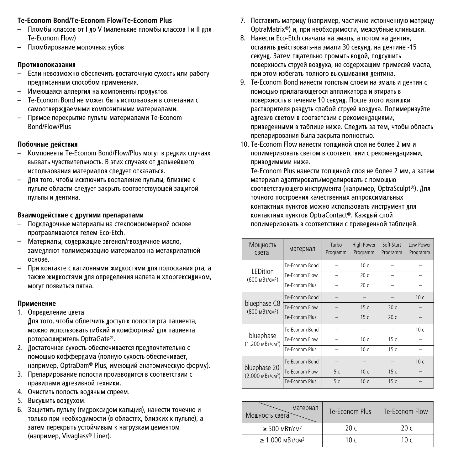#### **Te-Econom Bond/Te-Econom Flow/Te-Econom Plus**

- Пломбы классов от І до V (маленькие пломбы классов І и ІІ для Te-Econom Flow)
- Пломбирование молочных зубов

## Противопоказания

- Если невозможно обеспечить достаточную сухость или работу предписанным способом применения.
- Имеющаяся аллергия на компоненты продуктов.
- Te-Econom Bond не может быть использован в сочетании с САМООТВЕРОЖЛАЕМЫМИ КОМПОЗИТНЫМИ МАТЕРИАЛАМИ.
- Прямое перекрытие пульпы материалами Te-Econom Bond/Flow/Plus

## **Побочные лействия**

- Компоненты Te-Econom Bond/Flow/Plus могут в редких случаях вызвать чувствительность. В этих случаях от дальнейшего использования материалов слелует отказаться.
- Для того, чтобы исключить воспаление пульпы, близкие к пульпе области следует закрыть соответствующей защитой пульпы и дентина.

## Взаимодействие с другими препаратами

- Подкладочные материалы на стеклоиономерной основе протравливаются гелем Eco-Etch.
- Материалы, содержащие эвгенол/гвоздичное масло, замедляют полимеризацию материалов на метакрилатной основе.
- При контакте с катионными жидкостями для полоскания рта, а также жидкостями для определения налета и хлоргексидином, МОГУТ ПОЯВИТЬСЯ ПЯТНА.

## **Применение**

- 1. Определение цвета Для того, чтобы облегчить доступ к полости рта пациента, можно использовать гибкий и комфортный для пациента роторасширитель OptraGate®.
- 2. Достаточная сухость обеспечивается предпочтительно с помощью коффердама (полную сухость обеспечивает, например, OptraDam® Plus, имеющий анатомическую форму).
- 3. Препарирование полости производится в соответствии с правилами алгезивной техники.
- 4. Очистить полость водяным спреем.
- 5. Высушить воздухом.
- 6. Защитить пульпу (гидроксидом кальция), нанести точечно и только при необходимости (в областях, близких к пульпе), а затем перекрыть устойчивым к нагрузкам цементом (например, Vivaglass® Liner).
- 7. Поставить матрицу (например, частично истонченную матрицу OptraMatrix®) и, при необходимости, межзубные клинышки.
- 8. Нанести Eco-Etch сначала на эмаль, а потом на дентин, оставить действовать-на эмали 30 секунд, на дентине -15 Секунл. Затем тшательно промыть волой, полсушить поверхность струей воздуха, не содержащим примесей масла, при этом избегать полного высушивания дентина.
- 9. Te-Econom Bond нанести толстым слоем на эмаль и дентин с помощью прилагающегося аппликатора и втирать в поверхность в течение 10 секунд. После этого излишки растворителя раздуть слабой струей воздуха. Полимеризуйте адгезив светом в соответсвии с рекомендациями, приведенными в таблице ниже. Следить за тем, чтобы область препарирования была закрыта полностью.
- 10. Te-Econom Flow нанести толшиной слоя не более 2 мм и полимеризовать светом в соответствии с рекомендациями, приволимыми ниже.

Te-Econom Plus нанести толшиной слоя не более 2 мм, а затем материал адаптировать/моделировать с помощью соответствующего инструмента (например, OptraSculpt®). Для точного построения качественных аппроксимальных контактных пунктов можно использовать инструмент для контактных пунктов OptraContact®. Каждый слой полимеризовать в соответствии с приведенной таблицей.

| Мощность<br>света                             | матермал       | Turbo<br>Programm | <b>High Power</b><br>Programm | Soft Start<br>Programm | <b>Low Power</b><br>Programm |
|-----------------------------------------------|----------------|-------------------|-------------------------------|------------------------|------------------------------|
|                                               | Te-Econom Bond |                   | 10 с                          |                        |                              |
| I FDition<br>(600 мВт/см <sup>2</sup> )       | Te-Econom Flow |                   | 20 с                          |                        |                              |
|                                               | Te-Econom Plus |                   | 20 с                          |                        |                              |
| bluephase C8<br>(800 мВт/см <sup>2</sup> )    | Te-Econom Bond |                   |                               |                        | 10 <sub>c</sub>              |
|                                               | Te-Econom Flow |                   | 15 c                          | 20c                    |                              |
|                                               | Te-Econom Plus |                   | 15 c                          | 20c                    |                              |
|                                               | Te-Econom Bond |                   |                               |                        | 10 <sub>c</sub>              |
| bluephase<br>(1.200 мВт/см <sup>2</sup> )     | Te-Econom Flow |                   | 10 <sub>c</sub>               | 15c                    |                              |
|                                               | Te-Econom Plus |                   | 10 с                          | 15c                    |                              |
| bluephase 20i<br>(2.000 мВт/см <sup>2</sup> ) | Te-Econom Bond |                   |                               |                        | 10 <sub>c</sub>              |
|                                               | Te-Econom Flow | 5c                | 10 с                          | 15c                    |                              |
|                                               | Te-Econom Plus | 5c                | 10 с                          | 15c                    |                              |

| матермал<br>Мощность света                | Te-Fronom Plus | Te-Fronom Flow |
|-------------------------------------------|----------------|----------------|
| $\geq$ 500 MBT/cM <sup>2</sup>            | 20c            | 20c            |
| $\geq 1.000 \text{ m}$ BT/cM <sup>2</sup> | 10 c           | 10 $c$         |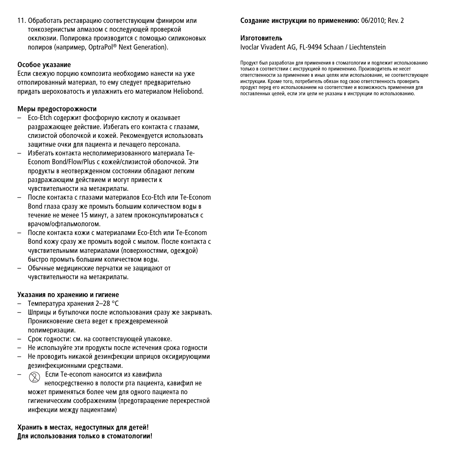11. Обработать реставрацию соответствующим финиром или тонкозернистым алмазом с послелующей проверкой окклюзии. Полировка производится с помощью силиконовых полиров (например, OptraPol® Next Generation).

#### Особое указание

Если свежую порцию композита необхолимо нанести на уже отполированный материал, то ему следует предварительно придать шероховатость и увлажнить его материалом Heliobond.

#### **Меры предосторожности**

- Eco-Etch содержит фосфорную кислоту и оказывает разлражающее лействие. Избегать его контакта с глазами. Спизистой обопочкой и кожей. Рекоменлуется использовать зашитные очки лля пациента и лечашего персонала.
- Избегать контакта несполимеризованного материала Те-Econom Bond/Flow/Plus с кожей/слизистой оболочкой. Эти пролукты в неотвержленном состоянии облавают пегким раздражающим действием и могут привести к чувствительности на метакрилаты.
- После контакта с глазами материалов Eco-Etch или Te-Econom Bond глаза сразу же промыть большим количеством волы в течение не менее 15 минут, а затем проконсультироваться с врачом/офтальмологом.
- После контакта кожи с материалами Eco-Etch или Te-Econom Bond кожу сразу же промыть водой с мылом. После контакта с чувствительными материалами (поверхностями, олежлой) быстро промыть большим количеством волы.
- Обычные медицинские перчатки не защищают от чувствительности на метакрилаты.

#### Указания по хранению и гигиене

- Температура хранения 2–28 °С
- Шприцы и бутылочки после использования сразу же закрывать. Проникновение света ведет к преждевременной полимеризации.
- Срок годности: см. на соответствующей упаковке.
- Не используйте эти пролукты после истечения срока голности
- Не проволить никакой лезинфекции шприцов оксилирующими дезинфекционными средствами.
- $\circledcirc$  Ecли Te-econom наносится из кавифила непосрелственно в попости рта пациента, кавифил не может применяться более чем лля олного пациента по гигиеническим соображениям (предотвращение перекрестной инфекции межлу пациентами)

#### $X$ ранить в местах, нелоступных лля летей!  $\overline{\textbf{h}}$ ля использования только в стоматологии!

#### $Co$ злание инструкции по применению: 06/2010; Rev. 2

#### **M**3FOTOBHTABL

Ivoclar Vivadent AG, FL-9494 Schaan / Liechtenstein

Пролукт был разработан лля применения в стоматологии и поллежит использованию TODKO R COOTRETCTRUM C UHCTDVKIIMEŇ DO DDUMEHENNO. ODOW3RODUTEDA HE HECET ОТВЕТСТВЕННОСТИ ЗА ПРИМЕНЕНИЕ В ИНЫХ ЦЕЛЯХ ИЛИ ИСПОЛЬЗОВАНИЕ. НЕ СООТВЕТСТВУЮЩЕЕ инструкции. Кроме того, потребитель обязан под свою ответственность проверить ООЛУКТ ПЕРЕЛ ЕГО ИСПОЛЬЗОВАНИЕМ НА СООТВЕТСТВИЕ И ВОЗМОЖНОСТЬ ПРИМЕНЕНИЯ ЛПЯ поставленных целей, если эти цели не указаны в инструкции по использованию.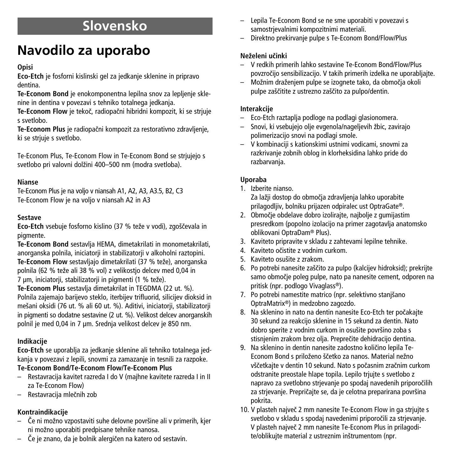# **Slovensko**

# **Navodilo za uporabo**

## **Opisi**

**Eco-Etch** je fosforni kislinski gel za jedkanje sklenine in pripravo dentina.

**Te-Econom Bond** je enokomponentna lepilna snov za lepljenje sklenine in dentina v povezavi s tehniko totalnega jedkanja.

**Te-Econom Flow** je tekoã, radiopaãni hibridni kompozit, ki se strjuje s svetlobo.

**Te-Econom Plus** je radiopaãni kompozit za restorativno zdravljenje, ki se striuje s svetlobo.

Te-Econom Plus, Te-Econom Flow in Te-Econom Bond se strjujejo s svetlobo pri valovni dolžini 400–500 nm (modra svetloba).

## **Nianse**

Te-Econom Plus je na voljo v niansah A1, A2, A3, A3.5, B2, C3 Te-Econom Flow je na voljo v niansah A2 in A3

## **Sestave**

**Eco-Etch** vsebuje fosforno kislino (37 % teže v vodi), zgoščevala in piamente.

**Te-Econom Bond** sestavlja HEMA, dimetakrilati in monometakrilati, anorganska polnila, iniciatorii in stabilizatorii v alkoholni raztopini. Te-Econom Flow sestavljajo dimetakrilati (37 % teže), anorganska polnila (62 % teže ali 38 % vol) z velikostjo delcev med 0,04 in 7 um, iniciatorii, stabilizatorii in pigmenti (1 % teže).

**Te-Econom Plus** sestavlja dimetakrilat in TEGDMA (22 ut. %). Polnila zajemajo barijevo steklo, iterbijev trifluorid, silicijev dioksid in me‰ani oksidi (76 ut. % ali 60 ut. %). Aditivi, iniciatorji, stabilizatorji in pigmenti so dodatne sestavine (2 ut. %). Velikost delcev anorganskih polnil je med 0,04 in 7 µm. Srednja velikost delcev je 850 nm.

## **Indikacije**

**Eco-Etch** se uporablja za jedkanje sklenine ali tehniko totalnega jedkanja v povezavi z lepili, snovmi za zamazanje in tesnili za razpoke.

## **Te-Econom Bond/Te-Econom Flow/Te-Econom Plus**

- Restavracija kavitet razreda I do V (majhne kavitete razreda I in II za Te-Econom Flow)
- Restavracija mleãnih zob

## **Kontraindikacije**

- Če ni možno vzpostaviti suhe delovne površine ali v primerih, kjer ni možno uporabiti predpisane tehnike nanosa.
- âe je znano, da je bolnik alergiãen na katero od sestavin.
- Lepila Te-Econom Bond se ne sme uporabiti v povezavi s samostrjevalnimi kompozitnimi materiali.
- Direktno prekirvanje pulpe s Te-Econom Bond/Flow/Plus

## **NeÏeleni uãinki**

- V redkih primerih lahko sestavine Te-Econom Bond/Flow/Plus povzroãijo sensibilizacijo. V takih primerih izdelka ne uporabljajte.
- Možnim draženjem pulpe se izognete tako, da območja okoli pulpe zaščitite z ustrezno zaščito za pulpo/dentin.

## **Interakcije**

- Eco-Etch raztaplja podloge na podlagi glasionomera.
- Snovi, ki vsebujejo olje evgenola/nageljevih Ïbic, zavirajo polimerizacijo snovi na podlagi smole.
- V kombinaciji s kationskimi ustnimi vodicami, snovmi za razkrivanje zobnih oblog in klorheksidina lahko pride do razbarvanja.

## **Uporaba**

1. Izberite nianso.

Za lažji dostop do območja zdravljenja lahko uporabite prilagodljiv, bolniku prijazen odpiralec ust OptraGate®.

- 2. Območie obdelave dobro izolirajte, najbolje z gumijastim presredkom (popolno izolacijo na primer zagotavlja anatomsko oblikovani OptraDam® Plus).
- 3. Kaviteto pripravite v skladu z zahtevami lepilne tehnike.
- 4. Kaviteto oãistite z vodnim curkom.
- 5. Kaviteto osu‰ite z zrakom.
- 6. Po potrebi nanesite zaščito za pulpo (kalcijev hidroksid); prekrijte samo obmoãje poleg pulpe, nato pa nanesite cement, odporen na pritisk (npr. podlogo Vivaglass®).
- 7. Po potrebi namestite matrico (npr. selektivno stanjšano OptraMatrix®) in medzobno zagozdo.
- 8. Na sklenino in nato na dentin nanesite Eco-Etch ter poãakajte 30 sekund za reakcijo sklenine in 15 sekund za dentin. Nato dobro sperite z vodnim curkom in osušite površino zoba s stisnjenim zrakom brez olja. Prepreãite dehidracijo dentina.
- 9. Na sklenino in dentin nanesite zadostno količino lepila Te-Econom Bond s priloženo ščetko za nanos. Material nežno vščetkajte v dentin 10 sekund. Nato s počasnim zračnim curkom odstranite preostale hlape topila. Lepilo trjujte s svetlobo z napravo za svetlobno strjevanje po spodaj navedenih priporoãilih za strjevanje. Prepričajte se, da je celotna preparirana površina pokrita.
- 10. V plasteh najveã 2 mm nanesite Te-Econom Flow in ga strjujte s svetlobo v skladu s spodaj navedenimi priporoãili za strjevanje. V plasteh najveã 2 mm nanesite Te-Econom Plus in prilagodite/oblikuite material z ustreznim inštrumentom (npr.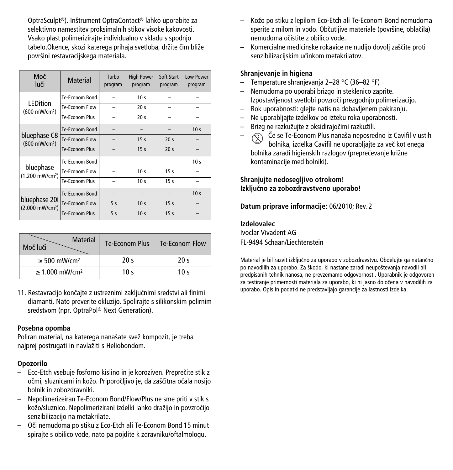OptraSculpt®). In‰trument OptraContact® lahko uporabite za selektivno namestitev proksimalnih stikov visoke kakovosti. Vsako plast polimerizirajte individualno v skladu s spodnjo tabelo.Okence, skozi katerega prihaja svetloba, držite ãim bliže površini restavracijskega materiala.

| Moč<br>luči                                  | <b>Material</b>       | Turbo<br>program | <b>High Power</b><br>program | Soft Start<br>program | <b>Low Power</b><br>program |
|----------------------------------------------|-----------------------|------------------|------------------------------|-----------------------|-----------------------------|
|                                              | Te-Econom Bond        |                  | 10 <sub>s</sub>              |                       |                             |
| LEDition<br>(600 mW/cm <sup>2</sup> )        | Te-Econom Flow        |                  | 20 <sub>s</sub>              |                       |                             |
|                                              | <b>Te-Econom Plus</b> |                  | 20 <sub>s</sub>              |                       |                             |
| bluephase C8<br>(800 mW/cm <sup>2</sup> )    | Te-Econom Bond        |                  |                              |                       | 10 <sub>s</sub>             |
|                                              | Te-Econom Flow        |                  | 15 <sub>s</sub>              | 20 <sub>s</sub>       |                             |
|                                              | <b>Te-Econom Plus</b> |                  | 15 <sub>s</sub>              | 20 <sub>s</sub>       |                             |
|                                              | Te-Econom Bond        |                  |                              |                       | 10 <sub>s</sub>             |
| bluephase<br>(1.200 mW/cm <sup>2</sup> )     | Te-Econom Flow        |                  | 10 <sub>s</sub>              | 15 <sub>s</sub>       |                             |
|                                              | Te-Econom Plus        |                  | 10 <sub>s</sub>              | 15 <sub>s</sub>       |                             |
| bluephase 20i<br>(2.000 mW/cm <sup>2</sup> ) | Te-Econom Bond        |                  |                              |                       | 10 <sub>s</sub>             |
|                                              | Te-Econom Flow        | 5s               | 10 <sub>s</sub>              | 15 <sub>s</sub>       |                             |
|                                              | Te-Econom Plus        | 5<               | 10 <sub>s</sub>              | 15 <sub>s</sub>       |                             |

| Material<br>Moč luči            | <b>Te-Econom Plus</b> | Te-Econom Flow  |
|---------------------------------|-----------------------|-----------------|
| $\geq$ 500 mW/cm <sup>2</sup>   | 20 <sub>s</sub>       | 20 <sub>s</sub> |
| $\geq 1.000$ mW/cm <sup>2</sup> | 10 <sub>s</sub>       | 10 $\leq$       |

11. Restavracijo konãajte z ustreznimi zakljuãnimi sredstvi ali finimi diamanti. Nato preverite okluzijo. Spolirajte s silikonskim polirnim sredstvom (npr. OptraPol ® Next Generation).

#### **Posebna opomba**

Poliran material, na katerega nanašate svež kompozit, ie treba najprej postrugati in navlažiti s Heliobondom.

## **Opozorilo**

- Eco-Etch vsebuje fosforno kislino in je koroziven. Prepreãite stik z očmi, sluznicami in kožo. Priporočljivo je, da zaščitna očala nosijo bolnik in zobozdravniki.
- Nepolimerizeiran Te-Econom Bond/Flow/Plus ne sme priti v stik s kožo/sluznico. Nepolimerizirani izdelki lahko dražijo in povzročijo senzibilizacijo na metakrilate.
- Oãi nemudoma po stiku z Eco-Etch ali Te-Econom Bond 15 minut spirajte s obilico vode, nato pa pojdite k zdravniku/oftalmologu.
- KoÏo po stiku z lepilom Eco-Etch ali Te-Econom Bond nemudoma sperite z milom in vodo. Občutlijve materiale (površine, oblačila) nemudoma oãistite z obilico vode.
- Komercialne medicinske rokavice ne nudijo dovolj za‰ãite proti senzibilizacijskim učinkom metakrilatov.

#### **Shranjevanje in higiena**

- Temperature shranjevanja 2–28 °C (36–82 °F)
- Nemudoma po uporabi brizgo in steklenico zaprite. Izpostavljenost svetlobi povzroči prezgodnjo polimerizacijo.
- Rok uporabnosti: glejte natis na dobavljenem pakiranju.
- Ne uporabljajte izdelkov po izteku roka uporabnosti.
- Brizg ne razkužujte z oksidirajočimi razkužili.
- $\circledcirc$  Če se Te-Econom Plus nanaša neposredno iz Cavifil v ustih bolnika, izdelka Cavifil ne uporabliajte za več kot enega bolnika zaradi higienskih razlogov (prepreãevanje križne kontaminacije med bolniki).

## **Shranjujte nedosegljivo otrokom! Izkljuãno za zobozdravstveno uporabo!**

**Datum priprave informacije:** 06/2010; Rev. 2

#### **Izdelovalec**

Ivoclar Vivadent AG FL-9494 Schaan/Liechtenstein

Material je bil razvit izkljuãno za uporabo v zobozdravstvu. Obdelujte ga natanãno po navodilih za uporabo. Za škodo, ki nastane zaradi neupoštevanja navodil ali predpisanih tehnik nanosa, ne prevzemamo odgovornosti. Uporabnik je odgovoren za testiranje primernosti materiala za uporabo, ki ni jasno doloãena v navodilih za uporabo. Opis in podatki ne predstavljajo garancije za lastnosti izdelka.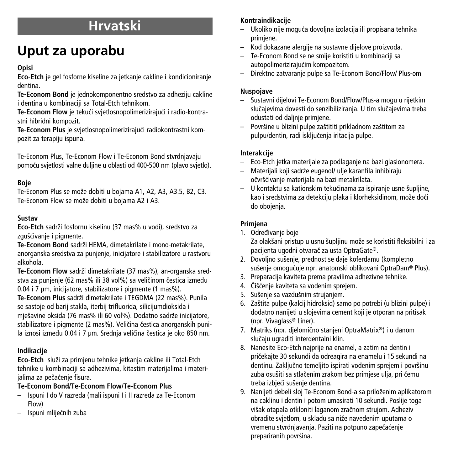## **Hrvatski**

# **Uput za uporabu**

## **Opisi**

**Eco-Etch** je gel fosforne kiseline za jetkanje cakline i kondicioniranje dentina.

**Te-Econom Bond** je jednokomponentno sredstvo za adheziju cakline i dentina u kombinaciji sa Total-Etch tehnikom.

**Te-Econom Flow** je tekuçi svjetlosnopolimerizirajuçi i radio-kontrastni hibridni kompozit.

**Te-Econom Plus** je svjetlosnopolimerizirajuçi radiokontrastni kompozit za terapiju ispuna.

Te-Econom Plus, Te-Econom Flow i Te-Econom Bond stvrdnjavaju pomoçu svjetlosti valne duljine u oblasti od 400-500 nm (plavo svjetlo).

## **Boje**

Te-Econom Plus se može dobiti u bojama A1, A2, A3, A3.5, B2, C3. Te-Econom Flow se može dobiti u bojama A2 i A3.

## **Sustav**

**Eco-Etch** sadrži fosfornu kiselinu (37 mas% u vodi), sredstvo za zgušćivanje i pigmente.

**Te-Econom Bond** sadrži HEMA, dimetakrilate i mono-metakrilate, anorganska sredstva za punjenje, inicijatore i stabilizatore u rastvoru alkohola.

**Te-Econom Flow** sadrži dimetakrilate (37 mas%), an-organska sredstva za punjenje (62 mas% ili 38 vol%) sa veličinom čestica između 0.04 i 7 µm, inicijatore, stabilizatore i pigmente (1 mas%).

Te-Econom Plus sadrži dimetakrilate i TEGDMA (22 mas%). Punila se sastoje od barij stakla, iterbij trifluorida, silicijumdioksida i miešavine oksida (76 mas% ili 60 vol%). Dodatno sadrže inicijatore, stabilizatore i pigmente (2 mas%). Veličina čestica anorganskih punila iznosi između 0.04 i 7 um. Srednja veličina čestica je oko 850 nm.

## **Indikacije**

Eco-Etch služi za primjenu tehnike jetkanja cakline ili Total-Etch tehnike u kombinaciji sa adhezivima, kitastim materijalima i materijalima za pečaćenie fisura.

## **Te-Econom Bond/Te-Econom Flow/Te-Econom Plus**

- Ispuni I do V razreda (mali ispuni I i II razreda za Te-Econom Flow)
- Ispuni mlijeãnih zuba

## **Kontraindikacije**

- Ukoliko nije moguça dovoljna izolacija ili propisana tehnika primjene.
- Kod dokazane alergije na sustavne dijelove proizvoda.
- Te-Econom Bond se ne smije koristiti u kombinaciji sa autopolimerizirajućim kompozitom.
- Direktno zatvaranje pulpe sa Te-Econom Bond/Flow/ Plus-om

## **Nuspojave**

- Sustavni dijelovi Te-Econom Bond/Flow/Plus-a mogu u rijetkim slučajevima dovesti do senzibiliziranja. U tim slučajevima treba odustati od daljnje primjene.
- Povr‰ine u blizini pulpe za‰tititi prikladnom za‰titom za pulpu/dentin, radi iskljuãenja iritacija pulpe.

## **Interakcije**

- Eco-Etch jetka materijale za podlaganje na bazi glasionomera.
- Materijali koji sadrÏe eugenol/ ulje karanfila inhibiraju očvršćivanje materijala na bazi metakrilata.
- U kontaktu sa kationskim tekuçinama za ispiranje usne ‰upljine, kao i sredstvima za detekciju plaka i klorheksidinom, može doći do obojenja.

## **Primjena**

- 1. Određivanie boje Za olakšani pristup u usnu šupljinu može se koristiti fleksibilni i za
- pacijenta ugodni otvaraã za usta OptraGate®. 2. Dovoljno sušenje, prednost se daje koferdamu (kompletno
- sušenje omogućuje npr. anatomski oblikovani OptraDam® Plus).
- 3. Preparacija kaviteta prema pravilima adhezivne tehnike.
- 4. Čišćenje kaviteta sa vodenim sprejem.
- 5. Sušenje sa vazdušnim strujanjem.
- 6. Zaštita pulpe (kalcij hidroksid) samo po potrebi (u blizini pulpe) i dodatno nanijeti u slojevima cement koji je otporan na pritisak (npr. Vivaglass® Liner).
- 7. Matriks (npr. djelomično stanjeni OptraMatrix®) i u danom sluãaju ugraditi interdentalni klin.
- 8. Nanesite Eco-Etch najprije na enamel, a zatim na dentin i priãekajte 30 sekundi da odreagira na enamelu i 15 sekundi na dentinu. Zaključno temeljito ispirati vodenim sprejem i površinu zuba osušiti sa stlačenim zrakom bez primjese ulja, pri čemu treba izbjeći sušenje dentina.
- 9. Nanijeti debeli sloj Te-Econom Bond-a sa priloženim aplikatorom na caklinu i dentin i potom umasirati 10 sekundi. Poslije toga višak otapala otkloniti laganom zračnom strujom. Adheziv obradite svjetlom, u skladu sa niže navedenim uputama o vremenu stvrdnjavanja. Paziti na potpuno zapeãaçenje prepariranih površina.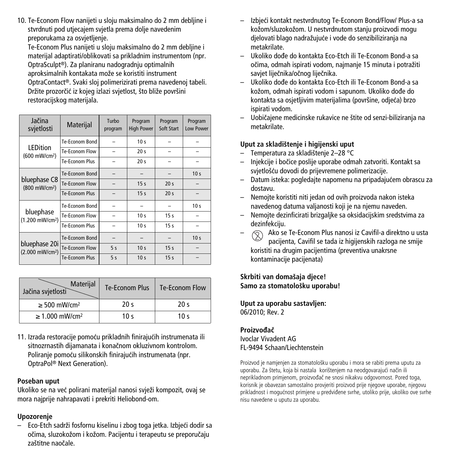10. Te-Econom Flow nanijeti u sloju maksimalno do 2 mm debljine i stvrdnuti pod utjecajem svjetla prema dolje navedenim preporukama za osvjetljenje.

Te-Econom Plus nanijeti u sloju maksimalno do 2 mm debljine i materijal adaptirati/oblikovati sa prikladnim instrumentom (npr. OptraSculpt®). Za planiranu nadogradnju optimalnih aproksimalnih kontakata može se koristiti instrument OptraContact®. Svaki sloj polimerizirati prema navedenoj tabeli. Držite prozorãiç iz kojeg izlazi svjetlost, što bliže površini restoracijskog materijala.

| Jačina<br>svjetlosti                         | Materijal             | Turbo<br>program | Program<br><b>High Power</b> | Program<br>Soft Start | Program<br>Low Power |
|----------------------------------------------|-----------------------|------------------|------------------------------|-----------------------|----------------------|
| <b>LEDition</b>                              | Te-Econom Bond        |                  | 10 <sub>s</sub>              |                       |                      |
| (600 mW/cm <sup>2</sup> )                    | Te-Econom Flow        |                  | 20 <sub>s</sub>              |                       |                      |
|                                              | Te-Econom Plus        |                  | 20 <sub>s</sub>              |                       |                      |
|                                              | Te-Econom Bond        |                  |                              |                       | 10 <sub>s</sub>      |
| bluephase C8<br>(800 mW/cm <sup>2</sup> )    | Te-Econom Flow        |                  | 15 <sub>s</sub>              | 20 <sub>s</sub>       |                      |
|                                              | <b>Te-Econom Plus</b> |                  | 15 <sub>s</sub>              | 20 <sub>s</sub>       |                      |
|                                              | Te-Econom Bond        |                  |                              |                       | 10 <sub>s</sub>      |
| bluephase<br>(1.200 mW/cm <sup>2</sup> )     | Te-Econom Flow        |                  | 10 <sub>s</sub>              | 15 <sub>s</sub>       |                      |
|                                              | Te-Econom Plus        |                  | 10 <sub>s</sub>              | 15 <sub>s</sub>       |                      |
| bluephase 20i<br>(2.000 mW/cm <sup>2</sup> ) | Te-Econom Bond        |                  |                              |                       | 10 <sub>s</sub>      |
|                                              | Te-Econom Flow        | 5s               | 10 <sub>s</sub>              | 15 <sub>s</sub>       |                      |
|                                              | Te-Econom Plus        | 5s               | 10 <sub>s</sub>              | 15 <sub>s</sub>       |                      |

| Materijal<br>Jačina svjetlosti  | <b>Te-Econom Plus</b> | Te-Econom Flow  |
|---------------------------------|-----------------------|-----------------|
| $\geq$ 500 mW/cm <sup>2</sup>   | 20 <sub>s</sub>       | 20 <sub>s</sub> |
| $\geq 1.000$ mW/cm <sup>2</sup> | 10 <sub>s</sub>       | 10 <sub>s</sub> |

11. Izrada restoracije pomoçu prikladnih finirajuçih instrumenata ili sitnozrnastih dijamanata i konačnom okluzivnom kontrolom. Poliranje pomoçu silikonskih finirajuçih instrumenata (npr. OptraPol ® Next Generation).

## **Poseban uput**

Ukoliko se na već polirani materijal nanosi svježi kompozit, ovaj se mora naipriie nahrapavati i prekriti Heliobond-om.

## **Upozorenje**

Eco-Etch sadrži fosfornu kiselinu i zbog toga jetka. Izbjeći dodir sa očima, sluzokožom i kožom. Pacijentu i terapeutu se preporučaju zaštitne naočale.

- Izbjeçi kontakt nestvrdnutog Te-Econom Bond/Flow/ Plus-a sa kožom/sluzokožom. U nestvrdnutom stanju proizvodi mogu djelovati blago nadražujuće i vode do senzibiliziranja na metakrilate.
- Ukoliko doe do kontakta Eco-Etch ili Te-Econom Bond-a sa očima, odmah ispirati vodom, najmanje 15 minuta i potražiti saviet liječnika/očnog liječnika.
- Ukoliko doe do kontakta Eco-Etch ili Te-Econom Bond-a sa kožom, odmah ispirati vodom i sapunom. Ukoliko dođe do kontakta sa osjetljivim materijalima (površine, odjeća) brzo ispirati vodom.
- Uobiãajene medicinske rukavice ne ‰tite od senzi-biliziranja na metakrilate.

## **Uput za skladi‰tenje i higijenski uput**

- Temperatura za skladi‰tenje 2–28 °C
- Injekcije i boãice poslije uporabe odmah zatvoriti. Kontakt sa svietlošću dovodi do prijevremene polimerizacije.
- Datum isteka: pogledajte napomenu na pripadajuçem obrascu za dostavu.
- Nemojte koristiti niti jedan od ovih proizvoda nakon isteka navedenog datuma valjanosti koji je na njemu naveden.
- Nemojte dezinficirati brizgaljke sa oksidacijskim sredstvima za dezinfekciju.
- $\circled{2}$  Ako se Te-Econom Plus nanosi iz Cavifil-a direktno u usta pacijenta, Cavifil se tada iz higijenskih razloga ne smije koristiti na drugim pacijentima (preventiva unakrsne kontaminacije pacijenata)

**Skrbiti van doma‰aja djece! Samo za stomatolo‰ku uporabu!**

**Uput za uporabu sastavljen:** 06/2010; Rev. 2

#### **ProizvoaË** Ivoclar Vivadent AG FL-9494 Schaan/Liechtenstein

Proizvod je namjenjen za stomatološku uporabu i mora se rabiti prema uputu za uporabu. Za štetu, koja bi nastala korištenjem na neodgovarajući način ili neprikladnom primjenom, proizvođač ne snosi nikakvu odgovornost. Pored toga, korisnik je obavezan samostalno provjeriti proizvod prije njegove uporabe, njegovu prikladnost i mogućnost primjene u predviđene svrhe, utoliko prije, ukoliko ove svrhe nisu navedene u uputu za uporabu.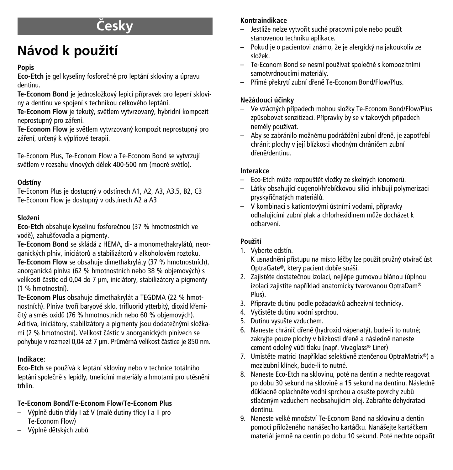# **âesky**

# **Návod** k použití

## **Popis**

**Eco-Etch** je gel kyseliny fosforeãné pro leptání skloviny a úpravu dentinu.

Te-Econom Bond je jednosložkový lepicí přípravek pro lepení skloviny a dentinu ve spojení s technikou celkového leptání.

Te-Econom Flow je tekutý, světlem vytvrzovaný, hybridní kompozit neprostupný pro záření.

**Te-Econom Flow** je světlem vytvrzovaný kompozit neprostupný pro záření, určený k výplňové terapii.

Te-Econom Plus, Te-Econom Flow a Te-Econom Bond se vytvrzují světlem v rozsahu vlnových délek 400-500 nm (modré světlo).

## **Odstíny**

Te-Econom Plus je dostupný v odstínech A1, A2, A3, A3.5, B2, C3 Te-Econom Flow je dostupný v odstínech A2 a A3

## **SloÏení**

**Eco-Etch** obsahuje kyselinu fosforeãnou (37 % hmotnostních ve vodě), zahušťovadla a pigmenty.

**Te-Econom Bond** se skládá z HEMA, di- a monomethakrylátÛ, neorganick˘ch plniv, iniciátorÛ a stabilizátorÛ v alkoholovém roztoku. **Te-Econom Flow** se obsahuje dimethakryláty (37 % hmotnostních), anorganická plniva (62 % hmotnostních nebo 38 % objemových) s velikostí částic od 0.04 do 7 um, iniciátory, stabilizátory a pigmenty (1 % hmotnostní).

**Te-Econom Plus** obsahuje dimethakrylát a TEGDMA (22 % hmotnostních). Plniva tvoří baryové sklo, trifluorid vtterbitý, dioxid křemičitý a směs oxidů (76 % hmotnostních nebo 60 % objemových). Aditiva, iniciátory, stabilizátory a pigmenty jsou dodatečnými složkami (2 % hmotnostní). Velikost částic v anorganických plnivech se pohybuje v rozmezí 0,04 až 7 µm. Průměrná velikost částice je 850 nm.

## **Indikace:**

Eco-Etch se používá k leptání skloviny nebo v technice totálního leptání společně s lepidly, tmelicími materiály a hmotami pro utěsnění trhlin.

## **Te-Econom Bond/Te-Econom Flow/Te-Econom Plus**

- Výplně dutin třídy I až V (malé dutiny třídy I a II pro Te-Econom Flow)
- V˘plnû dûtsk˘ch zubÛ

## **Kontraindikace**

- Jestliže nelze vytvořit suché pracovní pole nebo použít stanovenou techniku aplikace.
- Pokud je o pacientovi známo, Ïe je alergick˘ na jakoukoliv ze sloÏek.
- Te-Econom Bond se nesmí používat společně s kompozitními samotvrdnoucími materiály.
- Pfiímé pfiekrytí zubní dfienû Te-Econom Bond/Flow/Plus.

## **NeÏádoucí úãinky**

- Ve vzácných případech mohou složky Te-Econom Bond/Flow/Plus způsobovat senzitizaci. Přípravky by se v takových případech neměly používat.
- Aby se zabránilo možnému podráždění zubní dřeně, je zapotřebí chránit plochy v její blízkosti vhodným chráničem zubní dřeně/dentinu.

## **Interakce**

- Eco-Etch může rozpouštět vložky ze skelných ionomerů.
- Látky obsahující eugenol/hfiebíãkovou silici inhibují polymerizaci pryskyřičnatých materiálů.
- V kombinaci s kationtov˘mi ústními vodami, pfiípravky odhalujícími zubní plak a chlorhexidinem může docházet k odbarvení.

## **PouÏití**

1. Vyberte odstín.

K usnadnění přístupu na místo léčby lze použít pružný otvírač úst OptraGate®, který pacient dobře snáší.

- 2. Zajistěte dostatečnou izolaci, nejlépe gumovou blánou (úplnou izolaci zajistíte napfiíklad anatomicky tvarovanou OptraDam® Plus).
- 3. Připravte dutinu podle požadavků adhezívní technicky.
- 4. Vyčistěte dutinu vodní sprchou.
- 5. Dutinu vysušte vzduchem.
- 6. Naneste chránič dřeně (hydroxid vápenatý), bude-li to nutné: zakryjte pouze plochy v blízkosti dřeně a následně naneste cement odolný vůči tlaku (např. Vivaglass® Liner)
- 7. Umístěte matrici (například selektivně ztenčenou OptraMatrix®) a mezizubní klínek, bude-li to nutné.
- 8. Naneste Eco-Etch na sklovinu, poté na dentin a nechte reagovat po dobu 30 sekund na sklovině a 15 sekund na dentinu. Následně důkladně opláchněte vodní sprchou a osušte povrchy zubů stlačeným vzduchem neobsahujícím olej. Zabraňte dehydrataci dentinu.
- 9. Naneste velké množství Te-Econom Band na sklovinu a dentin pomocí přiloženého nanášecího kartáčku. Nanášejte kartáčkem materiál jemně na dentin po dobu 10 sekund. Poté nechte odpařit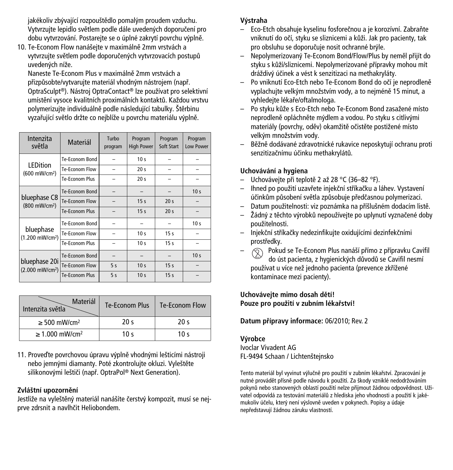jakékoliv zbývající rozpouštědlo pomalým proudem vzduchu. Vytvrzuite lepidlo světlem podle dále uvedených doporučení pro dobu vytvrzování. Postarejte se o úplné zakrytí povrchu výplně.

10. Te-Econom Flow nanášejte v maximálně 2mm vrstvách a vytvrzuite světlem podle doporučených vytvrzovacích postupů uvedených níže.

Naneste Te-Econom Plus v maximálně 2mm vrstvách a přizpůsobte/vytvarujte materiál vhodným nástrojem (např. OptraSculpt®). Nástroj OptraContact® lze používat pro selektivní umístění vysoce kvalitních proximálních kontaktů. Každou vrstvu polymerizujte individuálně podle následující tabulky. Štěrbinu vyzařující světlo držte co nejblíže u povrchu materiálu výplně.

| Intenzita<br>světla                          | Materiál              | Turbo<br>program | Program<br><b>High Power</b> | Program<br>Soft Start | Program<br>Low Power |
|----------------------------------------------|-----------------------|------------------|------------------------------|-----------------------|----------------------|
|                                              | Te-Econom Bond        |                  | 10 <sub>s</sub>              |                       |                      |
| <b>LEDition</b><br>(600 mW/cm <sup>2</sup> ) | Te-Econom Flow        |                  | 20 <sub>s</sub>              |                       |                      |
|                                              | <b>Te-Econom Plus</b> |                  | 20 <sub>s</sub>              |                       |                      |
|                                              | Te-Econom Bond        |                  |                              |                       | 10 <sub>s</sub>      |
| bluephase C8<br>(800 mW/cm <sup>2</sup> )    | Te-Econom Flow        |                  | 15 <sub>s</sub>              | 20 <sub>s</sub>       |                      |
|                                              | Te-Fronom Plus        |                  | 15 <sub>s</sub>              | 20 <sub>s</sub>       |                      |
|                                              | Te-Econom Bond        |                  |                              |                       | 10 <sub>s</sub>      |
| bluephase<br>(1.200 mW/cm <sup>2</sup> )     | Te-Econom Flow        |                  | 10 <sub>s</sub>              | 15 <sub>s</sub>       |                      |
|                                              | Te-Fronom Plus        |                  | 10 <sub>s</sub>              | 15 <sub>s</sub>       |                      |
| bluephase 20i<br>(2.000 mW/cm <sup>2</sup> ) | Te-Econom Bond        |                  |                              |                       | 10 <sub>s</sub>      |
|                                              | Te-Econom Flow        | 5s               | 10 <sub>s</sub>              | 15 <sub>s</sub>       |                      |
|                                              | Te-Econom Plus        | 5s               | 10 <sub>s</sub>              | 15 <sub>s</sub>       |                      |

| Materiál<br>Intenzita světla    | Te-Econom Plus  | Te-Econom Flow  |
|---------------------------------|-----------------|-----------------|
| $\geq$ 500 mW/cm <sup>2</sup>   | 20 <sub>s</sub> | 20 <sup>5</sup> |
| $\geq 1.000$ mW/cm <sup>2</sup> | 10 $\leq$       | 10 $\leq$       |

11. Proveďte povrchovou úpravu výplně vhodnými lešticími nástroji nebo jemnými diamanty. Poté zkontrolujte okluzi. Vyleštěte silikonovými leštiči (např. OptraPol® Next Generation).

## **Zvlá‰tní upozornûní**

Jestliže na vyleštěný materiál nanášíte čerstvý kompozit, musí se nejprve zdrsnit a navlhãit Heliobondem.

## **V˘straha**

- Eco-Etch obsahuje kyselinu fosforeãnou a je korozívní. ZabraÀte vniknutí do očí, styku se sliznicemi a kůži. Jak pro pacienty, tak pro obsluhu se doporuãuje nosit ochranné br˘le.
- Nepolymerizovan˘ Te-Econom Bond/Flow/Plus by nemûl pfiijít do styku s kůží/sliznicemi. Nepolymerizované přípravky mohou mít dráždivý účinek a vést k senzitizaci na methakryláty.
- Po vniknutí Eco-Etch nebo Te-Econom Bond do oãí je neprodlenû vyplachujte velkým množstvím vody, a to nejméně 15 minut, a vyhledeite lékaře/oftalmologa.
- Po styku kÛÏe s Eco-Etch nebo Te-Econom Bond zasaÏené místo neprodleně opláchněte mýdlem a vodou. Po styku s citlivými materiály (povrchy, oděv) okamžitě očistěte postižené místo velkým množstvím vody.
- BûÏnû dodávané zdravotnické rukavice neposkytují ochranu proti senzitizačnímu účinku methakrylátů.

## **Uchovávání a hygiena**

- Uchovávejte při teplotě 2 až 28 °C (36–82 °F).
- Ihned po pouÏití uzavfiete injekãní stfiíkaãku a láhev. Vystavení účinkům působení světla způsobuje předčasnou polymerizaci.
- Datum pouÏitelnosti: viz poznámka na pfiíšlušném dodacím listû.
- Žádn˘ z tûchto v˘robkÛ nepoužívejte po uplynutí vyznaãené doby použitelnosti.
- Injekãní stfiíkaãky nedezinfikujte oxidujícími dezinfekãními prostředky.
- $\circledcirc$  Pokud se Te-Econom Plus nanáší přímo z přípravku Cavifil do úst pacienta, z hygienick˘ch dÛvodÛ se Cavifil nesmí používat u více než jednoho pacienta (prevence zkfiížené kontaminace mezi pacienty).

**Uchovávejte mimo dosah dûtí! Pouze pro pouÏití v zubním lékafiství!**

**Datum pfiípravy informace:** 06/2010; Rev. 2

## **V˘robce**

Ivoclar Vivadent AG FL-9494 Schaan / Lichtenšteinsko

Tento materiál byl vyvinut výlučně pro použití v zubním lékařství. Zpracování je nutné provádět přísně podle návodu k použití. Za škody vzniklé nedodržováním pokynů nebo stanovených oblastí použití nelze přiimout žádnou odpovědnost. Uživatel odpovídá za testování materiálů z hlediska jeho vhodnosti a použití k jakémukoliv účelu, který není výslovně uveden v pokynech. Popisy a údaje nepředstavují žádnou záruku vlastností.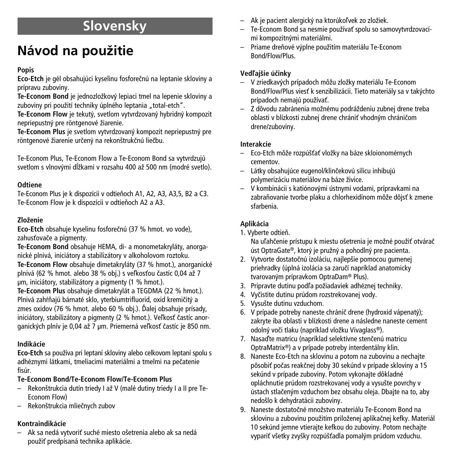## **Slovensky**

# **Návod** na použitie

## **Popis**

**Eco-Etch** je gél obsahujúci kyselinu fosforeãnú na leptanie skloviny a prípravu zuboviny.

**Te-Econom Bond** je jednozložkový lepiaci tmel na lepenie skloviny a zuboviny pri použití techniky úplného leptania "total-etch".

Te-Econom Flow je tekutý, svetlom vytvrdzovaný hybridný kompozit nepriepustný pre röntgenové žiarenie.

**Te-Econom Plus** je svetlom vytvrdzovan˘ kompozit nepriepustn˘ pre röntgenové žiarenie určený na rekonštrukčnú liečbu.

Te-Econom Plus, Te-Econom Flow a Te-Econom Bond sa vytvrdzujú svetlom s vlnovými dĺžkami v rozsahu 400 až 500 nm (modré svetlo).

## **Odtiene**

Te-Econom Plus je k dispozícii v odtieňoch A1, A2, A3, A3,5, B2 a C3. Te-Econom Flow je k dispozícii v odtieÀoch A2 a A3.

## **ZloÏenie**

**Eco-Etch** obsahuje kyselinu fosforeãnú (37 % hmot. vo vode), zahusťovače a pigmenty.

**Te-Econom Bond** obsahuje HEMA, di- a monometakryláty, anorganické plnivá, iniciátory a stabilizátory v alkoholovom roztoku. **Te-Econom Flow** obsahuje dimetakryláty (37 % hmot.), anorganické plnivá (62 % hmot. alebo 38 % obj.) s veľkosťou častíc 0,04 až 7 µm, iniciátory, stabilizátory a pigmenty (1 % hmot.).

**Te-Econom Plus** obsahuje dimetakrylát a TEGDMA (22 % hmot.). Plnivá zahŕňajú bárnaté sklo, yterbiumtrifluorid, oxid kremičitý a zmes oxidov (76 % hmot. alebo 60 % obj.). ëalej obsahuje prísady, iniciátory, stabilizátory a pigmenty (2 % hmot.). Veľkosť častíc anorganických plnív je 0,04 až 7 µm. Priemerná veľkosť častíc je 850 nm.

## **Indikácie**

Eco-Etch sa používa pri leptaní skloviny alebo celkovom leptaní spolu s adhéznymi látkami, tmeliacimi materiálmi a tmelmi na peãatenie fisúr.

## **Te-Econom Bond/Te-Econom Flow/Te-Econom Plus**

- Rekonštrukcia dutín triedy I až V (malé dutiny triedy I a II pre Te-Econom Flow)
- Rekon‰trukcia mlieãnych zubov

## **Kontraindikácie**

Ak sa nedá vytvoriť suché miesto ošetrenia alebo ak sa nedá použiť predpísaná technika aplikácie.

- Ak je pacient alergický na ktorúkoľvek zo zložiek.
- Te-Econom Bond sa nesmie používať spolu so samovytvrdzovacími kompozitnými materiálmi.
- Priame dreÀové v˘plne pouÏitím materiálu Te-Econom Bond/Flow/Plus.

## **Vedºaj‰ie úãinky**

- V zriedkavých prípadoch môžu zložky materiálu Te-Econom Bond/Flow/Plus viesť k senzibilizácii. Tieto materiály sa v takýchto prípadoch nemajú používať.
- Z dôvodu zabránenia možnému podráždeniu zubnej drene treba oblasti v blízkosti zubnej drene chrániť vhodným chráničom drene/zuboviny.

## **Interakcie**

- Eco-Etch môÏe rozpú‰ÈaÈ vloÏky na báze skloionomérnych cementov.
- Látky obsahujúce eugenol/klinãekovú silicu inhibujú polymerizáciu materiálov na báze živice.
- V kombinácii s katiónov˘mi ústnymi vodami, prípravkami na zabraňovanie tvorbe plaku a chlorhexidínom môže dôjsť k zmene sfarbenia.

## **Aplikácia**

1. Vyberte odtieÀ.

Na uľahčenie prístupu k miestu ošetrenia je možné použiť otvárač úst OptraGate®, ktorý je pružný a pohodlný pre pacienta.

- 2. Vytvorte dostatočnú izoláciu, najlepšie pomocou gumenej priehradky (úplná izolácia sa zaručí napríklad anatomicky tvarovan˘m prípravkom OptraDam® Plus).
- 3. Pripravte dutinu podľa požiadaviek adhéznej techniky.
- 4. Vyãistite dutinu prúdom rozstrekovanej vody.
- 5. Vysušte dutinu vzduchom.
- 6. V prípade potreby naneste chránič drene (hydroxid vápenatý); zakryte iba oblasti v blízkosti drene a následne naneste cement odolný voči tlaku (napríklad vložku Vivaglass®).
- 7. Nasaď te matricu (napríklad selektívne stenčenú matricu OptraMatrix®) a v prípade potreby interdentálny klin.
- 8. Naneste Eco-Etch na sklovinu a potom na zubovinu a nechajte pôsobiť počas reakčnej doby 30 sekúnd v prípade skloviny a 15 sekúnd v prípade zuboviny. Potom vykonajte dôkladné opláchnutie prúdom rozstrekovanej vody a vysušte povrchy v ústach stlačeným vzduchom bez obsahu oleja. Dbajte na to, aby nedo‰lo k dehydratácii zuboviny.
- 9. Naneste dostatočné množstvo materiálu Te-Econom Bond na sklovinu a zubovinu použitím priloženej aplikačnej kefky. Materiál 10 sekúnd jemne vtierajte kefkou do zuboviny. Potom nechajte vypariť všetky zvyšky rozpúšťadla pomalým prúdom vzduchu.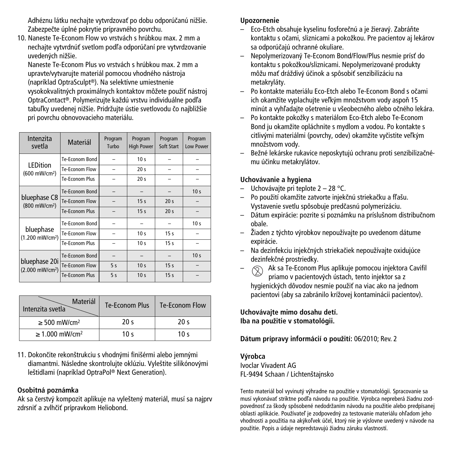Adhéznu látku nechajte vytvrdzovať po dobu odporúčanú nižšie. Zabezpečte úplné pokrytie prípravného povrchu.

10. Naneste Te-Econom Flow vo vrstvách s hrúbkou max. 2 mm a nechajte vytvrdnúť svetlom podľa odporúčaní pre vytvrdzovanie uvedených nižšie

Naneste Te-Econom Plus vo vrstvách s hrúbkou max. 2 mm a upravte/vytvarujte materiál pomocou vhodného nástroja (napríklad OptraSculpt®). Na selektívne umiestnenie vysokokvalitných proximálnych kontaktov môžete použiť nástroj OptraContact®. Polymerizujte každú vrstvu individuálne podľa tabuľky uvedenej nižšie. Pridržujte ústie svetlovodu čo najbližšie pri povrchu obnovovacieho materiálu.

| Intenzita<br>svetla                          | Materiál              | Program<br>Turbo | Program<br><b>High Power</b> | Program<br>Soft Start | Program<br>Low Power |
|----------------------------------------------|-----------------------|------------------|------------------------------|-----------------------|----------------------|
| <b>LEDition</b>                              | Te-Econom Bond        |                  | 10 <sub>s</sub>              |                       |                      |
| (600 mW/cm <sup>2</sup> )                    | Te-Econom Flow        |                  | 20 <sub>s</sub>              |                       |                      |
|                                              | Te-Econom Plus        |                  | 20 <sub>s</sub>              |                       |                      |
| bluephase C8<br>(800 mW/cm <sup>2</sup> )    | Te-Econom Bond        |                  |                              |                       | 10 <sub>s</sub>      |
|                                              | Te-Econom Flow        |                  | 15 <sub>s</sub>              | 20 <sub>s</sub>       |                      |
|                                              | <b>Te-Econom Plus</b> |                  | 15 <sub>s</sub>              | 20 <sub>s</sub>       |                      |
| bluephase<br>(1.200 mW/cm <sup>2</sup> )     | Te-Econom Bond        |                  |                              |                       | 10 <sub>s</sub>      |
|                                              | Te-Econom Flow        |                  | 10 <sub>s</sub>              | 15 <sub>s</sub>       |                      |
|                                              | Te-Econom Plus        |                  | 10 <sub>s</sub>              | 15 <sub>s</sub>       |                      |
| bluephase 20i<br>(2.000 mW/cm <sup>2</sup> ) | Te-Econom Bond        |                  |                              |                       | 10 <sub>s</sub>      |
|                                              | Te-Econom Flow        | 5s               | 10 <sub>s</sub>              | 15 <sub>s</sub>       |                      |
|                                              | Te-Econom Plus        | 5s               | 10 <sub>s</sub>              | 15 <sub>s</sub>       |                      |

| Materiál<br>Intenzita svetla    | Te-Econom Plus  | Te-Econom Flow  |
|---------------------------------|-----------------|-----------------|
| $\geq$ 500 mW/cm <sup>2</sup>   | 20 <sup>5</sup> | 20 <sup>5</sup> |
| $\geq 1.000$ mW/cm <sup>2</sup> | 10 $\leq$       | 10 $\leq$       |

11. Dokončite rekonštrukciu s vhodnými finišérmi alebo jemnými diamantmi. Následne skontrolujte oklúziu. Vyleštite silikónovými le‰tidlami (napríklad OptraPol ® Next Generation).

## **Osobitná poznámka**

Ak sa čerstvý kompozit aplikuje na vyleštený materiál, musí sa najprv zdrsniť a zvlhčiť prípravkom Heliobond.

## **Upozornenie**

- Eco-Etch obsahuje kyselinu fosforečnú a je žieravý. Zabráňte kontaktu s očami, sliznicami a pokožkou. Pre pacientov aj lekárov sa odporúãajú ochranné okuliare.
- Nepolymerizovan˘ Te-Econom Bond/Flow/Plus nesmie prísÈ do kontaktu s pokožkou/sliznicami. Nepolymerizované produkty môžu mať dráždivý účinok a spôsobiť senzibilizáciu na metakryláty.
- Po kontakte materiálu Eco-Etch alebo Te-Econom Bond s oãami ich okamžite vyplachuite veľkým množstvom vody aspoň 15 minút a vyhľadajte ošetrenie u všeobecného alebo očného lekára.
- Po kontakte pokoÏky s materiálom Eco-Etch alebo Te-Econom Bond ju okamžite opláchnite s mydlom a vodou. Po kontakte s citlivými materiálmi (povrchy, odev) okamžite vyčistite veľkým množstvom vodv.
- BeÏné lekárske rukavice neposkytujú ochranu proti senzibilizaãnému úãinku metakrylátov.

## **Uchovávanie a hygiena**

- Uchovávajte pri teplote 2 28 °C.
- Po použití okamžite zatvorte injekčnú striekačku a fľašu. Vystavenie svetlu spôsobuje predãasnú polymerizáciu.
- Dátum expirácie: pozrite si poznámku na príslušnom distribuãnom obale.
- Žiaden z t˘chto v˘robkov nepoužívajte po uvedenom dátume expirácie.
- Na dezinfekciu injekãn˘ch striekaãiek nepoužívajte oxidujúce dezinfekãné prostriedky.
- $\Diamond$  Ak sa Te-Econom Plus aplikuje pomocou injektora Cavifil priamo v pacientových ústach, tento injektor sa z hygienických dôvodov nesmie použiť na viac ako na jednom pacientovi (aby sa zabránilo krížovej kontaminácii pacientov).

**Uchovávajte mimo dosahu detí. Iba na pouÏitie v stomatológii.**

## **Dátum prípravy informácií o pouÏití:** 06/2010; Rev. 2

## **V˘robca**

Ivoclar Vivadent AG FL-9494 Schaan / Lichtenštajnsko

Tento materiál bol vyvinutý výhradne na použítie v stomatológii. Spracovanie sa musí vykonávať striktne podľa návodu na použitie. Výrobca nepreberá žiadnu zodpovednosť za škody spôsobené nedodržaním návodu na použitie alebo predpísanej oblasti aplikácie. Používateľ je zodpovedný za testovanie materiálu ohľadom jeho vhodnosti a použitia na akýkoľvek účel, ktorý nie je výslovne uvedený v návode na použitie. Popis a údaje nepredstavujú žiadnu záruku vlastností.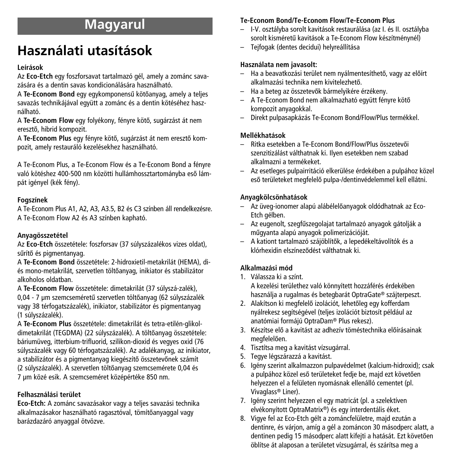# **Magyarul**

# **Használati utasítások**

## **Leírások**

Az **Eco-Etch** egy foszforsavat tartalmazó gél, amely a zománc savazására és a dentin savas kondicionálására használható.

A **Te-Econom Bond** egy egykomponensű kötőanyag, amely a teljes savazás technikájával együtt a zománc és a dentin kötéséhez használható.

A **Te-Econom Flow** egy folyékony, fényre kötő, sugárzást át nem eresztő, hibrid kompozit.

A Te-Econom Plus egy fényre kötő, sugárzást át nem eresztő kompozit, amely restauráló kezelésekhez használható.

A Te-Econom Plus, a Te-Econom Flow és a Te-Econom Bond a fényre való kötéshez 400-500 nm közötti hullámhossztartományba eső lámpát igényel (kék fény).

## **Fogszínek**

A Te-Econom Plus A1, A2, A3, A3.5, B2 és C3 színben áll rendelkezésre. A Te-Econom Flow A2 és A3 színben kapható.

## **Anyagösszetétel**

Az **Eco-Etch** összetétele: foszforsav (37 súlyszázalékos vizes oldat), sűrítő és pigmentanyag.

A **Te-Econom Bond** összetétele: 2-hidroxietil-metakrilát (HEMA), diés mono-metakrilát, szervetlen töltőanyag, inikiator és stabilizátor alkoholos oldatban.

A **Te-Econom Flow** összetétele: dimetakrilát (37 súlyszá-zalék), 0,04 - 7 µm szemcseméretű szervetlen töltőanyag (62 súlyszázalék vagy 38 térfogatszázalék), inikiator, stabilizátor és pigmentanyag (1 súlyszázalék).

A **Te-Econom Plus** összetétele: dimetakrilát és tetra-etilén-glikoldimetakrilát (TEGDMA) (22 súlyszázalék). A töltőanyag összetétele: báriumüveg, itterbium-trifluorid, szilikon-dioxid és vegyes oxid (76 súlyszázalék vagy 60 térfogatszázalék). Az adalékanyag, az inikiator, a stabilizátor és a pigmentanyag kiegészítő összetevőnek számít (2 súlyszázalék). A szervetlen töltőanyag szemcsemérete 0,04 és 7 µm közé esik. A szemcseméret középértéke 850 nm.

## **Felhasználási terület**

**Eco-Etch:** A zománc savazásakor vagy a teljes savazási technika alkalmazásakor használható ragasztóval, tömítőanyaggal vagy barázdazáró anyaggal ötvözve.

## **Te-Econom Bond/Te-Econom Flow/Te-Econom Plus**

- I-V. osztályba sorolt kavitások restaurálása (az I. és II. osztályba sorolt kisméretű kavitások a Te-Econom Flow készítménynél)
- Tejfogak (dentes decidui) helyreállítása

## **Használata nem javasolt:**

- $-$  Ha a beavatkozási terület nem nválmentesíthető, vagy az előírt alkalmazási technika nem kivitelezhető.
- Ha a beteg az összetevŒk bármelyikére érzékeny.
- A Te-Econom Bond nem alkalmazható együtt fényre kötŒ kompozit anyagokkal.
- Direkt pulpasapkázás Te-Econom Bond/Flow/Plus termékkel.

## **Mellékhatások**

- Ritka esetekben a Te-Econom Bond/Flow/Plus összetevŒi szenzitizálást válthatnak ki. Ilyen esetekben nem szabad alkalmazni a termékeket.
- Az esetleges pulpairritáció elkerülése érdekében a pulpához közel eső területeket megfelelő pulpa-/dentinvédelemmel kell ellátni.

## **Anyagkölcsönhatások**

- Az üveg-ionomer alapú alábélelŒanyagok oldódhatnak az Eco-Etch gélben.
- Az eugenolt, szegfıszegolajat tartalmazó anyagok gátolják a mıgyanta alapú anyagok polimerizációját.
- A kationt tartalmazó szájöblítŒk, a lepedékeltávolítók és a klórhexidin elszíneződést válthatnak ki.

## **Alkalmazási mód**

1. Válassza ki a színt. A kezelési területhez való könnyített hozzáférés érdekében

használja a rugalmas és betegbarát OptraGate® szájterpeszt.

- 2. Alakítson ki megfelelő izolációt, lehetőleg egy kofferdam nyálrekesz segítségével (teljes izolációt biztosít például az anatómiai formájú OptraDam® Plus rekesz).
- 3. Készítse elő a kavitást az adhezív töméstechnika előírásainak megfelelően.
- 4. Tisztítsa meg a kavitást vízsugárral.
- 5. Tegye légszárazzá a kavitást.
- 6. Igény szerint alkalmazzon pulpavédelmet (kalcium-hidroxid); csak a pulpához közel eső területeket fedje be, majd ezt követően helyezzen el a felületen nyomásnak ellenálló cementet (pl. Vivaglass® Liner).
- 7. Igény szerint helyezzen el egy matricát (pl. a szelektíven elvékonyított OptraMatrix®) és egy interdentális éket.
- 8. Vigye fel az Eco-Etch gélt a zománcfelületre, majd ezután a dentinre, és várjon, amíg a gél a zománcon 30 másodperc alatt, a dentinen pedig 15 másodperc alatt kifejti a hatását. Ezt követően öblítse át alaposan a területet vízsugárral, és szárítsa meg a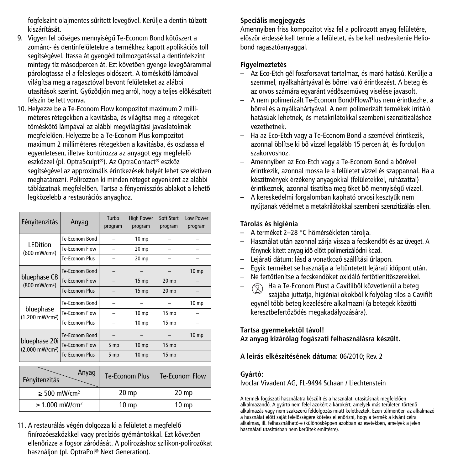fogfelszínt olajmentes sűrített levegővel. Kerülje a dentin túlzott kiszárítását.

- 9. Vigyen fel bőséges mennyiségű Te-Econom Bond kötőszert a zománc- és dentinfelületekre a termékhez kapott applikációs toll segítségével. Itassa át gyengéd tollmozgatással a dentinfelszínt mintegy tíz másodpercen át. Ezt követően gyenge levegőárammal párologtassa el a felesleges oldószert. A töméskötő lámpával világítsa meg a ragasztóval bevont felületeket az alábbi utasítások szerint. Győződjön meg arról, hogy a teljes előkészített felszín be lett vonva.
- 10. Helyezze be a Te-Econom Flow kompozitot maximum 2 milliméteres rétegekben a kavitásba, és világítsa meg a rétegeket töméskötő lámpával az alábbi megvilágítási javaslatoknak megfelelően. Helyezze be a Te-Econom Plus kompozitot maximum 2 milliméteres rétegekben a kavitásba, és oszlassa el egyenletesen, illetve kontúrozza az anyagot egy megfelelő eszközzel (pl. OptraSculpt®). Az OptraContact® eszköz segítségével az approximális érintkezések helyét lehet szelektíven meghatározni. Polírozzon ki minden réteget egyenként az alábbi táblázatnak megfelelően. Tartsa a fényemissziós ablakot a lehető legközelebb a restaurációs anyaghoz.

| Fényitenzitás                                | Anyag                 | Turbo<br>program | <b>High Power</b><br>program | Soft Start<br>program | Low Power<br>program |
|----------------------------------------------|-----------------------|------------------|------------------------------|-----------------------|----------------------|
| <b>LEDition</b>                              | Te-Econom Bond        |                  | 10 mp                        |                       |                      |
| (600 mW/cm <sup>2</sup> )                    | Te-Fronom Flow        |                  | 20 mp                        |                       |                      |
|                                              | Te-Econom Plus        |                  | 20 mp                        |                       |                      |
| bluephase C8<br>(800 mW/cm <sup>2</sup> )    | Te-Econom Bond        |                  |                              |                       | 10 <sub>mp</sub>     |
|                                              | Te-Econom Flow        |                  | 15 <sub>mp</sub>             | $20$ mp               |                      |
|                                              | Te-Fronom Plus        |                  | 15 <sub>mp</sub>             | $20$ mp               |                      |
|                                              | Te-Econom Bond        |                  |                              |                       | 10 <sub>mp</sub>     |
| bluephase<br>(1.200 mW/cm <sup>2</sup> )     | Te-Econom Flow        |                  | 10 mp                        | 15 mp                 |                      |
|                                              | Te-Fronom Plus        |                  | 10 <sub>mp</sub>             | 15 mp                 |                      |
| bluephase 20i<br>(2.000 mW/cm <sup>2</sup> ) | Te-Econom Bond        |                  |                              |                       | 10 <sub>mp</sub>     |
|                                              | Te-Econom Flow        | 5 mp             | 10 mp                        | $15$ mp               |                      |
|                                              | <b>Te-Econom Plus</b> | 5 mp             | 10 <sub>mp</sub>             | 15 <sub>mp</sub>      |                      |

| Anyag<br>Fényitenzitás          | <b>Te-Econom Plus</b> | Te-Econom Flow   |
|---------------------------------|-----------------------|------------------|
| $\geq$ 500 mW/cm <sup>2</sup>   | 20 <sub>mp</sub>      | 20 <sub>mp</sub> |
| $\geq 1.000$ mW/cm <sup>2</sup> | 10 <sub>mp</sub>      | 10 <sub>mp</sub> |

11. A restaurálás végén dolgozza ki a felületet a megfelelő finírozóeszközkkel vagy precíziós gyémántokkal. Ezt követően ellenőrizze a fogsor záródását. A polírozáshoz szilikon-polírozókat használjon (pl. OptraPol ® Next Generation).

## **Speciális megjegyzés**

Amennyiben friss kompozitot visz fel a polírozott anyag felületére, először érdessé kell tennie a felületet, és be kell nedvesítenie Heliobond ragasztóanyaggal.

#### **Figyelmeztetés**

- Az Eco-Etch gél foszforsavat tartalmaz, és maró hatású. Kerülje a szemmel, nyálkahártvával és bőrrel való érintkezést. A beteg és az orvos számára egyaránt védőszemüveg viselése javasolt.
- A nem polimerizált Te-Econom Bond/Flow/Plus nem érintkezhet a bőrrel és a nyálkahártyával. A nem polimerizált termékek irritáló hatásúak lehetnek, és metakrilátokkal szembeni szenzitizáláshoz vezethetnek.
- Ha az Eco-Etch vagy a Te-Econom Bond a szemével érintkezik, azonnal öblítse ki bő vízzel legalább 15 percen át, és forduljon szakorvoshoz.
- Amennyiben az Eco-Etch vagy a Te-Econom Bond a bőrével érintkezik, azonnal mossa le a felületet vízzel és szappannal. Ha a készítmények érzékeny anyagokkal (felületekkel, ruházattal) érintkeznek, azonnal tisztítsa meg őket bő mennyiségű vízzel.
- A kereskedelmi forgalomban kapható orvosi kesztyık nem nyújtanak védelmet a metakrilátokkal szembeni szenzitizálás ellen.

## **Tárolás és higiénia**

- A terméket 2–28 °C hőmérsékleten tárolia.
- Használat után azonnal zárja vissza a fecskendŒt és az üveget. A fénynek kitett anyag idő előtt polimerizálódni kezd.
- Lejárati dátum: lásd a vonatkozó szállítási ırlapon.
- Egyik terméket se használja a feltüntetett lejárati időpont után.
- Ne fertŒtlenítse a fecskendŒket oxidáló fertŒtlenítŒszerekkel.
- Ha a Te-Econom Plust a Cavifilből közvetlenül a beteg szájába juttatja, higiéniai okokból kifolyólag tilos a Cavifilt egynél több beteg kezelésére alkalmazni (a betegek közötti keresztbefertőződés megakadályozására).

## **Tartsa gyermekektŒl távol!**

**Az anyag kizárólag fogászati felhasználásra készült.**

**A leírás elkészítésének dátuma:** 06/2010; Rev. 2

## **Gyártó:**

Ivoclar Vivadent AG, FL-9494 Schaan / Liechtenstein

A termék fogászati használatra készült és a használati utasításnak megfelelően alkalmazandó. A gyártó nem felel azokért a károkért, amelyek más területen történő alkalmazás vagy nem szakszerű feldolgozás miatt keletkeztek. Ezen túlmenően az alkalmazó a használat előtt saját felelősségére köteles ellenőrizni, hogy a termék a kívánt célra alkalmas, ill. felhasználható-e (különösképpen azokban az esetekben, amelyek a jelen használati utasításban nem kerültek említésre).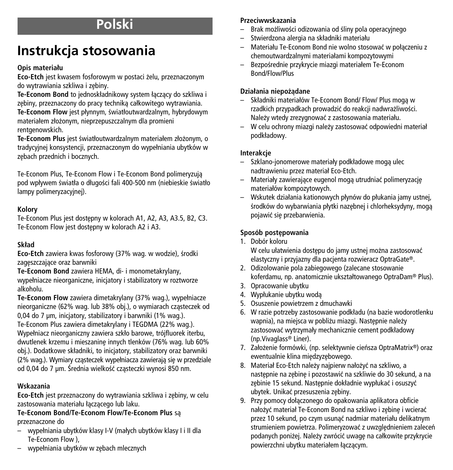# **Polski**

# **Instrukcja stosowania**

## **Opis materiału**

Eco-Etch jest kwasem fosforowym w postaci żelu, przeznaczonym do wytrawiania szkliwa i zębiny.

**Te-Econom Bond** to jednoskładnikowy system łàczàcy do szkliwa i zębiny, przeznaczony do pracy techniką całkowitego wytrawiania. Te-Econom Flow jest płynnym, światłoutwardzalnym, hybrydowym materiałem złożonym, nieprzepuszczalnym dla promieni rentgenowskich.

Te-Econom Plus jest światłoutwardzalnym materiałem złożonym, o tradycyjnej konsystencji, przeznaczonym do wypełniania ubytków w zębach przednich i bocznych.

Te-Econom Plus, Te-Econom Flow i Te-Econom Bond polimeryzujà pod wpływem światła o długości fali 400-500 nm (niebieskie światło lampy polimeryzacyjnej).

## **Kolory**

Te-Econom Plus jest dostępny w kolorach A1, A2, A3, A3.5, B2, C3. Te-Econom Flow jest dostepny w kolorach A2 i A3.

## **Sk∏ad**

**Eco-Etch** zawiera kwas fosforowy (37% wag. w wodzie), środki zageszczające oraz barwniki

**Te-Econom Bond** zawiera HEMA, di- i monometakrylany, wypełniacze nieorganiczne, inicjatory i stabilizatory w roztworze alkoholu.

**Te-Econom Flow** zawiera dimetakrylany (37% wag.), wypełniacze nieorganiczne (62% wag. lub 38% obj.), o wymiarach cząsteczek od 0,04 do 7 µm, inicjatory, stabilizatory i barwniki (1% wag.). Te-Econom Plus zawiera dimetakrylany i TEGDMA (22% wag.). Wypełniacz nieorganiczny zawiera szkło barowe, trójfluorek iterbu, dwutlenek krzemu i mieszaninę innych tlenków (76% wag. lub 60% obj.). Dodatkowe składniki, to inicjatory, stabilizatory oraz barwniki (2% wag.). Wymiary cząsteczek wypełniacza zawierają się w przedziale od 0,04 do 7 µm. Średnia wielkość cząsteczki wynosi 850 nm.

## **Wskazania**

**Eco-Etch** jest przeznaczony do wytrawiania szkliwa i zębiny, w celu zastosowania materiału łączącego lub laku.

## **Te-Econom Bond/Te-Econom Flow/Te-Econom Plus** sà przeznaczone do

- wypełniania ubytków klasy I-V (małych ubytków klasy I i II dla Te-Econom Flow ),
- wypełniania ubytków w z´bach mlecznych

## **Przeciwwskazania**

- Brak możliwości odizowania od śliny pola operacyjnego
- Stwierdzona alergia na składniki materiału
- Materiału Te-Econom Bond nie wolno stosowaç w połàczeniu z chemoutwardzalnymi materiałami kompozytowymi
- BezpoÊrednie przykrycie miazgi materiałem Te-Econom Bond/Flow/Plus

## **Działania niepo˝àdane**

- Składniki materiałów Te-Econom Bond/ Flow/ Plus mogà w rzadkich przypadkach prowadzić do reakcji nadwrażliwości. Nale˝y wtedy zrezygnowaç z zastosowania materiału.
- W celu ochrony miazgi nale˝y zastosowaç odpowiedni materiał podkładowy.

## **Interakcje**

- Szklano-jonomerowe materiały podkładowe mogà ulec nadtrawieniu przez materiał Eco-Etch.
- Materiały zawierajàce eugenol mogà utrudniaç polimeryzacj´ materiałów kompozytowych.
- Wskutek działania kationowych płynów do płukania jamy ustnej, środków do wybarwiania płytki nazębnej i chlorheksydyny, mogą pojawić się przebarwienia.

## Sposób postępowania

- 1. Dobór koloru W celu ułatwienia dostępu do jamy ustnej można zastosować elastyczny i przyjazny dla pacjenta rozwieracz OptraGate®.
- 2. Odizolowanie pola zabiegowego (zalecane stosowanie koferdamu, np. anatomicznie ukształtowanego OptraDam® Plus).
- 3. Opracowanie ubytku
- 4. Wypłukanie ubytku wodà
- 5. Osuszenie powietrzem z dmuchawki
- 6. W razie potrzeby zastosowanie podkładu (na bazie wodorotlenku wapnia), na miejsca w pobliżu miazgi. Następnie należy zastosowaç wytrzymały mechanicznie cement podkładowy (np.Vivaglass® Liner).
- 7. Założenie formówki, (np. selektywnie cieńsza OptraMatrix®) oraz ewentualnie klina międzyzębowego.
- 8. Materiał Eco-Etch należy najpierw nałożyć na szkliwo, a nastepnie na zebine i pozostawić na szkliwie do 30 sekund, a na zebinie 15 sekund. Nastepnie dokładnie wypłukać i osuszyć ubytek. Unikać przesuszenia zębiny.
- 9. Przy pomocy dołàczonego do opakowania aplikatora obficie nałożyć materiał Te-Econom Bond na szkliwo i zębinę i wcierać przez 10 sekund, po czym usunąć nadmiar materiału delikatnym strumieniem powietrza. Polimeryzować z uwzględnieniem zaleceń podanych poniżej. Należy zwrócić uwagę na całkowite przykrycie powierzchni ubytku materiałem łączącym.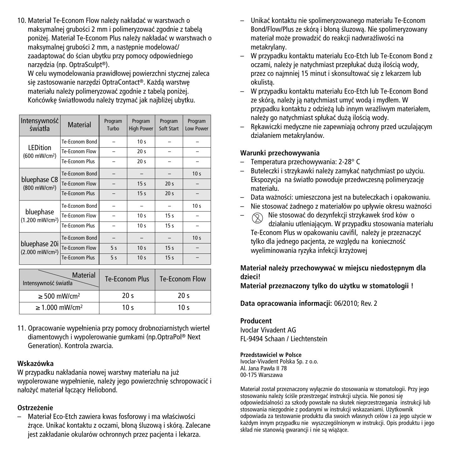10. Materiał Te-Econom Flow należy nakładać w warstwach o maksymalnej grubości 2 mm i polimeryzować zgodnie z tabela poniżej. Materiał Te-Econom Plus należy nakładać w warstwach o maksymalnej grubości 2 mm, a nastepnie modelować/ zaadaptować do ścian ubytku przy pomocy odpowiedniego narzedzia (np. OptraSculpt®).

W celu wymodelowania prawidłowej powierzchni stycznej zaleca sie zastosowanie narzedzi OptraContact®. Każda warstwe materiału należy polimeryzować zgodnie z tabela poniżej. Końcówke światłowodu należy trzymać jak najbliżej ubytku.

| Intensywność<br>światła                      | <b>Material</b> | Program<br>Turbo | Program<br><b>High Power</b> | Program<br>Soft Start | Program<br><b>Low Power</b> |
|----------------------------------------------|-----------------|------------------|------------------------------|-----------------------|-----------------------------|
| <b>LEDition</b>                              | Te-Econom Bond  |                  | 10 <sub>s</sub>              |                       |                             |
| (600 mW/cm <sup>2</sup> )                    | Te-Econom Flow  |                  | 20 <sub>s</sub>              |                       |                             |
|                                              | Te-Fronom Plus  |                  | 20 <sub>s</sub>              |                       |                             |
| bluephase C8<br>(800 mW/cm <sup>2</sup> )    | Te-Econom Bond  |                  |                              |                       | 10 <sub>s</sub>             |
|                                              | Te-Econom Flow  |                  | 15 <sub>s</sub>              | 20 <sub>s</sub>       |                             |
|                                              | Te-Fronom Plus  |                  | 15 <sub>s</sub>              | 20 <sub>s</sub>       |                             |
|                                              | Te-Econom Bond  |                  |                              |                       | 10 <sub>s</sub>             |
| bluephase<br>(1.200 mW/cm <sup>2</sup> )     | Te-Econom Flow  |                  | 10 <sub>s</sub>              | 15 <sub>s</sub>       |                             |
|                                              | Te-Fronom Plus  |                  | 10 <sub>s</sub>              | 15 <sub>s</sub>       |                             |
| bluephase 20i<br>(2.000 mW/cm <sup>2</sup> ) | Te-Econom Bond  |                  |                              |                       | 10 <sub>s</sub>             |
|                                              | Te-Econom Flow  | 5s               | 10 <sub>s</sub>              | 15 <sub>s</sub>       |                             |
|                                              | Te-Econom Plus  | 5s               | 10 <sub>s</sub>              | 15 <sub>s</sub>       |                             |

| <b>Material</b><br>Intensywność światła | Te-Econom Plus  | Te-Econom Flow  |
|-----------------------------------------|-----------------|-----------------|
| $\geq$ 500 mW/cm <sup>2</sup>           | 20 <sub>s</sub> | 20 <sub>s</sub> |
| $\geq 1.000$ mW/cm <sup>2</sup>         | 10 $\leq$       | 10 $\leq$       |

11. Opracowanie wypełnienia przy pomocy drobnoziarnistych wierteł diamentowych i wypolerowanie gumkami (np.OptraPol ® Next Generation). Kontrola zwarcia.

#### **Wskazówka**

W przypadku nakładania nowej warstwy materiału na już wypolerowane wypełnienie, należy jego powierzchnie schropowacić i nałożyć materiał łaczacy Heliobond.

## **Ostrze˝enie**

Materiał Eco-Etch zawiera kwas fosforowy i ma właściwości żrące. Unikać kontaktu z oczami, błoną śluzową i skórą. Zalecane jest zakładanie okularów ochronnych przez pacjenta i lekarza.

- Unikaç kontaktu nie spolimeryzowanego materiału Te-Econom Bond/Flow/Plus ze skóra i błona śluzowa. Nie spolimeryzowany materiał może prowadzić do reakcji nadwrażliwości na metakrylany.
- W przypadku kontaktu materiału Eco-Etch lub Te-Econom Bond z oczami, należy je natychmiast przepłukać dużą ilością wody, przez co najmniej 15 minut i skonsultować się z lekarzem lub okulistà.
- W przypadku kontaktu materiału Eco-Etch lub Te-Econom Bond ze skóra, należy ja natychmiast umyć woda i mydłem. W przypadku kontaktu z odzieżą lub innym wrażliwym materiałem, należy go natychmiast spłukać dużą ilością wody.
- Rekawiczki medyczne nie zapewniają ochrony przed uczulającym działaniem metakrylanów.

#### **Warunki przechowywania**

- Temperatura przechowywania: 2-28° C
- Buteleczki i strzykawki nale˝y zamykaç natychmiast po u˝yciu. Ekspozycja na światło powoduje przedwczesna polimeryzacje materiału.
- Data wa˝noÊci: umieszczona jest na buteleczkach i opakowaniu.
- Nie stosowaç ˝adnego z materiałów po upływie okresu wa˝noÊci
- $\circledcirc$  Nie stosować do dezynfekcji strzykawek środ ków o działaniu utleniajàcym. W przypadku stosowania materiału Te-Econom Plus w opakowaniu cavifil, należy je przeznaczyć tylko dla jednego pacjenta, ze względu na konieczność wyeliminowania ryzyka infekcji krzyżowej

## **Materiał nale˝y przechowywaç w miejscu niedost´pnym dla dzieci!**

**Materiał przeznaczony tylko do u˝ytku w stomatologii !**

**Data opracowania informacji:** 06/2010; Rev. 2

#### **Producent**

Ivoclar Vivadent AG FL-9494 Schaan / Liechtenstein

#### **Przedstawiciel w Polsce**

Ivoclar-Vivadent Polska Sp. z o.o. Al. Jana Paw∏a II 78 00-175 Warszawa

Materiał został przeznaczony wyłàcznie do stosowania w stomatologii. Przy jego stosowaniu należy ściśle przestrzegać instrukcji użycia. Nie ponosi się odpowiedzialności za szkody powstałe na skutek nieprzestrzegania instrukcji lub stosowania niezgodnie z podanymi w instrukcji wskazaniami. Użytkownik odpowiada za testowanie produktu dla swoich własnych celów i za jego u˝ycie w każdym innym przypadku nie wyszczególnionym w instrukcji. Opis produktu i jego skład nie stanowią gwarancji i nie są wiążące.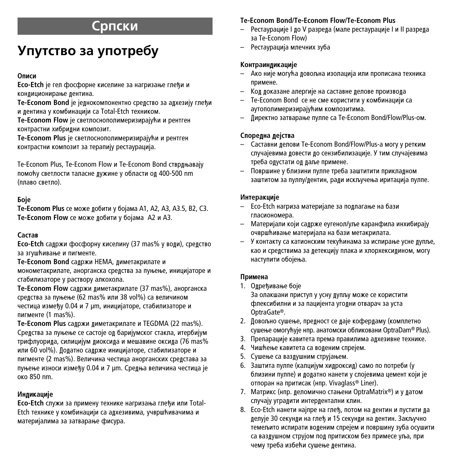## **С**рпски

# **Упутство за употребу**

#### **éÔËÒË**

**Eco-Etch** је гел фосфорне киселине за нагризање глеђи и кондиционирање дентина.

**Te-Econom Bond** је једнокомпонентно средство за адхезију глеђи и дентина у комбинацији са Total-Etch техником.

**Te-Econom Flow је светлоснополимеризирајући и рентген КОНТОАСТНИ ХИбОИЛНИ КОМПОЗИТ.** 

**Te-Econom Plus** је светлоснополимеризирајући и рентген контрастни композит за терапију рестаурација.

Te-Econom Plus, Te-Econom Flow и Te-Econom Bond стврдњавају помоћу светлости таласне дужине у области од 400-500 nm (плаво светло).

## **Бо**је

**Te-Econom Plus** се може добити у бојама А1, А2, А3, А3.5, В2, С3. **Te-Econom Flow** се може добити у бојама A2 и A3.

## $C$ acta**s**

**Eco-Etch** садржи фосфорну киселину (37 mas% у води), средство за згушћивање и пигменте.

**Te-Econom Bond** садржи HEMA, диметакрилате и

монометакрилате, анорганска средства за пуњење, иницијаторе и стабилизаторе у раствору алкохола.

**Te-Econom Flow** садржи диметакрилате (37 mas%), анорганска срелства за пуњење (62 mas% или 38 vol%) са величином честица између 0.04 и 7 µm, иницијаторе, стабилизаторе и пигменте (1 mas%).

**Te-Econom Plus** саложи лиметакрилате и TEGDMA (22 mas%). Средства за пуњење се састоје од баријумског стакла, итербијум трифлуорида, силицијум диоксида и мешавине оксида (76 mas% или 60 vol%). Додатно садрже иницијаторе, стабилизаторе и пигменте (2 mas%). Величина честица анорганских срелстава за пуњење износи између 0.04 и 7 µm. Средња величина честица је  $O(6R50)$  nm.

## **Индикације**

**Eco-Etch** служи за примену технике нагризања глеђи или Total-Etch технике у комбинацији са адхезивима, учвршћивачима и материјалима за затварање фисура.

## **Te-Econom Bond/Te-Econom Flow/Te-Econom Plus**

- Рестаурације I до V разреда (мале рестаурације I и II разреда sa Te-Econom Flow)
- Рестаурација мпечних зуба

## Контраиндикације

- Ако није могућа довољна изолација или прописана техника примене.
- Код доказане алергије на саставне делове производа
- $-$  Te-Econom Bond се не сме користити у комбинацији са аутополимеризирајућим композитима.
- Директно затварање пулпе са Te-Econom Bond/Flow/Plus-ом.

## **Споредна дејства**

- Саставни лелови Te-Econom Bond/Flow/Plus-а могу у ретким случајевима довести до сензибилизације. У тим случајевима треба одустати од даље примене.
- Површине у близини пулпе треба заштитити приклалном заштитом за пулпу/дентин, ради искључења иритација пулпе.

#### **Интеракције**

- Eco-Etch нагриза материјале за подлагање на бази гласиономера.
- Материјали који садрже еугенол/уље каранфила инхибирају очвршћивање материјала на бази метакрилата.
- У контакту са катионским текућинама за испирање усне дупље, као и срелствима за летекцију плака и хлорхексилином, могу наступити обојења.

## **Примена**

1. Одређивање боје

За олакшани приступ у усну дупљу може се користити флексибилни и за пацијента уголни отварач за уста OptraGate®.

- 2. Довољно сушење, предност се даје кофердаму (комплетно сушење омогућује нпр. анатомски обликовани OptraDam® Plus).
- 3. Препарације кавитета према правилима адхезивне технике.
- 4. Чишћење кавитета са воленим спрејем.
- 5. Сушење са ваздушним струјањем.
- 6. Заштита пулпе (калцијум хидроксид) само по потреби (у близини пулпе) и додатно нанети у слојевима цемент који је отпоран на притисак (нпр. Vivaglass® Liner).
- 7. Матрикс (нпр. деломично стањени OptraMatrix®) и у датом случају уградити интердентални клин.
- 8. Eco-Etch нанети најпре на глеђ, потом на дентин и пустити да делује 30 секунди на глеђ и 15 секунди на дентин. Закључно темељито испирати воденим спрејем и површину зуба осушити са ваздушном струјом под притиском без примесе уља, при чему треба избећи сушење дентина.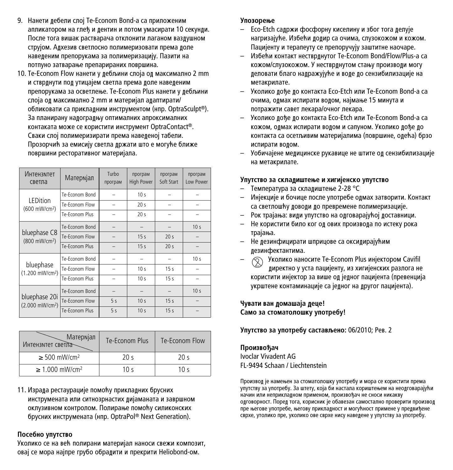- 9. Нанети лебели слој Те-Econom Bond-а са приложеним апликатором на глеђ и дентин и потом умасирати 10 секунди. После тога вишак растварача отклонити лаганом ваздушном струіом. Алхезив светпосно полимеризовати према лопе навеленим препорукама за полимеризацију. Пазити на потпуно затварање препарираних површина.
- 10. Te-Econom Flow нанети у лебљини слоја ол максимално 2 mm и стврднути под утицајем светла према доле наведеним препорукама за осветлење. Te-Econom Plus нанети у дебљини слоја ол максимално 2 mm и материјал алаптирати/ обликовати са прикладним инструментом (нпр. OptraSculpt®). За планирану надоградњу оптималних апроксималних **КОНТАКАТА МОЖЕ СЕ КОРИСТИТИ ИНСТРУМЕНТ OptraContact®.** Сваки слој полимеризирати према наведеној табели. Прозорчић за емисију светла лржати што е могуће ближе површини ресторативног материјала.

| Интензмтет<br>светла                         | Матермјал      | Turbo<br>програм | програм<br><b>High Power</b> | програм<br>Soft Start | програм<br>Low Power |
|----------------------------------------------|----------------|------------------|------------------------------|-----------------------|----------------------|
| LEDition                                     | Te-Econom Bond |                  | 10 <sub>s</sub>              |                       |                      |
| (600 mW/cm <sup>2</sup> )                    | Te-Econom Flow |                  | 20 <sub>s</sub>              |                       |                      |
|                                              | Te-Fronom Plus |                  | 20 <sub>s</sub>              |                       |                      |
| bluephase C8<br>(800 mW/cm <sup>2</sup> )    | Te-Econom Bond |                  |                              |                       | 10 <sub>s</sub>      |
|                                              | Te-Econom Flow |                  | 15 <sub>s</sub>              | 20 <sub>s</sub>       |                      |
|                                              | Te-Fronom Plus |                  | 15 <sub>s</sub>              | 20 <sub>s</sub>       |                      |
|                                              | Te-Econom Bond |                  |                              |                       | 10 <sub>s</sub>      |
| bluephase<br>(1.200 mW/cm <sup>2</sup> )     | Te-Econom Flow |                  | 10 <sub>s</sub>              | 15 <sub>s</sub>       |                      |
|                                              | Te-Fronom Plus |                  | 10 <sub>s</sub>              | 15 <sub>s</sub>       |                      |
| bluephase 20i<br>(2.000 mW/cm <sup>2</sup> ) | Te-Econom Bond |                  |                              |                       | 10 <sub>s</sub>      |
|                                              | Te-Econom Flow | 5<               | 10 <sub>s</sub>              | 15 <sub>s</sub>       |                      |
|                                              | Te-Econom Plus | 5s               | 10 <sub>s</sub>              | 15 <sub>s</sub>       |                      |

| Матермјал<br>Интензмтет светла- | Te-Fronom Plus  | Te-Econom Flow |
|---------------------------------|-----------------|----------------|
| $\geq$ 500 mW/cm <sup>2</sup>   | 20 <sub>s</sub> | 20<            |
| $\geq 1.000$ mW/cm <sup>2</sup> | 10 $\leq$       | 10 $\leq$      |

11. Израла рестаурације помоћу приклалних брусних ИНСТРУМЕНАТА ИЛИ СИТНОЗРНАСТИХ ЛИЇАМАНАТА И ЗАВРШНОМ оклузивном контролом. Полирање помоћу силиконских брусних инструмената (нпр. OptraPol® Next Generation).

#### Посебно упутство

Уколико се на већ полирани материјал наноси свежи композит, оваі се мора наіпре грубо обралити и прекрити Heliobond-ом.

#### **Упозорење**

- Eco-Etch садржи фосфорну киселину и због тога делује нагризајуће. Избећи додир са очима, слузокожом и кожом. Пацијенту и тералеуту се препоручују заштитне наочаре.
- Избећи контакт нестврлнутог Te-Econom Bond/Flow/Plus-а са кожом/слузокожом. У нестврднутом стању производи могу леловати благо налражvivhe и воле ло сензибилизације на метакрипате.
- Уколико дође до контакта Eco-Etch или Te-Econom Bond-а са очима, олмах испирати волом, наімање 15 минута и потражити савет лекара/очног лекара.
- Уколико дође до контакта Eco-Etch или Te-Econom Bond-а са кожом, олмах испирати волом и сапуном. Уколико лође ло контакта са осетљивим материјалима (површине, одећа) брзо испирати волом.
- Уобичајене мелицинске рукавице не штите ол сензибилизације на метакрилате.

#### Упутство за складиштење и хигијенско упутство

- Температура за склалиштење 2-28 °С
- Инјекције и бочице после употребе одмах затворити. Контакт са светлошћу доводи до превремене полимеризације.
- Рок трајања: види упутство на одговарајућој доставници.
- Не користити било ког ол ових произвола по истеку рока трајања.
- Не дезинфицирати шприцове са оксидирајућим лезинфектантима.
- $\circledS$  Уколико наносите Te-Econom Plus инјектором Cavifil директно у уста пацијенту, из хигијенских разлога не користити инјектор за више ол јелног пацијента (превенција үкрштене контаминације са једног на другог пацијента).

#### **Чувати ван ломашаіа леце!** Само за стоматолошку употребу!

**Упутство за употребу састављено: 06/2010; Рев. 2** 

Произвоћач Ivoclar Vivadent AG FL-9494 Schaan / Liechtenstein

Производ је намењен за стоматолошку употребу и мора се користити према vnyтству за употребу. За штету, која би настала кориштењем на неолговарајући начин или неприкладном применом, произвођач не сноси никакву олговорност. Порел тога, корисник је обавезан самостално проверити произвол пре његове употребе, његову прикладност и могућност примене у предвиђене сврхе, утолико пре, уколико ове сврхе нису наведене у упутству за употребу.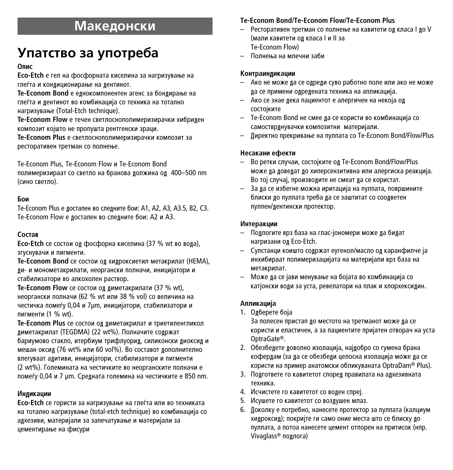## **Македонски**

# **Упатство за употреба**

#### O<sub>nuc</sub>

**Eco-Etch** е гел на фосфорната киселина за нагризување на глеѓта и конлиционирање на лентинот.

Те-Econom Bond е еднокомпонентен агенс за бондирање на глеѓта и лентинот во комбинација со техника на тотално нагризување (Total-Etch technique).

**Te-Econom Flow** е течен светлоснополимеризирачки хибрилен композит којшто не пропушта рентгенски зраци.

**Te-Econom Plus** е светлоснополимеризирачки композит за ресторативен третман со полнење.

Te-Econom Plus, Te-Econom Flow и Te-Econom Bond

полимеризираат со светло на бранова должина од 400-500 nm (сино светпо).

#### **Бои**

Te-Econom Plus е достапен во следните бои: A1, A2, A3, A3.5, B2, C3. Te-Econom Flow е достапен во следните бои: A2 и A3.

#### $C$ <sub>O</sub>CT<sub>aR</sub>

**Eco-Etch** се состои од фосфорна киселина (37 % wt во вода), згуснувачи и пигменти.

**Te-Econom Bond** се состои од хидроксиетил метакрилат (HEMA), ди- и монометакрилати, неоргански полначи, иницијатори и стабилизатори во алкохолен раствор.

**Te-Econom Flow** се состои од диметакрилати (37 % wt), неоргански полначи (62 % wt или 38 % vol) со величина на честичка помеѓу 0,04 и 7um, иницијатори, стабилизатори и пигменти (1 % wt).

**Te-Econom Plus** се состои од диметакрилат и триетиленгликол диметакрилат (TEGDMA) (22 wt%). Полначите содржат бариумово стакло, итербиум трифлуорид, силиконски диоксид и мешан оксид (76 wt% или 60 vol%). Во составот дополнително влегуваат адитиви, иницијатори, стабилизатори и пигменти (2 wt%). Големината на честичките во неорганските полначи е помеѓу 0,04 и 7 µm. Средната големина на честичките е 850 nm.

#### **Инликации**

**Eco-Etch** се гористи за нагризување на глеѓта или во техниката на тотално нагризување (total-etch technique) во комбинација со адхезиви, материјали за запечатување и материјали за цементирање на фисури

#### **Te-Econom Bond/Te-Econom Flow/Te-Econom Plus**

- Ресторативен третман со полнење на кавитети од класа I до V (мали кавитети од класа I и II за Te-Econom Flow)
- Полнења на млечни заби

#### Контраинликации

- Ако не може да се одреди суво работно поле или ако не може да се примени одредената техника на апликација.
- Ако се знае дека пациентот е алергичен на некоја од COCTOİKUTE
- Te-Econom Bond не смее да се користи во комбинација со самостврднувачки композитни материјали.
- Директно прекривање на пулпата со Te-Econom Bond/Flow/Plus

#### Несакани ефекти

- Во ретки случаи, состојките од Te-Econom Bond/Flow/Plus може ла ловелат по хиперсензитивна или алергиска реакција. Во тој случај, производите не смеат да се користат.
- За да се избегне можна иритација на пулпата, површините блиски до пулпата треба да се заштитат со соодветен пулпен/дентински протектор.

#### **Интеракции**

- Подлогите врз база на глас-јономери може да бидат нагризани од Eco-Etch.
- Супстанци коишто содржат еугенол/масло од каранфилче ја инхибираат полимеризацијата на материјали врз база на метакрилат.
- Може ла се јави менување на бојата во комбинација со катјонски води за уста, ревелатори на плак и хлорхексидин.

#### Апликаци**іа**

1. Одберете боја

За полесен пристап до местото на третманот може да се користи и еластичен, а за пациентите пријатен отворач на уста OptraGate®.

- 2. Обезбелете ловолно изолација, најлобро со гумена брана кофердам (за да се обезбеди целосна изолација може да се користи на пример анатомски обликуваната OptraDam® Plus).
- 3. Подгответе го кавитетот според правилата на адхезивната техника.
- 4. Исчистете го кавитетот со воден спреј.
- 5. Исушете го кавитетот со воздушен млаз.
- 6. Доколку е потребно, нанесете протектор за пулпата (калциум хидроксид); покријте ги само оние места што се блиску до пулпата, а потоа нанесете цемент отпорен на притисок (нпр. Vivaglass® подлога)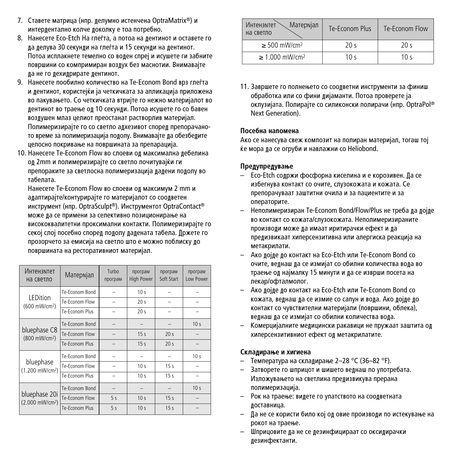- 7. Ставете матрица (нпр. делумно истенчена OptraMatrix®) и интерлентално колче локолку е тоа потребно.
- 8. Нанесете Eco-Etch На глеѓта, а потоа на дентинот и оставете го ла лепува 30 секунли на глеѓта и 15 секунли на лентинот. Потоа исплакнете темелно со волен спреі и исушете ги забните површини со компримиран воздух без маснотии. Внимавајте ла не го лехилрирате лентинот.
- 9. Нанесете пообилно количество на Те-Econom Bond врз глеѓта и дентинот, користејќи ја четкичката за апликација приложена во пакувањето. Со четкичката втријте го нежно материјалот во дентинот во траење од 10 секунди. Потоа исушете го со бавен воздушен млаз целиот преостанат растворлив материјал. Полимеризирајте го со светло адхезивот според препорачаното време за полимеризација подолу. Внимавајте да обезбедите иелосно покривање на површината за препарација.
- 10. Нанесете Те-Econom Flow во споеви од максимална лебелина од 2mm и полимеризирајте со светло почитувајќи ги препораките за светлосна полимеризација лалени пололу во табелата.

Нанесете Te-Econom Flow во слоеви од максимум 2 mm и адаптирајте/контурирајте го материјалот со соодветен инструмент (нпр. OptraSculpt®). Инструментот OptraContact® може ла се примени за селективно позиционирање на висококвалитетни проксимални контакти. Полимеризирајте го секої слої посебно спорел пололу лалената табела. Лржете го прозорчето за емисија на светло што е можно поблиску до површината на ресторативниот материјал.

| Интензмтет<br>на светло                      | Матермјал      | Turbo<br>програм | програм<br><b>High Power</b> | програм<br>Soft Start | програм<br>I ow Power |
|----------------------------------------------|----------------|------------------|------------------------------|-----------------------|-----------------------|
|                                              | Te-Econom Bond |                  | 10 <sub>s</sub>              |                       |                       |
| I FDition<br>(600 mW/cm <sup>2</sup> )       | Te-Econom Flow |                  | 20 <sub>s</sub>              |                       |                       |
|                                              | Te-Econom Plus |                  | 20 <sub>s</sub>              |                       |                       |
| bluephase C8<br>(800 mW/cm <sup>2</sup> )    | Te-Econom Bond |                  |                              |                       | 10 <sub>s</sub>       |
|                                              | Te-Econom Flow |                  | 15 <sub>s</sub>              | 20 <sub>s</sub>       | -                     |
|                                              | Te-Econom Plus |                  | 15 <sub>s</sub>              | 20 <sub>s</sub>       |                       |
| bluephase<br>(1.200 mW/cm <sup>2</sup> )     | Te-Econom Bond |                  |                              |                       | 10 <sub>s</sub>       |
|                                              | Te-Econom Flow |                  | 10 <sub>s</sub>              | 15s                   |                       |
|                                              | Te-Econom Plus |                  | 10 <sub>s</sub>              | 15s                   |                       |
| bluephase 20i<br>(2.000 mW/cm <sup>2</sup> ) | Te-Econom Bond |                  |                              |                       | 10 <sub>s</sub>       |
|                                              | Te-Econom Flow | 5s               | 10 <sub>s</sub>              | 15 <sub>s</sub>       |                       |
|                                              | Te-Econom Plus | 5s               | 10 <sub>s</sub>              | 15 <sub>s</sub>       |                       |

| Матермјал<br>Интензмтет<br>на светпо | Te-Fronom Plus | Te-Econom Flow |  |
|--------------------------------------|----------------|----------------|--|
| $\geq$ 500 mW/cm <sup>2</sup>        | 20<            | ء 20           |  |
| $\geq 1.000$ mW/cm <sup>2</sup>      | 10 $\leq$      | 10 $\leq$      |  |

11. Завршете го попнењето со соолветни инструменти за финиш обработка или со фини лијаманти. Потоа проверете ја оклузијата. Полирајте со силиконски полирачи (нпр. OptraPol® Next Generation).

#### **Посебна напомена**

Ако се нанесува свеж композит на полиран материјал, тогаш тој ќе мора да се огруби и навлажни со Heliobond.

#### Прелупрелување

- Есо-Etch содржи фосфорна киселина и е корозивен. Да се избегнува контакт со очите, слузокожата и кожата. Се препорачуваат заштитни очила и за пациентите и за операторите.
- Неполимеризиран Те-Econom Bond/Flow/Plus не треба ла лојле во контакт со кожата/спузокожата. Непопимеризираните производи може да имаат иритирачки ефект и да предизвикаат хиперсензитивна или алергиска реакција на метакрипати.
- Ако дојде до контакт на Eco-Etch или Te-Econom Bond co ОЧИТЕ, ВЕЛНАШ ЛА СЕ ИЗМИЇАТ СО Обилни КОЛИЧЕСТВА ВОЛА ВО траење од најмалку 15 минути и да се изврши посета на лекар/офталмолог.
- Ако дојде до контакт на Есо-Etch или Te-Econom Bond co кожата, веднаш да се измие со сапун и вода. Ако дојде до контакт со чувствителни материјали (површини, облека), велнаш ла се измијат со обилни количества вола.
- Комерцијалните медицински ракавици не пружаат заштита од хиперсензитивниот ефект од метакрилатите.

#### $C$ клалирање и хигиена

- Температура на складирање 2–28 °С (36–82 °F).
- Затворете го шприцот и шишето велнаш по употребата. Изложувањето на светлина предизвикува прерана полимеризација.
- Рок на траење: видете го упатството на соодветната доставница.
- $-$  Па не се користи било кој ол овие произволи по истекување на рокот на траење.
- Шприцовите да не се дезинфицираат со оксидирачки дезинфектанти.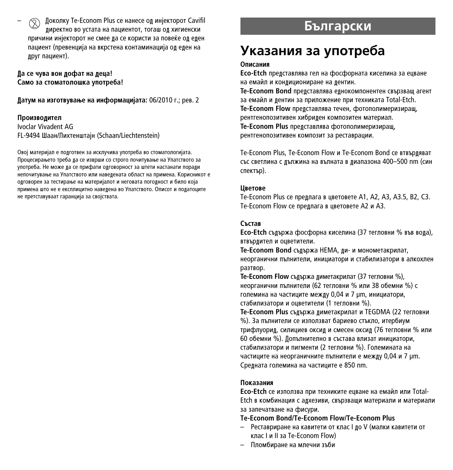Доколку Te-Econom Plus се нанесе од инјекторот Cavifil лиректно во устата на пациентот, тогаш ол хигиенски причини инјекторот не смее да се користи за повеќе од еден пациент (превенција на вкрстена контаминација ол елен на nnyr пашиент).

 $\[\blacksquare$  **Да се чува вон дофат на деца!** Само за стоматолошка употреба!

 $\blacksquare$  датум на изготвување на информацијата: 06/2010 г.; рев. 2

#### Производител

Ivoclar Vivadent AG FL-9494 Шаан/Пихтенштаін (Schaan/Liechtenstein)

Овој материјал е подготвен за исклучива употреба во стоматологијата. Процесирањето треба ла се изврши со строго почитување на Упатството за употреба. Не може ла се прифати олговорност за штети настанати порали непочитување на Упатството или наведената област на примена. Корисникот е олговорен за тестирање на материјалот и неговата поголност и било која примена што не е експлицитно навелена во Упатството. Описот и полатоците не претставуваат гаранција за својствата.

## **Български**

## **Указания за употреба**

#### Описания

**Eco-Etch** прелставлява гел на фосфорната киселина за ецване на емайл и конлициониране на лентин.

**Te-Econom Bond** прелставлява елнокомпонентен свързваш агент за емайл и лентин за припожение при техниката Total-Etch. **Te-Econom Flow прелставлява течен, фотополимеризираш.** рентгенопозитивен хибрилен композитен материал. .<br>**Te-Econom Plus** представлява фотополимеризиращ, рентгенопозитивен композит за реставрации.

Te-Econom Plus, Te-Econom Flow и Te-Econom Bond се втвърляват Със светлина с лължина на вълната в лиалазона 400–500 nm (син спектър).

#### **UBeTOBE**

Te-Econom Plus се предлага в цветовете A1, A2, A3, A3.5, B2, C3. Te-Econom Flow се преллага в цветовете A2 и A3.

#### $C$ ъстав

**Eco-Etch** сълържа фосфорна киселина (37 тегловни % във вода), втвърлител и оцветители.

Те-Econom Bond съдържа НЕМА, ди- и монометакрилат, неорганични пъпнитепи, инициатори и стабипизатори в апкохпен DA3TBOD.

**Te-Econom Flow съдържа диметакрилат (37 тегловни %),** неорганични пълнители (62 тегловни % или 38 обемни %) с големина на частиците между 0,04 и 7 µm, инициатори, стабилизатори и оцветители (1 тегловни %).

Те-Econom Plus съдържа диметакрилат и TEGDMA (22 тегловни %). За пълнители се използват бариево стъкло, итербиум трифпуорил, сипициев оксил и смесен оксил (76 тегловни % или 60 обемни %). Лопълнително в състава влизат инициатори. стабилизатори и пигменти (2 тегловни %). Големината на частиците на неорганичните пълнители е межлу 0.04 и 7 um. Средната големина на частиците е 850 nm.

#### Показания

**Eco-Etch** се използва при техниките енване на емайл или Total-Etch в комбинация с адхезиви, свързващи материали и материали за запечатване на фисури.

#### **Te-Econom Bond/Te-Econom Flow/Te-Econom Plus**

- Реставриране на кавитети от клас I по V (малки кавитети от клас I и II за Te-Econom Flow)
- Пломбиране на млечни зъби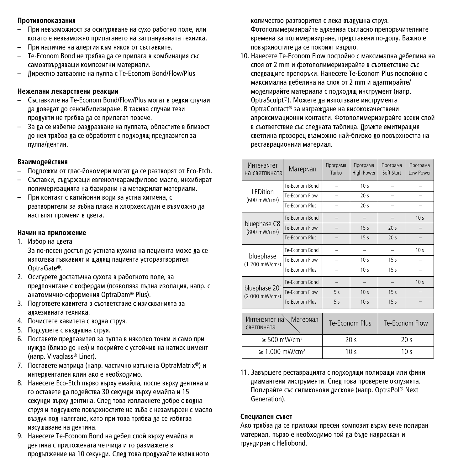#### Противопоказания

- При невъзможност за осигуряване на сухо работно поле, или когато е невъзможно прилагането на заплануваната техника.
- При напичие на апергия към някоя от съставките.
- Те-Econom Bond не трябва ла се прилага в комбинация със самовтвърдяващи композитни материали.
- Директно затваряне на пулпа с Te-Econom Bond/Flow/Plus

#### Нежелани лекарствени реакции

- Съставките на Те-Econom Bond/Flow/Plus могат в релки случаи да доведат до сенсибилизиране. В такива случаи тези продукти не трябва да се прилагат повече.
- За да се избегне раздразване на пулпата, областите в близост до нея трябва да се обработят с подходящ предпазител за пулпа/лентин.

#### Взаимодействия

- Полложки от глас-йономери могат ла се разтворят от Eco-Etch.
- Съставки, съдържащи евгенол/карамфилово масло, инхибират полимеризацията на базирани на метакрилат материали.
- При контакт с катийонни води за устна хигиена, с разтворители за зъбна плака и хлорхексидин е възможно да настъпят промени в цвета.

#### **Начин на приложение**

1. Избор на цвета

За по-лесен достъп до устната кухина на пациента може да се използва гъвкавият и щадящ пациента усторазтворител OptraGate®.

- 2. Осигурете достатъчна сухота в работното поле, за предпочитане с кофердам (позволява пълна изолация, напр. с анатомично-оформения OptraDam® Plus).
- 3. Полгответе кавитета в съответствие с изискванията за алхезивната техника.
- 4. Почистете кавитета с водна струя.
- 5. Подсушете с въздушна струя.
- 6. Поставете предпазител за пулпа в няколко точки и само при нужда (близо до нея) и покрийте с устойчив на натиск цимент (напр. Vivaglass® Liner).
- 7. Поставете матрица (напр. частично изтънена OptraMatrix®) и интердентален клин ако е необходимо.
- 8. Нанесете Eco-Etch първо върху емайла, после върху дентина и го оставете да подейства 30 секунди върху емайла и 15 секунди върху дентина. След това изплакнете добре с водна струя и подсушете повърхностите на зъба с незамърсен с масло въздух под налягане, като при това трябва да се избягва изсушаване на лентина.
- 9. Нанесете Те-Econom Bond на лебел слой върху емайла и дентина с приложената четчица и го размажете в продължение на 10 секунди. След това продухайте излишното

количество разтворител с лека въздушна струя. Фотополимеризирайте адхезива съгласно препоръчителните времена за полимеризиране, представени по-долу. Важно е повърхностите ла се покрият изцяпо.

10. Нанесете Te-Econom Flow послойно с максимална лебелина на слоя от 2 mm и фотополимеризирайте в съответствие със слелвашите препоръки. Нанесете Те-Econom Plus послойно с максимална дебелина на слоя от 2 mm и адаптирайте/ моделирайте материала с подходящ инструмент (напр. OptraSculpt®). Можете да използвате инструмента OptraContact® за изграждане на висококачествени апроксимационни контакти. Фотополимеризирайте всеки слой в съответствие със следната таблица. Дръжте емитиращия светлина прозорец възможно най-близко до повърхността на реставрационния материал.

| Интензмтет<br>на светлината                    | Матермал       | Програма<br>Turbo | Програма<br><b>High Power</b> | Програма<br>Soft Start | Програма<br>Low Power |
|------------------------------------------------|----------------|-------------------|-------------------------------|------------------------|-----------------------|
|                                                | Te-Econom Bond |                   | 10 <sub>s</sub>               |                        |                       |
| I FDition<br>(600 mW/cm <sup>2</sup> )         | Te-Econom Flow |                   | 20s                           | ۳                      |                       |
|                                                | Te-Econom Plus |                   | 20s                           |                        |                       |
|                                                | Te-Econom Bond |                   |                               |                        | 10 <sub>s</sub>       |
| bluephase C8<br>(800 mW/cm <sup>2</sup> )      | Te-Econom Flow |                   | 15 <sub>s</sub>               | 20 <sub>s</sub>        |                       |
|                                                | Te-Econom Plus |                   | 15 <sub>s</sub>               | 20 <sub>s</sub>        |                       |
|                                                | Te-Econom Bond |                   |                               |                        | 10 <sub>s</sub>       |
| bluephase<br>(1.200 mW/cm <sup>2</sup> )       | Te-Econom Flow |                   | 10 <sub>s</sub>               | 15<                    |                       |
|                                                | Te-Econom Plus |                   | 10 <sub>s</sub>               | 15<                    |                       |
|                                                | Te-Econom Bond |                   |                               |                        | 10 <sub>s</sub>       |
| bluephase 20i<br>(2.000 mW/cm <sup>2</sup> )   | Te-Econom Flow | 5<                | 10 <sub>s</sub>               | 15<                    |                       |
|                                                | Te-Econom Plus | 5<                | 10 <sub>s</sub>               | 15 <sub>s</sub>        |                       |
|                                                |                |                   |                               |                        |                       |
| <b>Матермал</b><br>Интензмтет на<br>светлмната |                | Te-Fronom Plus    |                               | Te-Econom Flow         |                       |
| $\geq$ 500 mW/cm <sup>2</sup>                  |                | 20 <sub>s</sub>   |                               | 20 <sub>s</sub>        |                       |
| $\geq 1.000$ mW/cm <sup>2</sup>                |                | 10 <sub>s</sub>   |                               | 10 <sub>s</sub>        |                       |

11. Завършете реставрацията с подходящи полиращи или фини диамантени инструменти. След това проверете оклузията. Полирайте със силиконови дискове (напр. OptraPol® Next Generation).

#### Специален съвет

Ако трябва да се приложи пресен композит върху вече полиран материал, първо е необходимо той да бъде надраскан и грундиран с Heliobond.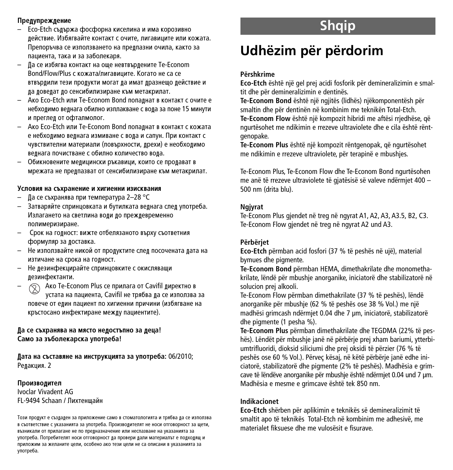#### **Прелупрежление**

- Eco-Etch съдържа фосфорна киселина и има корозивно лействие. Избягвайте контакт с очите, пигавиците или кожата. Препоръчва се използването на преллазни очила, както за najiwehta, taka waa sabonekang
- Да се избягва контакт на още невтвърдените Те-Econom Bond/Flow/Plus с кожата/лигавиците. Когато не са се втвърдили тези продукти могат да имат дразнещо действие и да доведат до сенсибилизиране към метакрилат.
- AKO Eco-Etch или Te-Econom Bond попаднат в контакт с очите е небходимо веднага обилно изплакване с вода за поне 15 минути и преглел от офталмолог.
- AKO Eco-Etch или Te-Econom Bond полалнат в контакт с кожата е небходимо веднага измиване с вода и сапун. При контакт с чувствителни материали (повърхности, прехи) е необхолимо велнага почистване с обилно количество вола.
- Обикновените медицински ръкавици, които се продават в мрежата не прелпазват от сенсибилизиране към метакрилат.

#### Условия на съхранение и хигиенни изисквания

- Да се съхранява при температура 2–28 °С
- Затваряйте спринцовката и бутилката веднага след употреба. Излагането на светлина води до преждевременно полимеризиране.
- Срок на годност: вижте отбелязаното върху съответния формуляр за доставка.
- Не използвайте никой от продуктите след посочената дата на изтичане на срока на голност.
- Не дезинфекцирайте спринцовките с окисляващи лезинфектанти.
- Aко Te-Econom Plus се прилага от Cavifil директно в устата на пациента, Cavifil не трябва да се използва за повече от елин пациент по хигиенни причини (избягване на кръстосано инфектиране между пациентите).

## $\int$  **Да се съхранява на място недостъпно за деца!** Само за зъболекарска употреба!

 $\blacksquare$ ата на съставяне на инструкцията за употреба: 06/2010; Редакция. 2

## Произволител

Ivoclar Vivadent AG FL-9494 Schaan / Пихтеншайн

Този продукт е създаден за приложение само в стоматологията и трябва да се използва в съответствие с указанията за употреба. Производителят не носи отговорност за щети, възникали от прилагане не по предназначение или неспазване на указанията за употреба. Потребителят носи отговорност да провери дали материалът е подходящ и приложим за желаните цели, особено ако тези цели не са описани в указанията за vnorpe6a.

# **Shqip**

# **Udhëzim për përdorim**

#### **Përshkrime**

**Eco-Etch** është një gel prej acidi fosforik për demineralizimin e smaltit dhe për demineralizimin e dentinës.

**Te-Econom Bond** është një ngjitës (lidhës) njëkomponentësh për smaltin dhe për dentinën në kombinim me teknikën Total-Etch.

**Te-Econom Flow** është një kompozit hibridi me aftësi rrjedhëse, që ngurtësohet me ndikimin e rrezeve ultraviolete dhe e cila është rëntgenopake.

**Te-Econom Plus** është një kompozit rëntgenopak, që ngurtësohet me ndikimin e rrezeve ultraviolete, për terapinë e mbushjes.

Te-Econom Plus, Te-Econom Flow dhe Te-Econom Bond ngurtësohen me anë të rrezeve ultraviolete të gjatësisë së valeve ndërmjet 400 – 500 nm (drita blu).

#### **Ngjyrat**

Te-Econom Plus gjendet në treg në ngyrat A1, A2, A3, A3.5, B2, C3. Te-Econom Flow giendet në treg në ngyrat A2 und A3.

## **Përbërjet**

**Eco-Etch** përmban acid fosfori (37 % të peshës në ujë), material bymues dhe pigmente.

**Te-Econom Bond** përmban HEMA, dimethakrilate dhe monomethakrilate, lëndë për mbushje anorganike, iniciatorë dhe stabilizatorë në solucion prej alkooli.

Te-Econom Flow përmban dimethakrilate (37 % të peshës), lëndë anorganike për mbushje (62 % të peshës ose 38 % Vol.) me një madhësi grimcash ndërmjet 0.04 dhe 7 µm, iniciatorë, stabilizatorë dhe pigmente (1 pesha %).

**Te-Econom Plus** përmban dimethakrilate dhe TEGDMA (22% të peshës). Lëndët për mbushje janë në përbërje prej xham bariumi, ytterbiumtrifluoridi, dioksid siliciumi dhe prej oksidi të përzier (76 % të peshës ose 60 % Vol.). Përveç kësaj, në këtë përbërje janë edhe iniciatorë, stabilizatorë dhe pigmente (2% të peshës). Madhësia e grimcave të lëndëve anorganike për mbushje është ndërmjet 0.04 und 7 µm. Madhësia e mesme e grimcave është tek 850 nm.

## **Indikacionet**

**Eco-Etch** shërben për aplikimin e teknikës së demineralizimit të smaltit apo të teknikës Total-Etch në kombinim me adhesivë, me materialet fiksuese dhe me vulosësit e fisurave.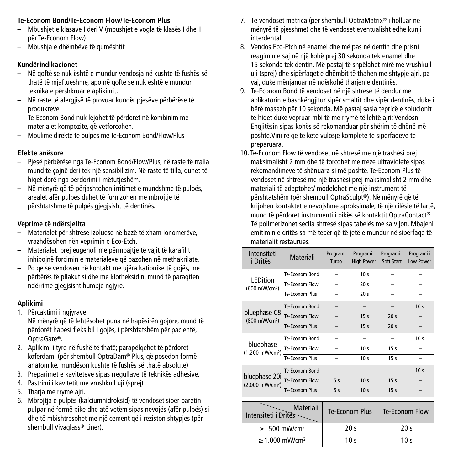## **Te-Econom Bond/Te-Econom Flow/Te-Econom Plus**

- Mbushjet e klasave I deri V (mbushjet e vogla të klasës I dhe II për Te-Econom Flow)
- Mbushja e dhëmbëve të qumështit

## **Kundërindikacionet**

- Në qoftë se nuk është e mundur vendosja në kushte të fushës së thatë të mjaftueshme, apo në qoftë se nuk është e mundur teknika e përshkruar e aplikimit.
- Në raste të alergjisë të provuar kundër pjesëve përbërëse të produkteve
- Te-Econom Bond nuk lejohet të përdoret në kombinim me materialet kompozite, që vetforcohen.
- Mbulime direkte të pulpës me Te-Econom Bond/Flow/Plus

## **Efekte anësore**

- Pjesë përbërëse nga Te-Econom Bond/Flow/Plus, në raste të rralla mund të çojnë deri tek një sensibilizim. Në raste të tilla, duhet të hiqet dorë nga përdorimi i mëtutjeshëm.
- Në mënyrë që të përjashtohen irritimet e mundshme të pulpës, arealet afër pulpës duhet të furnizohen me mbrojtje të përshtatshme të pulpës gjegjsisht të dentinës.

## **Veprime të ndërsjellta**

- Materialet për shtresë izoluese në bazë të xham ionomerëve, vrazhdësohen nën veprimin e Eco-Etch.
- Materialet prej eugenoli me përmbajtje të vajit të karafilit inhibojnë forcimin e materialeve që bazohen në methakrilate.
- Po qe se vendosen në kontakt me ujëra kationike të gojës, me përbërës të pllakut si dhe me klorheksidin, mund të paraqiten ndërrime gjegjsisht humbje ngjyre.

## **Aplikimi**

- 1. Përcaktimi i ngjyrave
- Në mënyrë që të lehtësohet puna në hapësirën gojore, mund të përdorët hapësi fleksibil i gojës, i përshtatshëm për pacientë, OptraGate®.
- 2. Aplikimi i tyre në fushë të thatë; parapëlqehet të përdoret koferdami (për shembull OptraDam® Plus, që posedon formë anatomike, mundëson kushte të fushës së thatë absolute)
- 3. Preparimet e kaviteteve sipas rregullave të teknikës adhesive.
- 4. Pastrimi i kavitetit me vrushkull uji (sprej)
- 5. Tharja me rrymë ajri.
- 6. Mbrojtja e pulpës (kalciumhidroksid) të vendoset sipër paretin pulpar në formë pike dhe atë vetëm sipas nevojës (afër pulpës) si dhe të mbishtresohet me një cement që i reziston shtypjes (për shembull Vivaglass® Liner).
- 7. Të vendoset matrica (për shembull OptraMatrix® i holluar në mënyrë të pjesshme) dhe të vendoset eventualisht edhe kunji interdental.
- 8. Vendos Eco-Etch në enamel dhe më pas në dentin dhe prisni reagimin e saj në një kohë prej 30 sekonda tek enamel dhe 15 sekonda tek dentin. Më pastaj të shpëlahet mirë me vrushkull uji (sprej) dhe sipërfaqet e dhëmbit të thahen me shtypje ajri, pa vaj, duke mënjanuar në ndërkohë tharjen e dentinës.
- 9. Te-Econom Bond të vendoset në një shtresë të dendur me aplikatorin e bashkëngjitur sipër smaltit dhe sipër dentinës, duke i bërë masazh për 10 sekonda. Më pastaj sasia tepricë e solucionit të hiqet duke vepruar mbi të me rrymë të lehtë ajri; Vendosni Engjitësin sipas kohës së rekomanduar për shërim të dhënë më poshtë.Vini re që të ketë vulosje komplete të sipërfaqeve të preparuara.
- 10. Te-Econom Flow të vendoset në shtresë me një trashësi prej maksimalisht 2 mm dhe të forcohet me rreze ultraviolete sipas rekomandimeve të shënuara si më poshtë. Te-Econom Plus të vendoset në shtresë me një trashësi prej maksimalisht 2 mm dhe materiali të adaptohet/ modelohet me një instrument të përshtatshëm (për shembull OptraSculpt®). Në mënyrë që të krijohen kontaktet e nevojshme aproksimale, të një cilësie të lartë, mund të përdoret instrumenti i pikës së kontaktit OptraContact®. Të polimerizohet secila shtresë sipas tabelës me sa vijon. Mbajeni emitimin e dritës sa më tepër që të jetë e mundur në sipërfaqe të materialit restaurues.

| Intensiteti<br><i>i</i> Dritës               | Materiali             | Programi<br>Turbo        | Programi i<br><b>High Power</b> | Programi i<br>Soft Start | Programi i<br>Low Power |
|----------------------------------------------|-----------------------|--------------------------|---------------------------------|--------------------------|-------------------------|
|                                              | Te-Fronom Bond        |                          | 10 <sub>s</sub>                 |                          |                         |
| <b>LEDition</b><br>(600 mW/cm <sup>2</sup> ) | Te-Econom Flow        |                          | 20 <sub>s</sub>                 |                          |                         |
|                                              | Te-Fronom Plus        |                          | 20 <sub>s</sub>                 |                          |                         |
|                                              | Te-Econom Bond        |                          |                                 |                          | 10 <sub>s</sub>         |
| bluephase C8<br>(800 mW/cm <sup>2</sup> )    | Te-Econom Flow        |                          | 15 <sub>s</sub>                 | 20 <sub>s</sub>          |                         |
|                                              | <b>Te-Fronom Plus</b> |                          | 15 <sub>s</sub>                 | 20 <sub>s</sub>          |                         |
| bluephase<br>(1.200 mW/cm <sup>2</sup> )     | Te-Econom Bond        |                          |                                 |                          | 10 <sub>s</sub>         |
|                                              | Te-Fconom Flow        | ۳                        | 10 <sub>s</sub>                 | 15 <sub>s</sub>          |                         |
|                                              | <b>Te-Econom Plus</b> | $\overline{\phantom{0}}$ | 10 <sub>s</sub>                 | 15 <sub>s</sub>          |                         |
| bluephase 20i<br>(2.000 mW/cm <sup>2</sup> ) | Te-Econom Bond        |                          |                                 |                          | 10 <sub>s</sub>         |
|                                              | Te-Fronom Flow        | 5<                       | 10 <sub>s</sub>                 | 15 <sub>s</sub>          |                         |
|                                              | <b>Te-Fronom Plus</b> | 5<                       | 10 <sub>s</sub>                 | 15 <sub>s</sub>          |                         |
| Materiali<br>Intensiteti i Drites            |                       | <b>Te-Econom Plus</b>    |                                 | Te-Econom Flow           |                         |
| 500 mW/cm <sup>2</sup><br>$\geq$             |                       | 20 <sub>s</sub>          |                                 | 20 <sub>s</sub>          |                         |
| $\geq 1.000$ mW/cm <sup>2</sup>              |                       | 10 <sub>s</sub>          |                                 | 10 <sub>s</sub>          |                         |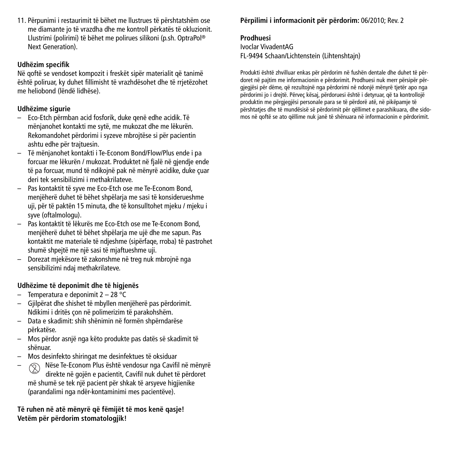11. Përpunimi i restaurimit të bëhet me llustrues të përshtatshëm ose me diamante jo të vrazdha dhe me kontroll përkatës të okluzionit. Llustrimi (polirimi) të bëhet me polirues silikoni (p.sh. OptraPol ® Next Generation).

## **Udhëzim specifik**

Në qoftë se vendoset kompozit i freskët sipër materialit që tanimë është poliruar, ky duhet fillimisht të vrazhdësohet dhe të rrjetëzohet me heliobond (lëndë lidhëse).

## **Udhëzime sigurie**

- Eco-Etch përmban acid fosforik, duke qenë edhe acidik. Të mënjanohet kontakti me sytë, me mukozat dhe me lëkurën. Rekomandohet përdorimi i syzeve mbrojtëse si për pacientin ashtu edhe për trajtuesin.
- Të mënjanohet kontakti i Te-Econom Bond/Flow/Plus ende i pa forcuar me lëkurën / mukozat. Produktet në fialë në gjendje ende të pa forcuar, mund të ndikojnë pak në mënyrë acidike, duke çuar deri tek sensibilizimi i methakrilateve.
- Pas kontaktit të syve me Eco-Etch ose me Te-Econom Bond, menjëherë duhet të bëhet shpëlarja me sasi të konsiderueshme uji, për të paktën 15 minuta, dhe të konsulltohet mjeku / mjeku i syve (oftalmologu).
- Pas kontaktit të lëkurës me Eco-Etch ose me Te-Econom Bond, menjëherë duhet të bëhet shpëlarja me ujë dhe me sapun. Pas kontaktit me materiale të ndjeshme (sipërfaqe, rroba) të pastrohet shumë shpejtë me një sasi të mjaftueshme uji.
- Dorezat mjekësore të zakonshme në treg nuk mbrojnë nga sensibilizimi ndaj methakrilateve.

## **Udhëzime të deponimit dhe të higjenës**

- Temperatura e deponimit 2 28 °C
- Gjilpërat dhe shishet të mbyllen menjëherë pas përdorimit. Ndikimi i dritës çon në polimerizim të parakohshëm.
- Data e skadimit: shih shënimin në formën shpërndarëse përkatëse.
- Mos përdor asnjë nga këto produkte pas datës së skadimit të shënuar.
- Mos desinfekto shiringat me desinfektues të oksiduar
- Nëse Te-Econom Plus është vendosur nga Cavifil në mënyrë direkte në gojën e pacientit, Cavifil nuk duhet të përdoret më shumë se tek një pacient për shkak të arsyeve higjienike (parandalimi nga ndër-kontaminimi mes pacientëve).

**Të ruhen në atë mënyrë që fëmijët të mos kenë qasje! Vetëm për përdorim stomatologjik!**

## **Përpilimi i informacionit për përdorim:** 06/2010; Rev. 2

## **Prodhuesi**

Ivoclar VivadentAG FL-9494 Schaan/Lichtenstein (Lihtenshtajn)

Produkti është zhvilluar enkas për përdorim në fushën dentale dhe duhet të përdoret në pajtim me informacionin e përdorimit. Prodhuesi nuk merr përsipër përgjegjësi për dëme, që rezultojnë nga përdorimi në ndonjë mënyrë tjetër apo nga përdorimi jo i drejtë. Përveç kësaj, përdoruesi është i detyruar, që ta kontrollojë produktin me përgjegjësi personale para se të përdorë atë, në pikëpamje të përshtatjes dhe të mundësisë së përdorimit për qëllimet e parashikuara, dhe sidomos në qoftë se ato qëllime nuk janë të shënuara në informacionin e përdorimit.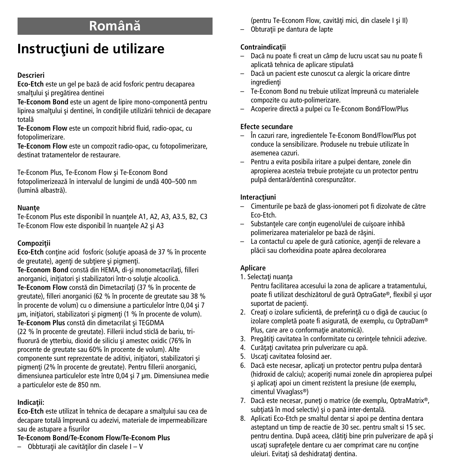## **Românæ**

# **Instrucfliuni de utilizare**

## **Descrieri**

**Eco-Etch** este un gel pe bazæ de acid fosforic pentru decaparea smaltului și pregătirea dentinei

**Te-Econom Bond** este un agent de lipire mono-componentæ pentru lipirea smaltului și dentinei, în condițiile utilizării tehnicii de decapare totală

**Te-Econom Flow** este un compozit hibrid fluid, radio-opac, cu fotopolimerizare.

**Te-Econom Flow** este un compozit radio-opac, cu fotopolimerizare, destinat tratamentelor de restaurare.

Te-Econom Plus, Te-Econom Flow øi Te-Econom Bond fotopolimerizează în intervalul de lungimi de undă 400-500 nm (lumină albastră).

## **Nuante**

Te-Econom Plus este disponibil în nuanțele A1, A2, A3, A3.5, B2, C3 Te-Econom Flow este disponibil în nuantele A2 și A3

## **Compoziflii**

**Eco-Etch** conține acid fosforic (soluție apoasă de 37 % în procente de greutate), agenti de subtiere și pigmenți.

Te-Econom Bond constă din HEMA, di-și monometacrilati, filleri anorganici, inițiatori și stabilizatori într-o soluție alcoolică. **Te-Econom Flow** constă din Dimetacrilati (37 % în procente de greutate), filleri anorganici (62 % în procente de greutate sau 38 % în procente de volum) cu o dimensiune a particulelor între 0,04 øi 7 µm, initiatori, stabilizatori și pigmenți (1 % în procente de volum). **Te-Econom Plus** constă din dimetacrilat și TEGDMA (22 % în procente de greutate). Fillerii includ sticlă de bariu, trifluorură de ytterbiu, dioxid de siliciu și amestec oxidic (76% în procente de greutate sau 60% în procente de volum). Alte componente sunt reprezentate de aditivi, initiatori, stabilizatori si pigmenfli (2% în procente de greutate). Pentru fillerii anorganici, dimensiunea particulelor este între 0,04 øi 7 µm. Dimensiunea medie a particulelor este de 850 nm.

## **Indicaflii:**

**Eco-Etch** este utilizat în tehnica de decapare a smaltului sau cea de decapare totală împreună cu adezivi, materiale de impermeabilizare sau de astupare a fisurilor

## **Te-Econom Bond/Te-Econom Flow/Te-Econom Plus**

– Obbturaflii ale cavitæflilor din clasele I – V

(pentru Te-Econom Flow, cavități mici, din clasele I și II)

– Obturaflii pe dantura de lapte

## **Contraindicaflii**

- Dacæ nu poate fi creat un câmp de lucru uscat sau nu poate fi aplicată tehnica de aplicare stipulată
- Dacæ un pacient este cunoscut ca alergic la oricare dintre ingredienti
- Te-Econom Bond nu trebuie utilizat împreunæ cu materialele compozite cu auto-polimerizare.
- Acoperire directæ a pulpei cu Te-Econom Bond/Flow/Plus

## **Efecte secundare**

- În cazuri rare, ingredientele Te-Econom Bond/Flow/Plus pot conduce la sensibilizare. Produsele nu trebuie utilizate în asemenea cazuri.
- Pentru a evita posibila iritare a pulpei dentare, zonele din apropierea acesteia trebuie protejate cu un protector pentru pulpå dentarå/dentinå corespunzåtor.

## **Interacfliuni**

- Cimenturile pe bazæ de glass-ionomeri pot fi dizolvate de cætre Eco-Etch.
- Substantele care contin eugenol/ulei de cuisoare inhibă polimerizarea materialelor pe bază de răsini.
- $-$  La contactul cu apele de qură cationice, agentii de relevare a plăcii sau clorhexidina poate apărea decolorarea

## **Aplicare**

1. Selectati nuanta

Pentru facilitarea accesului la zona de aplicare a tratamentului, poate fi utilizat deschizătorul de gură OptraGate®, flexibil și ușor suportat de pacienti.

- 2. Creati o izolare suficientă, de preferință cu o digă de cauciuc (o izolare completă poate fi asigurată, de exemplu, cu OptraDam® Plus, care are o conformatie anatomică).
- 3. Pregătiți cavitatea în conformitate cu cerințele tehnicii adezive.
- 4. Curățați cavitatea prin pulverizare cu apă.
- 5. Uscati cavitatea folosind aer.
- 6. Dacă este necesar, aplicați un protector pentru pulpa dentară (hidroxid de calciu); acoperiti numai zonele din apropierea pulpei si aplicati apoi un ciment rezistent la presiune (de exemplu, cimentul Vivaglass®)
- 7. Dacă este necesar, puneți o matrice (de exemplu, OptraMatrix®, subțiată în mod selectiv) și o pană inter-dentală.
- 8. Aplicati Eco-Etch pe smaltul dentar si apoi pe dentina dentara asteptand un timp de reactie de 30 sec. pentru smalt si 15 sec. pentru dentina. După aceea, clătiti bine prin pulverizare de apă și uscati suprafetele dentare cu aer comprimat care nu contine uleiuri. Evitati să deshidratati dentina.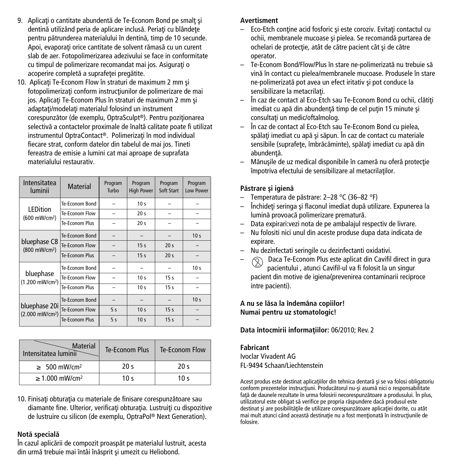- 9. Aplicati o cantitate abundentă de Te-Econom Bond pe smalt și dentină utilizând peria de aplicare inclusă. Periati cu blândete pentru pătrunderea materialului în dentină, timp de 10 secunde. Apoi, evaporati orice cantitate de solvent rămasă cu un curent slab de aer. Fotopolimerizarea adezivului se face in conformitate cu timpul de polimerizare recomandat mai jos. Asigurati o acoperire completă a suprafetei pregătite.
- 10. Aplicati Te-Econom Flow în straturi de maximum 2 mm si fotopolimerizați conform instrucțiunilor de polimerizare de mai jos. Aplicati Te-Econom Plus în straturi de maximum 2 mm și adaptafli/modelafli materialul folosind un instrument corespunzător (de exemplu, OptraSculpt®). Pentru poziționarea selectivă a contactelor proximale de înaltă calitate poate fi utilizat instrumentul OptraContact®. Polimerizati în mod individual fiecare strat, conform datelor din tabelul de mai jos. Tineti fereastra de emisie a lumini cat mai aproape de suprafata materialului restaurativ.

| Intensitatea<br>luminii                      | <b>Material</b> | Program<br>Turbo | Program<br><b>High Power</b> | Program<br>Soft Start | Program<br>Low Power |
|----------------------------------------------|-----------------|------------------|------------------------------|-----------------------|----------------------|
|                                              | Te-Econom Bond  |                  | 10 <sub>s</sub>              |                       |                      |
| <b>LEDition</b><br>(600 mW/cm <sup>2</sup> ) | Te-Econom Flow  |                  | 20 <sub>s</sub>              |                       |                      |
|                                              | Te-Econom Plus  |                  | 20 <sub>s</sub>              |                       |                      |
| bluephase C8<br>(800 mW/cm <sup>2</sup> )    | Te-Econom Bond  |                  |                              |                       | 10 <sub>s</sub>      |
|                                              | Te-Econom Flow  |                  | 15 <sub>s</sub>              | 20 <sub>s</sub>       |                      |
|                                              | Te-Fronom Plus  |                  | 15 <sub>s</sub>              | 20 <sub>s</sub>       |                      |
| bluephase<br>(1.200 mW/cm <sup>2</sup> )     | Te-Fronom Bond  |                  |                              |                       | 10 <sub>s</sub>      |
|                                              | Te-Econom Flow  |                  | 10 <sub>s</sub>              | 15 <sub>s</sub>       |                      |
|                                              | Te-Fronom Plus  |                  | 10 <sub>s</sub>              | 15 <sub>s</sub>       |                      |
| bluephase 20i<br>(2.000 mW/cm <sup>2</sup> ) | Te-Econom Bond  |                  |                              |                       | 10 <sub>s</sub>      |
|                                              | Te-Econom Flow  | 5<               | 10 <sub>s</sub>              | 15 <sub>s</sub>       |                      |
|                                              | Te-Econom Plus  | 5s               | 10 <sub>s</sub>              | 15 <sub>s</sub>       |                      |

| <b>Material</b><br>Intensitatea luminii | Te-Econom Plus  | Te-Econom Flow  |  |
|-----------------------------------------|-----------------|-----------------|--|
| $\geq 500$ mW/cm <sup>2</sup>           | 20 <sub>s</sub> | 20 <sub>s</sub> |  |
| $\geq 1.000$ mW/cm <sup>2</sup>         | 10 $\leq$       | 10 $\leq$       |  |

10. Finisati obturatia cu materiale de finisare corespunzătoare sau diamante fine. Ulterior, verificati obturatia. Lustruiti cu dispozitive de lustruire cu silicon (de exemplu, OptraPol ® Next Generation).

## **Notæ specialæ**

În cazul aplicærii de compozit proaspæt pe materialul lustruit, acesta din urmă trebuie mai întâi înăsprit și umezit cu Heliobond.

## **Avertisment**

- Eco-Etch contine acid fosforic si este coroziv. Evitati contactul cu ochii, membranele mucoase și pielea. Se recomandă purtarea de ochelari de protectie, atât de către pacient cât și de către operator.
- Te-Econom Bond/Flow/Plus în stare ne-polimerizatæ nu trebuie sæ vinæ în contact cu pielea/membranele mucoase. Produsele în stare ne-polimerizată pot avea un efect iritativ și pot conduce la sensibilizare la metacrilati.
- În caz de contact al Eco-Etch sau Te-Econom Bond cu ochii, clætifli imediat cu apă din abundență timp de cel puțin 15 minute și consultati un medic/oftalmolog.
- În caz de contact al Eco-Etch sau Te-Econom Bond cu pielea, spălați imediat cu apă și săpun. În caz de contact cu materiale sensibile (suprafete, îmbrăcăminte), spălați imediat cu apă din abundentă.
- Mănusile de uz medical disponibile în cameră nu oferă protectie împotriva efectului de sensibilizare al metacrilaflilor.

## **Pæstrare øi igienæ**

- Temperatura de pæstrare: 2–28 °C (36–82 °F)
- Închidefli seringa øi flaconul imediat dupæ utilizare. Expunerea la lumină provoacă polimerizare prematură.
- Data expirari:vezi nota de pe ambalajul respectiv de livrare.
- Nu folositi nici unul din aceste produse dupa data indicata de expirare.
- Nu dezinfectati seringile cu dezinfectanti oxidativi.
- $\Diamond$  Daca Te-Econom Plus este aplicat din Cavifil direct in gura pacientului , atunci Cavifil-ul va fi folosit la un singur pacient din motive de igiena(prevenirea contaminarii reciproce intre pacienti).

#### **A nu se læsa la îndemâna copiilor! Numai pentru uz stomatologic!**

## Data întocmirii informațiilor: 06/2010; Rev. 2

**Fabricant** Ivoclar Vivadent AG FL-9494 Schaan/Liechtenstein

Acest produs este destinat aplicațiilor din tehnica dentară și se va folosi obligatoriu conform prezentelor instructiuni. Producătorul nu-și asumă nici o responsabilitate față de daunele rezultate în urma folosirii necorespunzătoare a produsului. În plus, utilizatorul este obligat să verifice pe propria răspundere dacă produsul este destinat și are posibilitățile de utilizare corespunzătoare aplicației dorite, cu atât mai mult atunci când această destinatie nu a fost mentionată în instructiunile de folosire.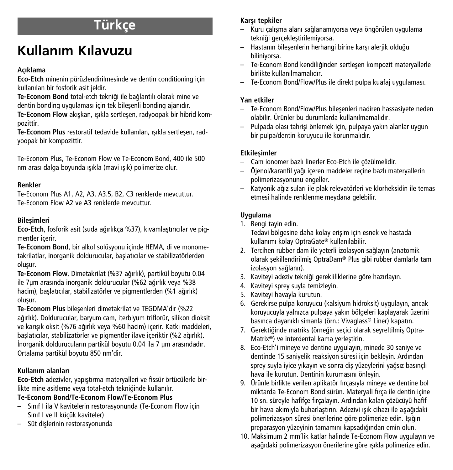# **Türkçe**

# **Kullan›m K›lavuzu**

## **Aç›klama**

**Eco-Etch** minenin pürüzlendirilmesinde ve dentin conditioning için kullanılan bir fosforik asit jeldir.

Te-Econom Bond total-etch tekniği ile bağlantılı olarak mine ve dentin bonding uygulaması için tek bilesenli bonding ajanıdır.

**Te-Econom Flow** akıskan, ısıkla sertlesen, radyoopak bir hibrid kompozittir.

Te-Econom Plus restoratif tedavide kullanılan, ışıkla sertleşen, radyoopak bir kompozittir.

Te-Econom Plus, Te-Econom Flow ve Te-Econom Bond, 400 ile 500 nm arası dalga boyunda ışıkla (mavi ışık) polimerize olur.

## **Renkler**

Te-Econom Plus A1, A2, A3, A3.5, B2, C3 renklerde mevcuttur. Te-Econom Flow A2 ve A3 renklerde mevcuttur.

## **Bileflimleri**

Eco-Etch, fosforik asit (suda ağırlıkça %37), kıvamlaştırıcılar ve pigmentler içerir.

**Te-Econom Bond**, bir alkol solüsyonu içinde HEMA, di ve monometakrilatlar, inorganik doldurucular, baslatıcılar ve stabilizatörlerden olusur.

Te-Econom Flow, Dimetakrilat (%37 ağırlık), partikül boyutu 0.04 ile 7um arasında inorganik doldurucular (%62 ağırlık veya %38 hacim), başlatıcılar, stabilizatörler ve pigmentlerden (%1 ağırlık) olusur.

**Te-Econom Plus** bilesenleri dimetakrilat ve TEGDMA'dır (%22 ağırlık). Doldurucular, baryum cam, iterbiyum triflorür, silikon dioksit ve karısık oksit (%76 ağırlık veya %60 hacim) içerir. Katkı maddeleri, başlatıcılar, stabilizatörler ve pigmentler ilave içeriktir (%2 ağırlık). İnorganik doldurucuların partikül boyutu 0.04 ila 7 µm arasındadır. Ortalama partikül boyutu 850 nm'dir.

## **Kullan›m alanlar›**

**Eco-Etch** adezivler, yapıştırma materyalleri ve fissür örtücülerle birlikte mine asitleme veya total-etch tekniğinde kullanılır.

## **Te-Econom Bond/Te-Econom Flow/Te-Econom Plus**

- S›n›f I ila V kavitelerin restorasyonunda (Te-Econom Flow için Sınıf I ve II küçük kaviteler)
- Süt dişlerinin restorasyonunda

## **Karsı tepkiler**

- $-$  Kuru çalışma alanı sağlanamıyorsa veya öngörülen uygulama tekniği gerçekleştirilemiyorsa.
- Hastanın bileşenlerin herhangi birine karşı alerjik olduğu biliniyorsa.
- Te-Econom Bond kendili¤inden sertleflen kompozit materyallerle birlikte kullanılmamalıdır.
- Te-Econom Bond/Flow/Plus ile direkt pulpa kuafaj uygulamas›.

## **Yan etkiler**

- Te-Econom Bond/Flow/Plus bilesenleri nadiren hassasiyete neden olabilir. Ürünler bu durumlarda kullanılmamalıdır.
- $-$  Pulpada olası tahrişi önlemek için, pulpaya yakın alanlar uygun bir pulpa/dentin koruyucu ile korunmalıdır.

## **Etkilesimler**

- Cam ionomer bazl› linerler Eco-Etch ile çözülmelidir.
- Öjenol/karanfil ya¤› içeren maddeler reçine bazl› materyallerin polimerizasyonunu engeller.
- Katyonik a¤›z sular› ile plak relevatörleri ve klorheksidin ile temas etmesi halinde renklenme meydana gelebilir.

## **Uygulama**

- 1. Rengi tayin edin. Tedavi bölgesine daha kolay erişim için esnek ve hastada kullanımı kolay OptraGate® kullanılabilir.
- 2. Tercihen rubber dam ile yeterli izolasyon sağlayın (anatomik olarak şekillendirilmiş OptraDam® Plus gibi rubber damlarla tam izolasyon sağlanır).
- 3. Kaviteyi adeziv tekniği gerekliliklerine göre hazırlayın.
- 4. Kaviteyi sprey suyla temizleyin.
- 5. Kaviteyi havayla kurutun.
- 6. Gerekirse pulpa koruyucu (kalsiyum hidroksit) uygulayın, ancak koruyucuyla yalnızca pulpaya yakın bölgeleri kaplayarak üzerini basınca dayanıklı simanla (örn.: Vivaglass® Liner) kapatın.
- 7. Gerektiğinde matriks (örneğin seçici olarak seyreltilmiş Optra-Matrix®) ve interdental kama yerleştirin.
- 8. Eco-Etch'i mineve ve dentine uygulayın, minede 30 saniye ve dentinde 15 saniyelik reaksiyon süresi için bekleyin. Ardından sprey suyla iyice yıkayın ve sonra diş yüzeylerini yağsız basınçlı hava ile kurutun. Dentinin kurumasını önleyin.
- 9. Ürünle birlikte verilen aplikatör fırçasıyla mineye ve dentine bol miktarda Te-Econom Bond sürün. Materyali fırça ile dentin içine 10 sn. süreyle hafifçe fırçalayın. Ardından kalan çözücüyü hafif bir hava akımıyla buharlaştırın. Adezivi ışık cihazı ile aşağıdaki polimerizasyon süresi önerilerine göre polimerize edin. Işığın preparasyon yüzeyinin tamamını kapsadığından emin olun.
- 10. Maksimum 2 mm'lik katlar halinde Te-Econom Flow uygulayın ve aşağıdaki polimerizasyon önerilerine göre ışıkla polimerize edin.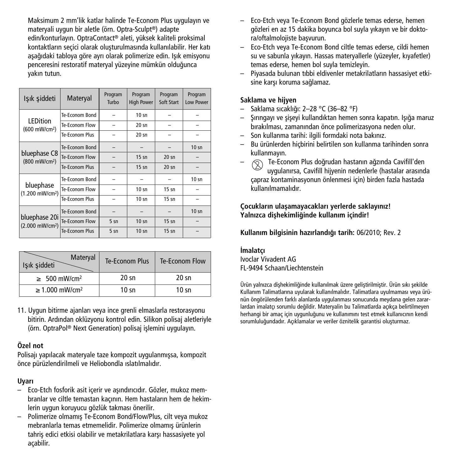Maksimum 2 mm'lik katlar halinde Te-Econom Plus uygulayın ve materyali uygun bir aletle (örn. Optra-Sculpt®) adapte edin/konturlayın. OptraContact® aleti, yüksek kaliteli proksimal kontaktların seçici olarak oluşturulmasında kullanılabilir. Her katı asağıdaki tabloya göre ayrı olarak polimerize edin. Isık emisyonu penceresini restoratif materyal yüzeyine mümkün olduğunca yakın tutun.

| Isık siddeti                                 | Materyal              | Program<br>Turbo | Program<br><b>High Power</b> | Program<br>Soft Start | Program<br>Low Power |
|----------------------------------------------|-----------------------|------------------|------------------------------|-----------------------|----------------------|
|                                              | Te-Fronom Bond        |                  | $10 \text{ s}$               |                       |                      |
| <b>LEDition</b><br>(600 mW/cm <sup>2</sup> ) | Te-Econom Flow        |                  | $20$ sn                      |                       |                      |
|                                              | Te-Econom Plus        |                  | $20 \text{ s}$               |                       |                      |
| bluephase C8<br>(800 mW/cm <sup>2</sup> )    | Te-Econom Bond        |                  |                              |                       | 10 <sub>sn</sub>     |
|                                              | Te-Econom Flow        |                  | $15 \text{ sn}$              | $20 \text{ sn}$       |                      |
|                                              | <b>Te-Econom Plus</b> |                  | $15 \text{ sn}$              | $20 \text{ sn}$       |                      |
| bluephase<br>(1.200 mW/cm <sup>2</sup> )     | Te-Econom Bond        |                  |                              |                       | 10 <sub>sn</sub>     |
|                                              | Te-Econom Flow        |                  | $10 \text{ s}$               | $15 \text{ sn}$       |                      |
|                                              | Te-Fronom Plus        |                  | $10 \text{ s}$               | $15 \text{ sn}$       |                      |
| bluephase 20i<br>(2.000 mW/cm <sup>2</sup> ) | Te-Econom Bond        |                  |                              |                       | 10 <sub>sn</sub>     |
|                                              | Te-Econom Flow        | $5 \text{ sn}$   | $10 \text{ s}$               | $15 \text{ sn}$       |                      |
|                                              | <b>Te-Econom Plus</b> | $5 \text{ sn}$   | $10 \text{ s}$               | $15 \text{ sn}$       |                      |

| Materyal<br>Işık şiddeti        | Te-Econom Plus  | Te-Econom Flow  |
|---------------------------------|-----------------|-----------------|
| $\geq 500$ mW/cm <sup>2</sup>   | $20 \text{ sn}$ | $20 \text{ sn}$ |
| $\geq 1.000$ mW/cm <sup>2</sup> | $10 \text{ sn}$ | $10 \text{ sn}$ |

11. Uygun bitirme ajanları veya ince grenli elmaslarla restorasyonu bitirin. Ardından oklüzyonu kontrol edin. Silikon polisai aletleriyle (örn. OptraPol® Next Generation) polisaj işlemini uygulayın.

#### **Özel not**

Polisajı yapılacak materyale taze kompozit uygulanmışsa, kompozit önce pürüzlendirilmeli ve Heliobondla ıslatılmalıdır.

## **Uyar›**

- $-$  Eco-Etch fosforik asit icerir ve asındırıcıdır. Gözler, mukoz membranlar ve ciltle temastan kaçının. Hem hastaların hem de hekimlerin uygun koruyucu gözlük takması önerilir.
- Polimerize olmamış Te-Econom Bond/Flow/Plus, cilt veya mukoz mebranlarla temas etmemelidir. Polimerize olmamış ürünlerin tahriş edici etkisi olabilir ve metakrilatlara karşı hassasiyete yol açabilir.
- Eco-Etch veya Te-Econom Bond gözlerle temas ederse, hemen gözleri en az 15 dakika boyunca bol suyla yıkayın ve bir doktora/oftalmolojiste başvurun.
- Eco-Etch veya Te-Econom Bond ciltle temas ederse, cildi hemen su ve sabunla yıkayın. Hassas materyallerle (yüzeyler, kıyafetler) temas ederse, hemen bol suyla temizleyin.
- $-$  Piyasada bulunan tıbbi eldivenler metakrilatların hassasiyet etkisine karşı koruma sağlamaz.

## **Saklama ve hijyen**

- Saklama sıcaklığı: 2–28 °C (36–82 °F)
- $-$  Şırıngayı ve şişeyi kullandıktan hemen sonra kapatın. Işığa maruz bırakılması, zamanından önce polimerizasyona neden olur.
- Son kullanma tarihi: ilgili formdaki nota bakınız.
- Bu ürünlerden hiçbirini belirtilen son kullanma tarihinden sonra kullanmayın.
- √ Te-Econom Plus doğrudan hastanın ağzında Cavifill'den uygulanırsa, Cavifill hijyenin nedenlerle (hastalar arasında çapraz kontaminasyonun önlenmesi için) birden fazla hastada kullanılmamalıdır.

## **Çocuklar›n ulaflamayacaklar› yerlerde saklay›n›z! Yaln›zca diflhekimli¤inde kullan›m içindir!**

**Kullan›m bilgisinin haz›rland›¤› tarih:** 06/2010; Rev. 2

## **‹malatç›**

Ivoclar Vivadent AG FL-9494 Schaan/Liechtenstein

Ürün yalnızca dishekimliğinde kullanılmak üzere geliştirilmiştir. Ürün sıkı sekilde Kullanım Talimatlarına uyularak kullanılmalıdır. Talimatlara uyulmaması veya ürünün öngörülenden farklı alanlarda uygulanması sonucunda meydana gelen zararlardan imalatçı sorumlu değildir. Materyalin bu Talimatlarda açıkça belirtilmeyen herhangi bir amaç için uygunluğunu ve kullanımını test etmek kullanıcının kendi sorumluluğundadır. Açıklamalar ve veriler öznitelik garantisi oluşturmaz.